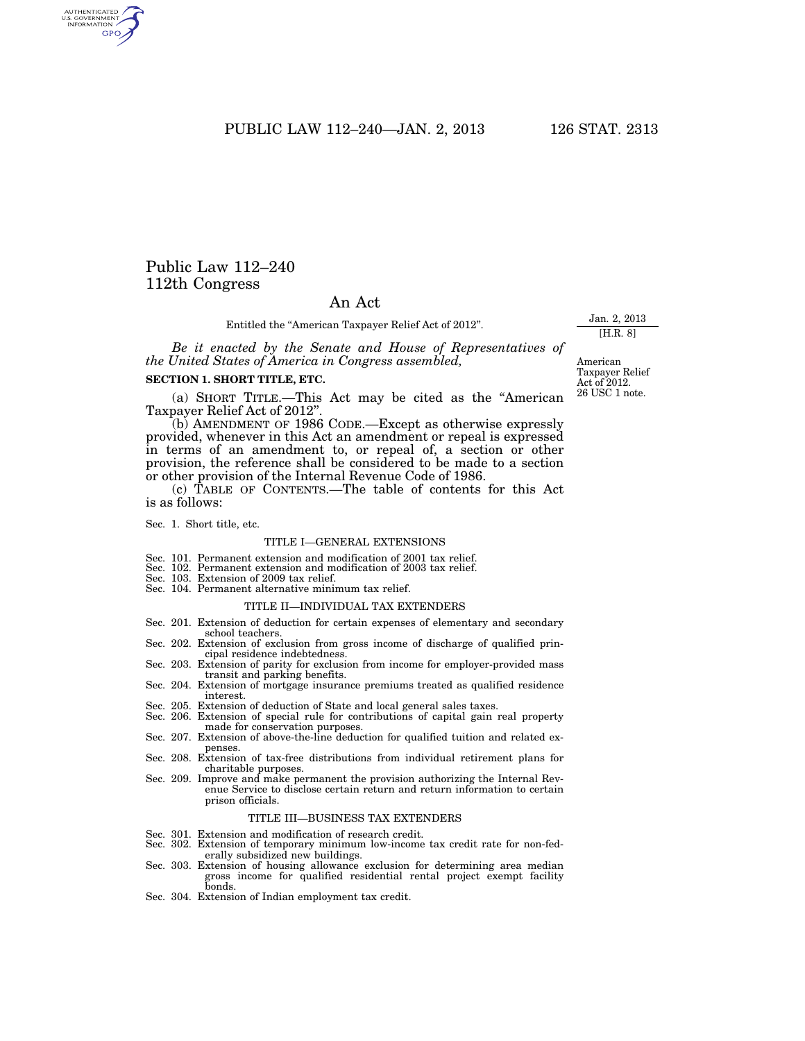PUBLIC LAW 112–240—JAN. 2, 2013 126 STAT. 2313

## Public Law 112–240 112th Congress

### An Act

Entitled the ''American Taxpayer Relief Act of 2012''.

*Be it enacted by the Senate and House of Representatives of the United States of America in Congress assembled,* 

#### **SECTION 1. SHORT TITLE, ETC.**

(a) SHORT TITLE.—This Act may be cited as the ''American Taxpayer Relief Act of 2012''.

(b) AMENDMENT OF 1986 CODE.—Except as otherwise expressly provided, whenever in this Act an amendment or repeal is expressed in terms of an amendment to, or repeal of, a section or other provision, the reference shall be considered to be made to a section or other provision of the Internal Revenue Code of 1986.

(c) TABLE OF CONTENTS.—The table of contents for this Act is as follows:

Sec. 1. Short title, etc.

#### TITLE I—GENERAL EXTENSIONS

- Sec. 101. Permanent extension and modification of 2001 tax relief.
- Sec. 102. Permanent extension and modification of 2003 tax relief.
- Sec. 103. Extension of 2009 tax relief.
- Sec. 104. Permanent alternative minimum tax relief.

#### TITLE II—INDIVIDUAL TAX EXTENDERS

- Sec. 201. Extension of deduction for certain expenses of elementary and secondary school teachers.
- Sec. 202. Extension of exclusion from gross income of discharge of qualified principal residence indebtedness. Sec. 203. Extension of parity for exclusion from income for employer-provided mass
- transit and parking benefits.
- Sec. 204. Extension of mortgage insurance premiums treated as qualified residence interest.
- Sec. 205. Extension of deduction of State and local general sales taxes.
- Sec. 206. Extension of special rule for contributions of capital gain real property made for conservation purposes.
- Sec. 207. Extension of above-the-line deduction for qualified tuition and related expenses.
- Sec. 208. Extension of tax-free distributions from individual retirement plans for charitable purposes.
- Sec. 209. Improve and make permanent the provision authorizing the Internal Revenue Service to disclose certain return and return information to certain prison officials.

#### TITLE III—BUSINESS TAX EXTENDERS

- 
- Sec. 301. Extension and modification of research credit. Sec. 302. Extension of temporary minimum low-income tax credit rate for non-federally subsidized new buildings.
- Sec. 303. Extension of housing allowance exclusion for determining area median gross income for qualified residential rental project exempt facility bonds.
- Sec. 304. Extension of Indian employment tax credit.

American Taxpayer Relief Act of 2012. 26 USC 1 note.

Jan. 2, 2013 [H.R. 8]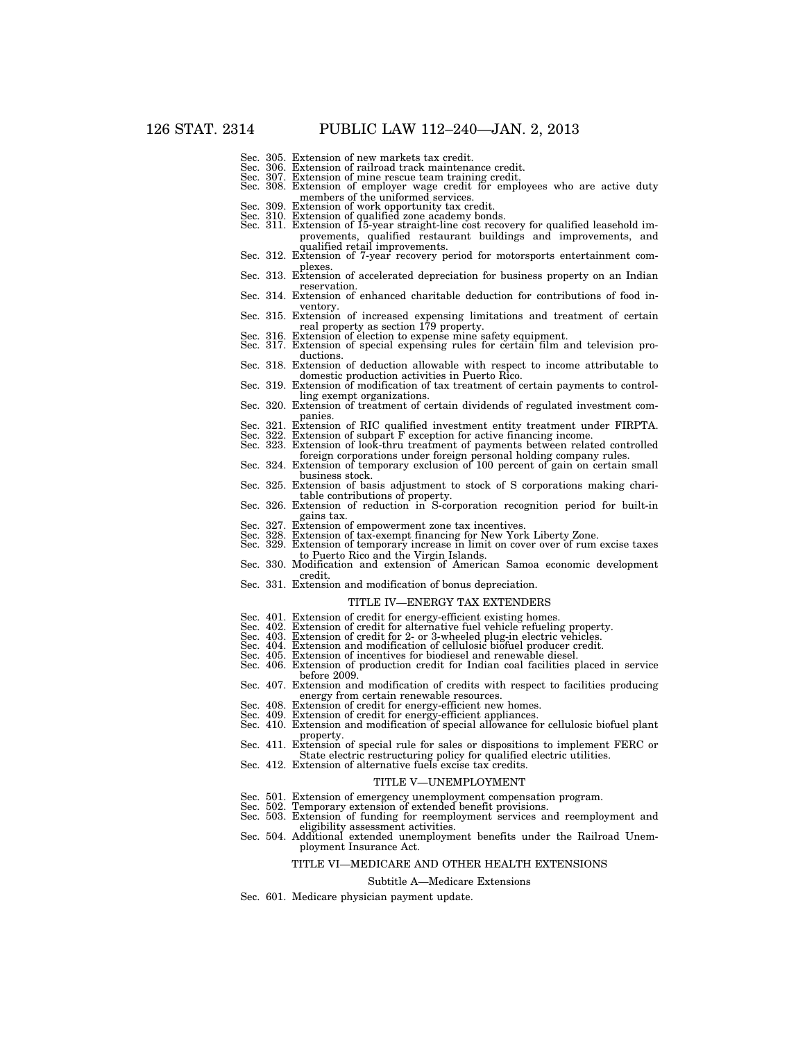- 
- Sec. 305. Extension of new markets tax credit.<br>Sec. 306. Extension of railroad track maintena<br>Sec. 307. Extension of mine rescue team traini Sec. 306. Extension of railroad track maintenance credit. Sec. 307. Extension of mine rescue team training credit.
- 
- Sec. 308. Extension of employer wage credit for employees who are active duty members of the uniformed services.
- 
- Sec. 309. Extension of work opportunity tax credit. Sec. 310. Extension of qualified zone academy bonds. Sec. 311. Extension of 15-year straight-line cost recovery for qualified leasehold improvements, qualified restaurant buildings and improvements, and
- qualified retail improvements. Sec. 312. Extension of 7-year recovery period for motorsports entertainment complexes. Sec. 313. Extension of accelerated depreciation for business property on an Indian
- reservation.
- Sec. 314. Extension of enhanced charitable deduction for contributions of food inventory. Sec. 315. Extension of increased expensing limitations and treatment of certain
- real property as section 179 property. Sec. 316. Extension of election to expense mine safety equipment.
- 
- Sec. 317. Extension of special expensing rules for certain film and television productions.
- Sec. 318. Extension of deduction allowable with respect to income attributable to  $\sim$  domestic production activities in Puerto Rico.
- Sec. 319. Extension of modification of tax treatment of certain payments to control-<br>ling exempt organizations.
- Sec. 320. Extension of treatment of certain dividends of regulated investment com-<br>panies. panies.<br>Sec. 321. Extension of RIC qualified investment entity treatment under FIRPTA.<br>Sec. 322. Extension of subpart F exception for active financing income.<br>Sec. 323. Extension of look-thru treatment of payments between
- 
- 
- foreign corporations under foreign personal holding company rules. Sec. 324. Extension of temporary exclusion of 100 percent of gain on certain small
- business stock.
- Sec. 325. Extension of basis adjustment to stock of S corporations making chari-
- table contributions of property.<br>Sec. 326. Extension of reduction in S-corporation recognition period for built-in gains tax. gains tax.<br>Sec. 327. Extension of empowerment zone tax incentives.<br>Sec. 328. Extension of tax-exempt financing for New York Liberty Zone.<br>Sec. 329. Extension of temporary increase in limit on cover over of rum excise taxes
- 
- 
- to Puerto Rico and the Virgin Islands. Sec. 330. Modification and extension of American Samoa economic development
- credit.
- Sec. 331. Extension and modification of bonus depreciation.

#### TITLE IV—ENERGY TAX EXTENDERS

- 
- Sec. 401. Extension of credit for energy-efficient existing homes.<br>Sec. 402. Extension of credit for alternative fuel vehicle refueling property.<br>Sec. 403. Extension of credit for 2- or 3-wheeled plug-in electric vehicles.
- 
- 
- 
- before 2009.
- Sec. 407. Extension and modification of credits with respect to facilities producing energy from certain renewable resources.<br>Sec. 408. Extension of credit for energy-efficient new homes.<br>Sec. 409. Extension of credit for energy-efficient appliances.<br>Sec. 410. Extension and modification of special allowanc
- 
- 
- property. Sec. 411. Extension of special rule for sales or dispositions to implement FERC or
- State electric restructuring policy for qualified electric utilities. Sec. 412. Extension of alternative fuels excise tax credits.
- 

#### TITLE V—UNEMPLOYMENT

- Sec. 501. Extension of emergency unemployment compensation program.<br>Sec. 502. Temporary extension of extended benefit provisions.
- Temporary extension of extended benefit provisions.
- Sec. 503. Extension of funding for reemployment services and reemployment and eligibility assessment activities. Sec. 504. Additional extended unemployment benefits under the Railroad Unem-
- ployment Insurance Act.

#### TITLE VI—MEDICARE AND OTHER HEALTH EXTENSIONS

#### Subtitle A—Medicare Extensions

Sec. 601. Medicare physician payment update.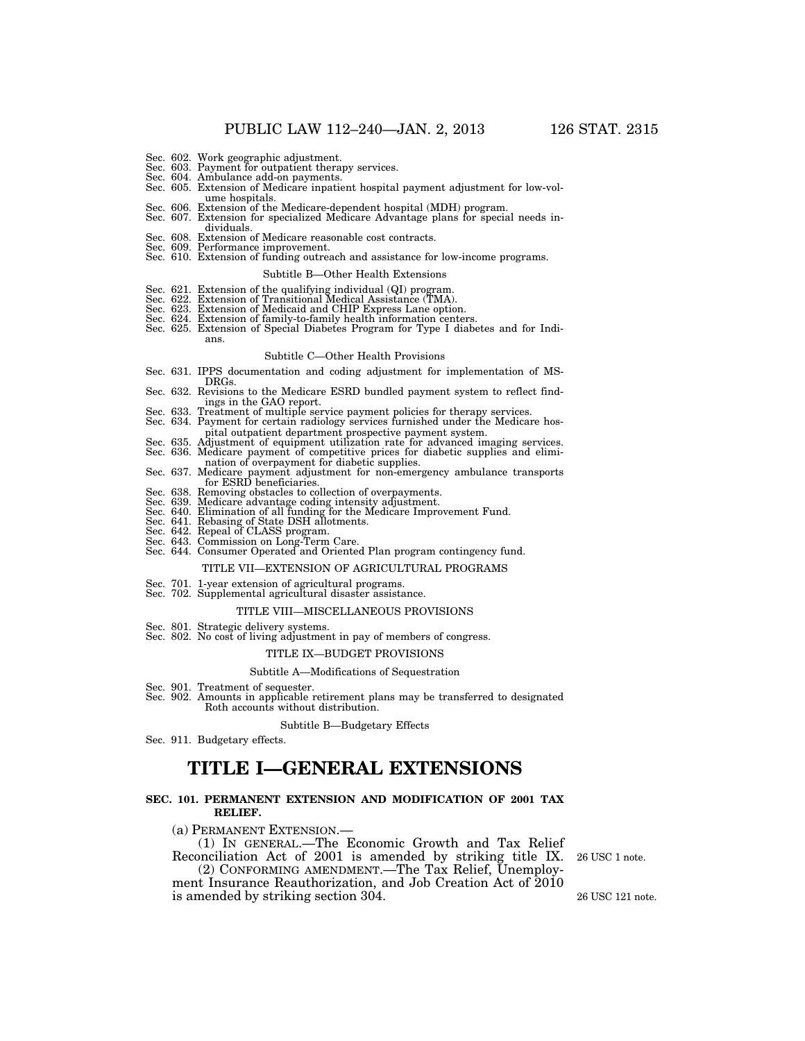- 
- Sec. 602. Work geographic adjustment. Sec. 603. Payment for outpatient therapy services. Sec. 604. Ambulance add-on payments.
- 
- Sec. 605. Extension of Medicare inpatient hospital payment adjustment for low-volume hospitals. Sec. 606. Extension of the Medicare-dependent hospital (MDH) program. Sec. 607. Extension for specialized Medicare Advantage plans for special needs in-
- 
- dividuals.
- Sec. 608. Extension of Medicare reasonable cost contracts. Sec. 609. Performance improvement.
- Sec. 610. Extension of funding outreach and assistance for low-income programs.

#### Subtitle B—Other Health Extensions

- 
- Sec. 621. Extension of the qualifying individual (QI) program. Sec. 622. Extension of Transitional Medical Assistance (TMA). Sec. 623. Extension of Medicaid and CHIP Express Lane option.
- 
- Sec. 624. Extension of family-to-family health information centers.
- Sec. 625. Extension of Special Diabetes Program for Type I diabetes and for Indians.

#### Subtitle C—Other Health Provisions

- Sec. 631. IPPS documentation and coding adjustment for implementation of MS-DRGs.
- Sec. 632. Revisions to the Medicare ESRD bundled payment system to reflect find-
- ings in the GAO report. Sec. 633. Treatment of multiple service payment policies for therapy services. Sec. 634. Payment for certain radiology services furnished under the Medicare hos-
- pital outpatient department prospective payment system. Sec. 635. Adjustment of equipment utilization rate for advanced imaging services.
- Sec. 636. Medicare payment of competitive prices for diabetic supplies and elimi-
- nation of overpayment for diabetic supplies. Sec. 637. Medicare payment adjustment for non-emergency ambulance transports for ESRD beneficiaries.
- Sec. 638. Removing obstacles to collection of overpayments.
- 
- Sec. 639. Medicare advantage coding intensity adjustment.<br>Sec. 640. Elimination of all funding for the Medicare Improvement Fund.<br>Sec. 641. Rebasing of State DSH allotments.<br>Sec. 642. Repeal of CLASS program.<br>Sec. 643. Com
- 
- 
- 
- 

#### TITLE VII—EXTENSION OF AGRICULTURAL PROGRAMS

- Sec. 701. 1-year extension of agricultural programs. Sec. 702. Supplemental agricultural disaster assistance.
- 

#### TITLE VIII—MISCELLANEOUS PROVISIONS

- Sec. 801. Strategic delivery systems.
- Sec. 802. No cost of living adjustment in pay of members of congress.

#### TITLE IX—BUDGET PROVISIONS

#### Subtitle A—Modifications of Sequestration

- Sec. 901. Treatment of sequester.
- Sec. 902. Amounts in applicable retirement plans may be transferred to designated Roth accounts without distribution.

#### Subtitle B—Budgetary Effects

Sec. 911. Budgetary effects.

# **TITLE I—GENERAL EXTENSIONS**

#### **SEC. 101. PERMANENT EXTENSION AND MODIFICATION OF 2001 TAX RELIEF.**

(a) PERMANENT EXTENSION.—

(1) IN GENERAL.—The Economic Growth and Tax Relief Reconciliation Act of 2001 is amended by striking title IX.

(2) CONFORMING AMENDMENT.—The Tax Relief, Unemploy-

ment Insurance Reauthorization, and Job Creation Act of 2010 is amended by striking section 304. 26 USC 121 note.

26 USC 1 note.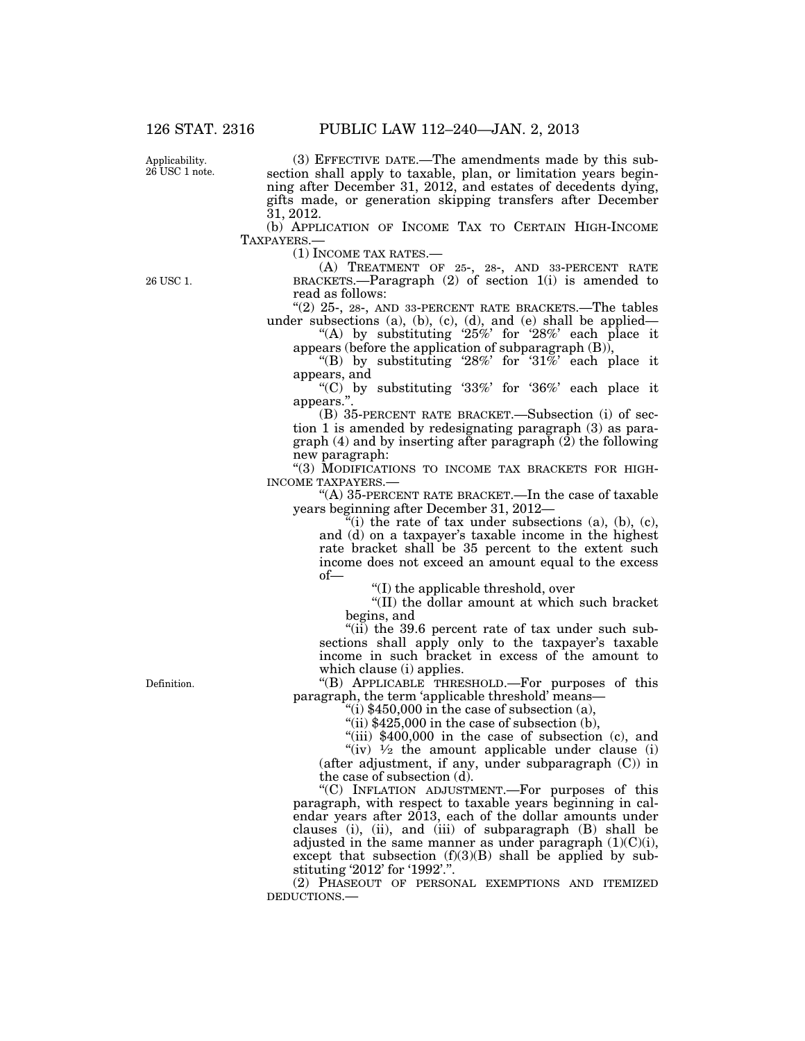Applicability. 26 USC 1 note.

(3) EFFECTIVE DATE.—The amendments made by this subsection shall apply to taxable, plan, or limitation years beginning after December 31, 2012, and estates of decedents dying, gifts made, or generation skipping transfers after December 31, 2012.

(b) APPLICATION OF INCOME TAX TO CERTAIN HIGH-INCOME TAXPAYERS.—

(1) INCOME TAX RATES.—

26 USC 1.

(A) TREATMENT OF 25-, 28-, AND 33-PERCENT RATE BRACKETS.—Paragraph  $(2)$  of section  $1(i)$  is amended to read as follows:

" $(2)$  25-, 28-, AND 33-PERCENT RATE BRACKETS.—The tables under subsections (a), (b), (c), (d), and (e) shall be applied—

"(A) by substituting  $25\%$  for  $28\%$  each place it appears (before the application of subparagraph (B)),

"(B) by substituting '28%' for '31%' each place it appears, and

"(C) by substituting '33%' for '36%' each place it appears.''.

(B) 35-PERCENT RATE BRACKET.—Subsection (i) of section 1 is amended by redesignating paragraph (3) as paragraph  $(4)$  and by inserting after paragraph  $(2)$  the following new paragraph:

"(3) MODIFICATIONS TO INCOME TAX BRACKETS FOR HIGH-INCOME TAXPAYERS.—

"(A) 35-PERCENT RATE BRACKET.—In the case of taxable years beginning after December 31, 2012—

 $\tilde{f}(i)$  the rate of tax under subsections (a), (b), (c), and (d) on a taxpayer's taxable income in the highest rate bracket shall be 35 percent to the extent such income does not exceed an amount equal to the excess of—

''(I) the applicable threshold, over

''(II) the dollar amount at which such bracket begins, and

"(ii) the 39.6 percent rate of tax under such subsections shall apply only to the taxpayer's taxable income in such bracket in excess of the amount to which clause (i) applies.

''(B) APPLICABLE THRESHOLD.—For purposes of this paragraph, the term 'applicable threshold' means—

"(i)  $$450,000$  in the case of subsection (a),

"(ii)  $$425,000$  in the case of subsection (b),

"(iii)  $$400,000$  in the case of subsection (c), and

"(iv)  $\frac{1}{2}$  the amount applicable under clause (i) (after adjustment, if any, under subparagraph (C)) in the case of subsection (d).

''(C) INFLATION ADJUSTMENT.—For purposes of this paragraph, with respect to taxable years beginning in calendar years after 2013, each of the dollar amounts under clauses (i), (ii), and (iii) of subparagraph (B) shall be adjusted in the same manner as under paragraph  $(1)(C)(i)$ , except that subsection  $(f)(3)(B)$  shall be applied by substituting '2012' for '1992'.''.

(2) PHASEOUT OF PERSONAL EXEMPTIONS AND ITEMIZED DEDUCTIONS.—

Definition.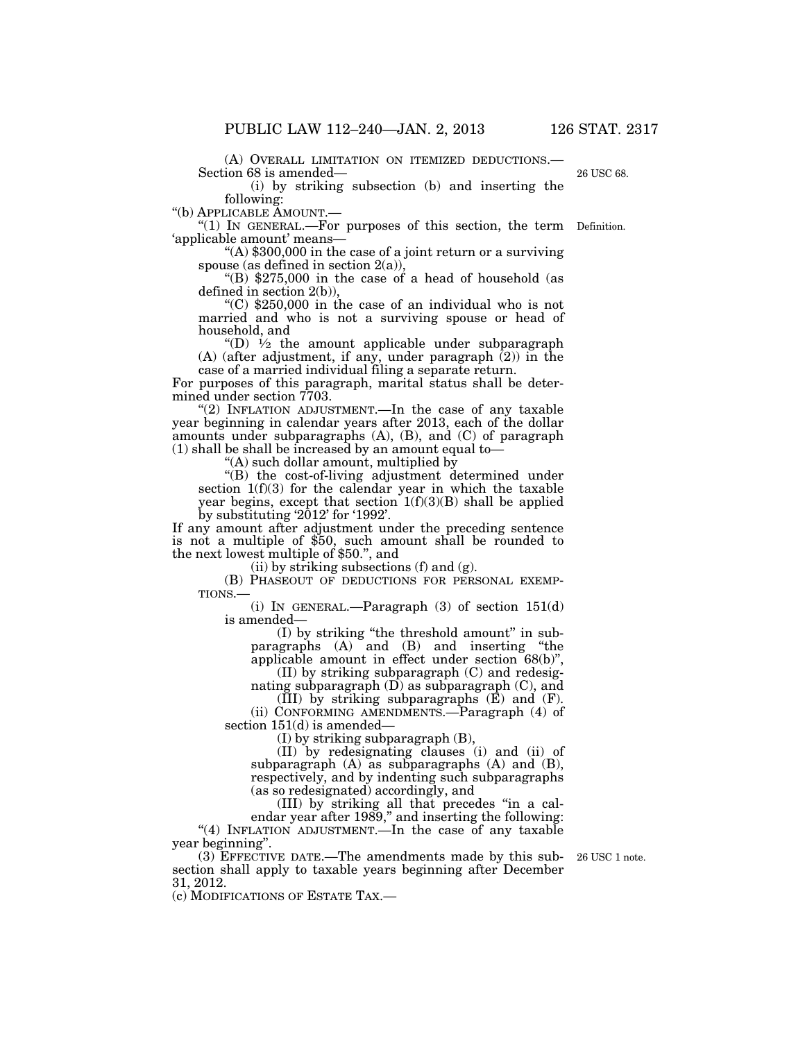(A) OVERALL LIMITATION ON ITEMIZED DEDUCTIONS.— Section 68 is amended—

(i) by striking subsection (b) and inserting the

following:<br>"(b) APPLICABLE AMOUNT.-

''(b) APPLICABLE AMOUNT.— ''(1) IN GENERAL.—For purposes of this section, the term Definition.

'applicable amount' means—<br>
"(A) \$300,000 in the case of a joint return or a surviving<br>
spouse (as defined in section  $2(a)$ ),

"(B)  $$275,000$  in the case of a head of household (as defined in section 2(b)),

 $(C)$  \$250,000 in the case of an individual who is not married and who is not a surviving spouse or head of household, and

"(D)  $\frac{1}{2}$  the amount applicable under subparagraph (A) (after adjustment, if any, under paragraph (2)) in the case of a married individual filing a separate return.

For purposes of this paragraph, marital status shall be determined under section 7703.

"(2) INFLATION ADJUSTMENT.—In the case of any taxable year beginning in calendar years after 2013, each of the dollar amounts under subparagraphs (A), (B), and (C) of paragraph (1) shall be shall be increased by an amount equal to—

"(A) such dollar amount, multiplied by

''(B) the cost-of-living adjustment determined under section  $1(f)(3)$  for the calendar year in which the taxable year begins, except that section  $1(f)(3)(B)$  shall be applied by substituting '2012' for '1992'.

If any amount after adjustment under the preceding sentence is not a multiple of \$50, such amount shall be rounded to the next lowest multiple of \$50.'', and

(ii) by striking subsections (f) and (g).

(B) PHASEOUT OF DEDUCTIONS FOR PERSONAL EXEMP-TIONS.—

(i) IN GENERAL.—Paragraph (3) of section 151(d) is amended—

(I) by striking ''the threshold amount'' in subparagraphs (A) and (B) and inserting ''the applicable amount in effect under section 68(b)'',

(II) by striking subparagraph (C) and redesignating subparagraph  $(D)$  as subparagraph  $(C)$ , and

 $(\overline{III})$  by striking subparagraphs  $(\overline{E})$  and  $(F)$ . (ii) CONFORMING AMENDMENTS.—Paragraph (4) of

section 151(d) is amended—

(I) by striking subparagraph (B),

(II) by redesignating clauses (i) and (ii) of subparagraph (A) as subparagraphs (A) and (B), respectively, and by indenting such subparagraphs (as so redesignated) accordingly, and

(III) by striking all that precedes ''in a calendar year after 1989," and inserting the following: "(4) INFLATION ADJUSTMENT.—In the case of any taxable year beginning''.

(3) EFFECTIVE DATE.—The amendments made by this subsection shall apply to taxable years beginning after December 31, 2012.

(c) MODIFICATIONS OF ESTATE TAX.—

26 USC 1 note.

26 USC 68.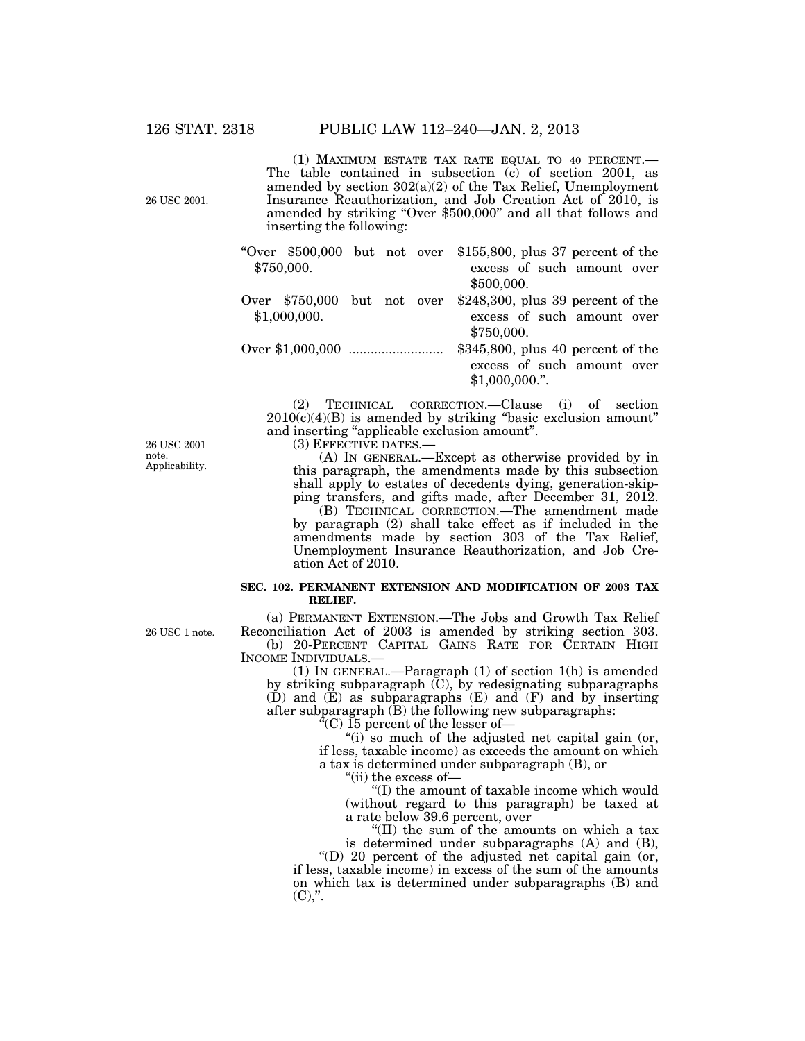26 USC 2001.

(1) MAXIMUM ESTATE TAX RATE EQUAL TO 40 PERCENT.— The table contained in subsection (c) of section 2001, as amended by section 302(a)(2) of the Tax Relief, Unemployment Insurance Reauthorization, and Job Creation Act of 2010, is amended by striking "Over \$500,000" and all that follows and inserting the following:

|              |            |  |  |  | "Over $$500,000$ but not over $$155,800$ , plus 37 percent of the |
|--------------|------------|--|--|--|-------------------------------------------------------------------|
|              | \$750,000. |  |  |  | excess of such amount over                                        |
|              |            |  |  |  | \$500,000.                                                        |
|              |            |  |  |  | Over $$750,000$ but not over $$248,300$ , plus 39 percent of the  |
| \$1,000,000. |            |  |  |  | excess of such amount over                                        |
|              |            |  |  |  | \$750,000.                                                        |
|              |            |  |  |  | $$345,800$ , plus 40 percent of the                               |
|              |            |  |  |  | excess of such amount over                                        |

(2) TECHNICAL CORRECTION.—Clause (i) of section  $2010(c)(4)(B)$  is amended by striking "basic exclusion amount" and inserting "applicable exclusion amount".

(3) EFFECTIVE DATES.—

(A) IN GENERAL.—Except as otherwise provided by in this paragraph, the amendments made by this subsection shall apply to estates of decedents dying, generation-skipping transfers, and gifts made, after December 31, 2012.

\$1,000,000.''.

(B) TECHNICAL CORRECTION.—The amendment made by paragraph (2) shall take effect as if included in the amendments made by section 303 of the Tax Relief, Unemployment Insurance Reauthorization, and Job Creation Act of 2010.

#### **SEC. 102. PERMANENT EXTENSION AND MODIFICATION OF 2003 TAX RELIEF.**

(a) PERMANENT EXTENSION.—The Jobs and Growth Tax Relief Reconciliation Act of 2003 is amended by striking section 303. (b) 20-PERCENT CAPITAL GAINS RATE FOR CERTAIN HIGH INCOME INDIVIDUALS.—

(1) IN GENERAL.—Paragraph (1) of section 1(h) is amended by striking subparagraph  $(C)$ , by redesignating subparagraphs  $(D)$  and  $(E)$  as subparagraphs  $(E)$  and  $(F)$  and by inserting after subparagraph (B) the following new subparagraphs:

 $\sqrt[7]{2}$ (C) 15 percent of the lesser of-

"(i) so much of the adjusted net capital gain (or, if less, taxable income) as exceeds the amount on which a tax is determined under subparagraph (B), or

''(ii) the excess of—

''(I) the amount of taxable income which would (without regard to this paragraph) be taxed at a rate below 39.6 percent, over

''(II) the sum of the amounts on which a tax is determined under subparagraphs (A) and (B),

''(D) 20 percent of the adjusted net capital gain (or, if less, taxable income) in excess of the sum of the amounts on which tax is determined under subparagraphs (B) and  $(C)$ ,".

26 USC 2001 note. Applicability.

26 USC 1 note.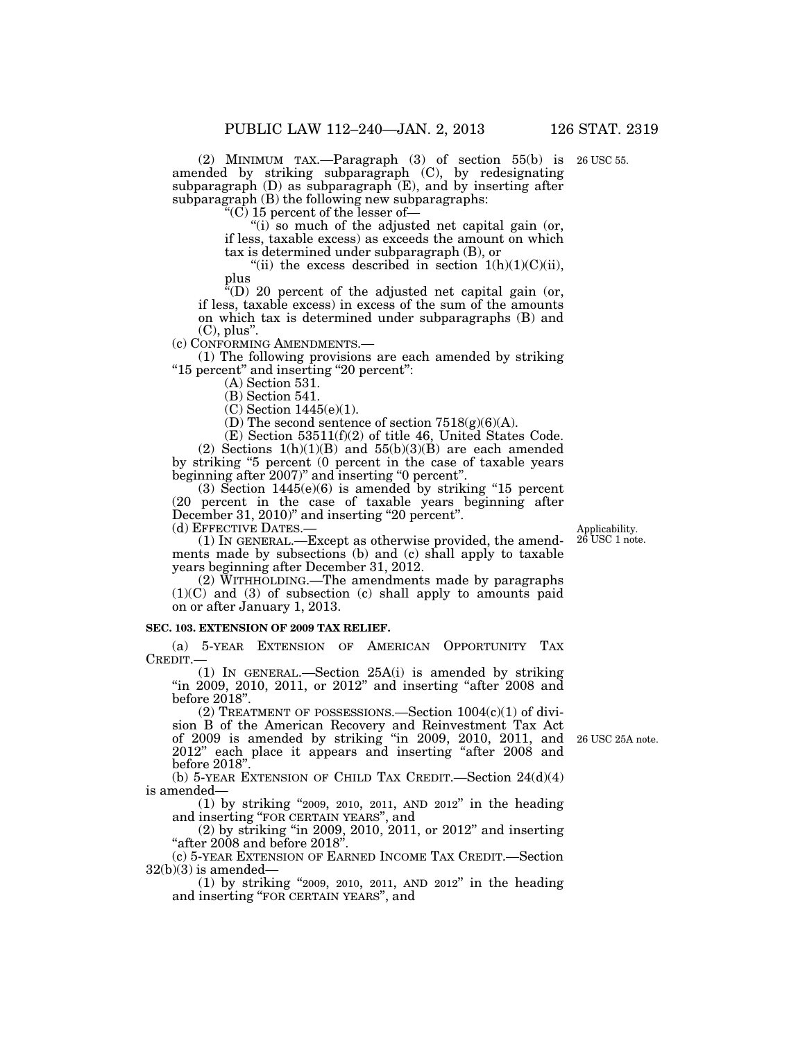(2) MINIMUM TAX.—Paragraph (3) of section 55(b) is 26 USC 55. amended by striking subparagraph (C), by redesignating subparagraph (D) as subparagraph (E), and by inserting after subparagraph (B) the following new subparagraphs:

 $\mathcal{C}(\overline{C})$  15 percent of the lesser of-

" $(i)$  so much of the adjusted net capital gain (or, if less, taxable excess) as exceeds the amount on which tax is determined under subparagraph (B), or

"(ii) the excess described in section  $1(h)(1)(C)(ii)$ , plus<br>

 $f(D)$  20 percent of the adjusted net capital gain (or, if less, taxable excess) in excess of the sum of the amounts on which tax is determined under subparagraphs (B) and (C), plus".<br>(c) CONFORMING AMENDMENTS.—

 $(1)$  The following provisions are each amended by striking "15 percent" and inserting "20 percent":

(A) Section 531.

(B) Section 541.

(C) Section 1445(e)(1).

(D) The second sentence of section  $7518(g)(6)(A)$ .

(E) Section 53511(f)(2) of title 46, United States Code. (2) Sections  $1(h)(1)(B)$  and  $55(h)(3)(B)$  are each amended by striking "5 percent (0 percent in the case of taxable years beginning after 2007)" and inserting "0 percent".

 $(3)$  Section 1445 $(e)(6)$  is amended by striking "15 percent (20 percent in the case of taxable years beginning after December 31, 2010)" and inserting "20 percent".

(d) EFFECTIVE DATES.—

Applicability. 26 USC 1 note.

(1) IN GENERAL.—Except as otherwise provided, the amendments made by subsections (b) and (c) shall apply to taxable years beginning after December 31, 2012.

(2) WITHHOLDING.—The amendments made by paragraphs (1)(C) and (3) of subsection (c) shall apply to amounts paid on or after January 1, 2013.

#### **SEC. 103. EXTENSION OF 2009 TAX RELIEF.**

(a) 5-YEAR EXTENSION OF AMERICAN OPPORTUNITY TAX CREDIT.—

(1) IN GENERAL.—Section 25A(i) is amended by striking "in 2009, 2010, 2011, or 2012" and inserting "after 2008 and before 2018''.

(2) TREATMENT OF POSSESSIONS.—Section  $1004(c)(1)$  of division B of the American Recovery and Reinvestment Tax Act of 2009 is amended by striking ''in 2009, 2010, 2011, and 2012'' each place it appears and inserting ''after 2008 and before 2018''.

(b) 5-YEAR EXTENSION OF CHILD TAX CREDIT.—Section 24(d)(4) is amended—

(1) by striking ''2009, 2010, 2011, AND 2012'' in the heading and inserting ''FOR CERTAIN YEARS'', and

(2) by striking ''in 2009, 2010, 2011, or 2012'' and inserting ''after 2008 and before 2018''.

(c) 5-YEAR EXTENSION OF EARNED INCOME TAX CREDIT.—Section  $32(b)(3)$  is amended—

(1) by striking ''2009, 2010, 2011, AND 2012'' in the heading and inserting ''FOR CERTAIN YEARS'', and

26 USC 25A note.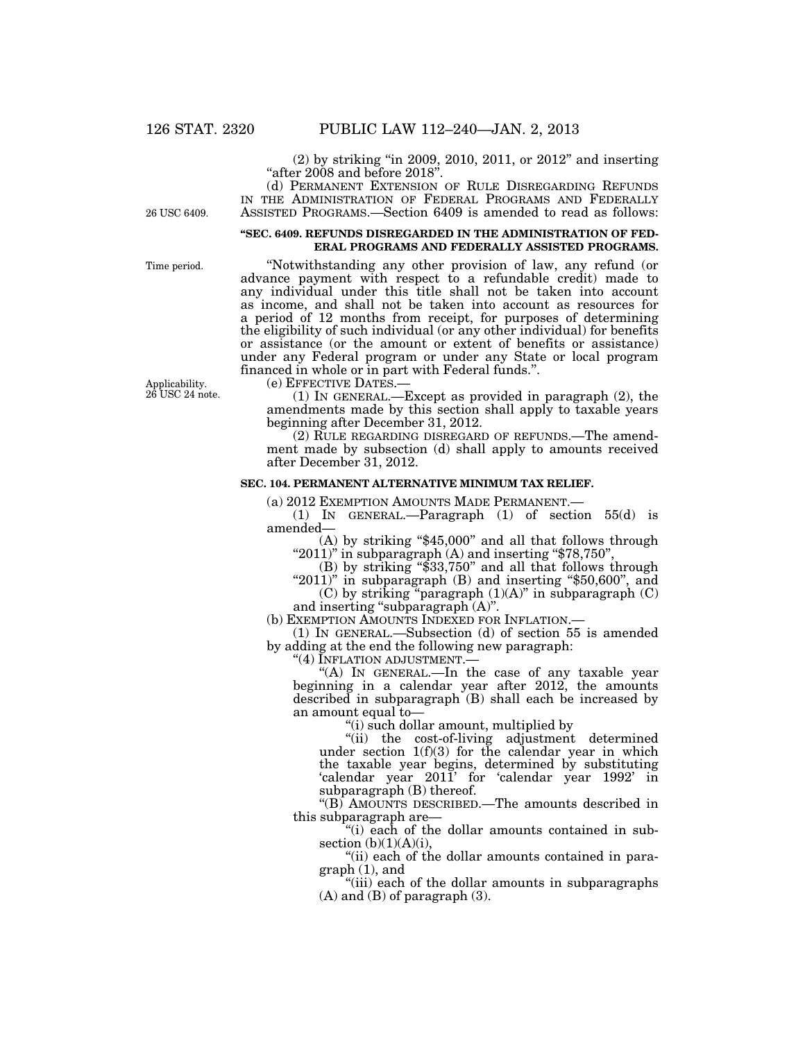(2) by striking ''in 2009, 2010, 2011, or 2012'' and inserting "after 2008 and before 2018".

(d) PERMANENT EXTENSION OF RULE DISREGARDING REFUNDS IN THE ADMINISTRATION OF FEDERAL PROGRAMS AND FEDERALLY ASSISTED PROGRAMS.—Section 6409 is amended to read as follows:

26 USC 6409.

#### **''SEC. 6409. REFUNDS DISREGARDED IN THE ADMINISTRATION OF FED-ERAL PROGRAMS AND FEDERALLY ASSISTED PROGRAMS.**

Time period.

Applicability. 26 USC 24 note.

''Notwithstanding any other provision of law, any refund (or advance payment with respect to a refundable credit) made to any individual under this title shall not be taken into account as income, and shall not be taken into account as resources for a period of 12 months from receipt, for purposes of determining the eligibility of such individual (or any other individual) for benefits or assistance (or the amount or extent of benefits or assistance) under any Federal program or under any State or local program financed in whole or in part with Federal funds.''.

(e) EFFECTIVE DATES.—

(1) IN GENERAL.—Except as provided in paragraph (2), the amendments made by this section shall apply to taxable years beginning after December 31, 2012.

(2) RULE REGARDING DISREGARD OF REFUNDS.—The amendment made by subsection (d) shall apply to amounts received after December 31, 2012.

### **SEC. 104. PERMANENT ALTERNATIVE MINIMUM TAX RELIEF.**

(a) 2012 EXEMPTION AMOUNTS MADE PERMANENT.—

(1) IN GENERAL.—Paragraph (1) of section 55(d) is amended—

(A) by striking ''\$45,000'' and all that follows through " $2011$ " in subparagraph (A) and inserting " $878,750$ ",

(B) by striking ''\$33,750'' and all that follows through

" $2011$ " in subparagraph  $(B)$  and inserting "\$50,600", and  $(C)$  by striking "paragraph  $(1)(A)$ " in subparagraph  $(C)$ 

and inserting "subparagraph  $(A)$ ".

(b) EXEMPTION AMOUNTS INDEXED FOR INFLATION.—

(1) IN GENERAL.—Subsection (d) of section 55 is amended by adding at the end the following new paragraph:

''(4) INFLATION ADJUSTMENT.—

"(A) In GENERAL.—In the case of any taxable year beginning in a calendar year after 2012, the amounts described in subparagraph (B) shall each be increased by an amount equal to—

''(i) such dollar amount, multiplied by

''(ii) the cost-of-living adjustment determined under section  $1(f)(3)$  for the calendar year in which the taxable year begins, determined by substituting 'calendar year 2011' for 'calendar year 1992' in subparagraph (B) thereof.

''(B) AMOUNTS DESCRIBED.—The amounts described in this subparagraph are—

''(i) each of the dollar amounts contained in subsection  $(b)(1)(A)(i)$ ,

''(ii) each of the dollar amounts contained in paragraph (1), and

"(iii) each of the dollar amounts in subparagraphs (A) and (B) of paragraph (3).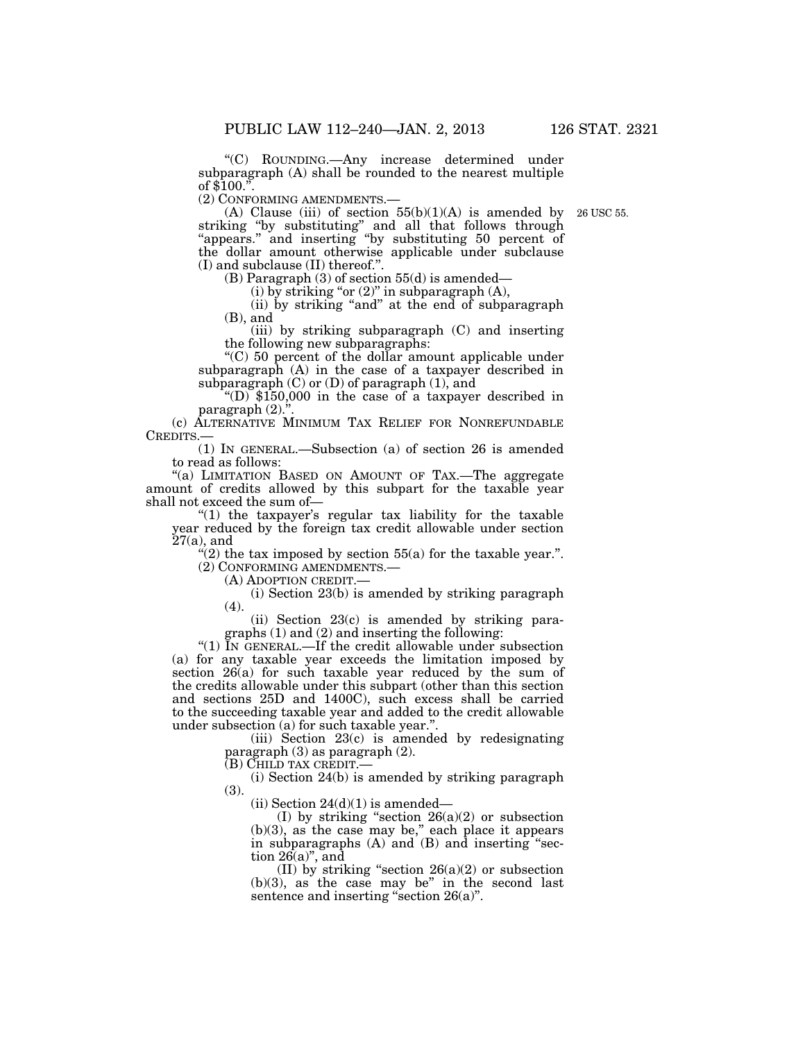''(C) ROUNDING.—Any increase determined under subparagraph (A) shall be rounded to the nearest multiple of  $$100.<sup>5</sup>$ 

(2) CONFORMING AMENDMENTS.— (A) Clause (iii) of section 55(b)(1)(A) is amended by 26 USC 55. striking "by substituting" and all that follows through ''appears.'' and inserting ''by substituting 50 percent of the dollar amount otherwise applicable under subclause (I) and subclause (II) thereof.''.

(B) Paragraph (3) of section 55(d) is amended—

(i) by striking "or  $(2)$ " in subparagraph  $(A)$ ,

(ii) by striking ''and'' at the end of subparagraph (B), and

(iii) by striking subparagraph (C) and inserting the following new subparagraphs:

''(C) 50 percent of the dollar amount applicable under subparagraph  $(A)$  in the case of a taxpayer described in subparagraph  $(C)$  or  $(D)$  of paragraph  $(1)$ , and

"(D)  $$150,000$  in the case of a taxpayer described in paragraph $(2)$ .'

(c) ALTERNATIVE MINIMUM TAX RELIEF FOR NONREFUNDABLE CREDITS.—

(1) IN GENERAL.—Subsection (a) of section 26 is amended to read as follows:

"(a) LIMITATION BASED ON AMOUNT OF TAX.—The aggregate amount of credits allowed by this subpart for the taxable year shall not exceed the sum of—

" $(1)$  the taxpayer's regular tax liability for the taxable year reduced by the foreign tax credit allowable under section 27(a), and

"(2) the tax imposed by section  $55(a)$  for the taxable year.". (2) CONFORMING AMENDMENTS.—

(A) ADOPTION CREDIT.—

(i) Section 23(b) is amended by striking paragraph (4).

(ii) Section 23(c) is amended by striking paragraphs (1) and (2) and inserting the following:

''(1) IN GENERAL.—If the credit allowable under subsection (a) for any taxable year exceeds the limitation imposed by section 26(a) for such taxable year reduced by the sum of the credits allowable under this subpart (other than this section and sections 25D and 1400C), such excess shall be carried to the succeeding taxable year and added to the credit allowable under subsection (a) for such taxable year.''.

> (iii) Section 23(c) is amended by redesignating paragraph (3) as paragraph (2).

(B) CHILD TAX CREDIT.—

(i) Section 24(b) is amended by striking paragraph (3).

(ii) Section  $24(d)(1)$  is amended—

(I) by striking "section  $26(a)(2)$  or subsection  $(b)(3)$ , as the case may be," each place it appears in subparagraphs (A) and (B) and inserting ''section  $26(a)$ ", and

(II) by striking "section  $26(a)(2)$  or subsection (b)(3), as the case may be'' in the second last sentence and inserting "section 26(a)".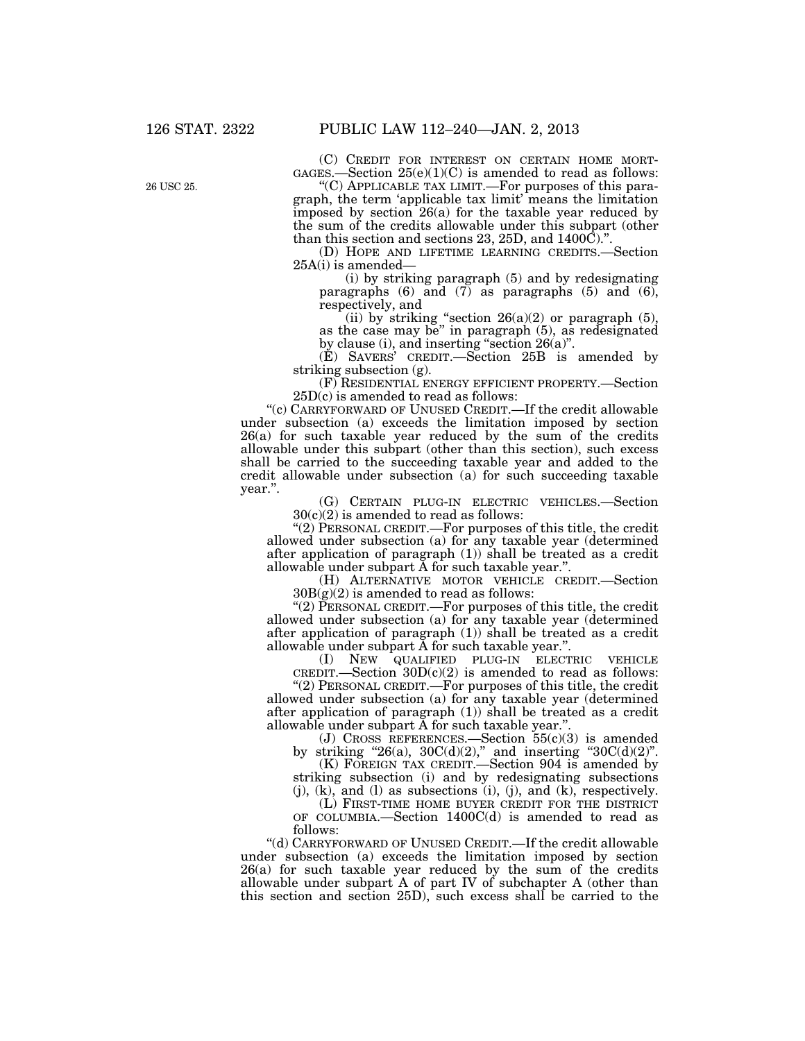26 USC 25.

(C) CREDIT FOR INTEREST ON CERTAIN HOME MORT-GAGES.—Section  $25(e)(1)(C)$  is amended to read as follows:

''(C) APPLICABLE TAX LIMIT.—For purposes of this paragraph, the term 'applicable tax limit' means the limitation imposed by section 26(a) for the taxable year reduced by the sum of the credits allowable under this subpart (other than this section and sections 23, 25D, and 1400C).''.

(D) HOPE AND LIFETIME LEARNING CREDITS.—Section 25A(i) is amended—

(i) by striking paragraph (5) and by redesignating paragraphs  $(6)$  and  $(7)$  as paragraphs  $(5)$  and  $(6)$ , respectively, and

(ii) by striking "section  $26(a)(2)$  or paragraph  $(5)$ , as the case may be'' in paragraph (5), as redesignated by clause (i), and inserting "section  $26(a)$ ".

(E) SAVERS' CREDIT.—Section 25B is amended by striking subsection (g).

(F) RESIDENTIAL ENERGY EFFICIENT PROPERTY.—Section 25D(c) is amended to read as follows:

''(c) CARRYFORWARD OF UNUSED CREDIT.—If the credit allowable under subsection (a) exceeds the limitation imposed by section 26(a) for such taxable year reduced by the sum of the credits allowable under this subpart (other than this section), such excess shall be carried to the succeeding taxable year and added to the credit allowable under subsection (a) for such succeeding taxable year.''.

(G) CERTAIN PLUG-IN ELECTRIC VEHICLES.—Section  $30(c)(2)$  is amended to read as follows:

''(2) PERSONAL CREDIT.—For purposes of this title, the credit allowed under subsection (a) for any taxable year (determined after application of paragraph (1)) shall be treated as a credit allowable under subpart A for such taxable year.''.

(H) ALTERNATIVE MOTOR VEHICLE CREDIT.—Section  $30B(g)(2)$  is amended to read as follows:

"(2) PERSONAL CREDIT.—For purposes of this title, the credit allowed under subsection (a) for any taxable year (determined after application of paragraph (1)) shall be treated as a credit allowable under subpart  $\breve{A}$  for such taxable year.".

(I) NEW QUALIFIED PLUG-IN ELECTRIC VEHICLE CREDIT.—Section  $30D(c)(2)$  is amended to read as follows:

''(2) PERSONAL CREDIT.—For purposes of this title, the credit allowed under subsection (a) for any taxable year (determined after application of paragraph (1)) shall be treated as a credit allowable under subpart A for such taxable year.''.

(J) CROSS REFERENCES.—Section  $55(c)(3)$  is amended by striking "26(a),  $30C(d)(2)$ ," and inserting " $30C(d)(2)$ ".

(K) FOREIGN TAX CREDIT.—Section 904 is amended by striking subsection (i) and by redesignating subsections

(j), (k), and (l) as subsections (i), (j), and (k), respectively. (L) FIRST-TIME HOME BUYER CREDIT FOR THE DISTRICT

OF COLUMBIA.—Section 1400C(d) is amended to read as follows:

''(d) CARRYFORWARD OF UNUSED CREDIT.—If the credit allowable under subsection (a) exceeds the limitation imposed by section 26(a) for such taxable year reduced by the sum of the credits allowable under subpart A of part IV of subchapter A (other than this section and section 25D), such excess shall be carried to the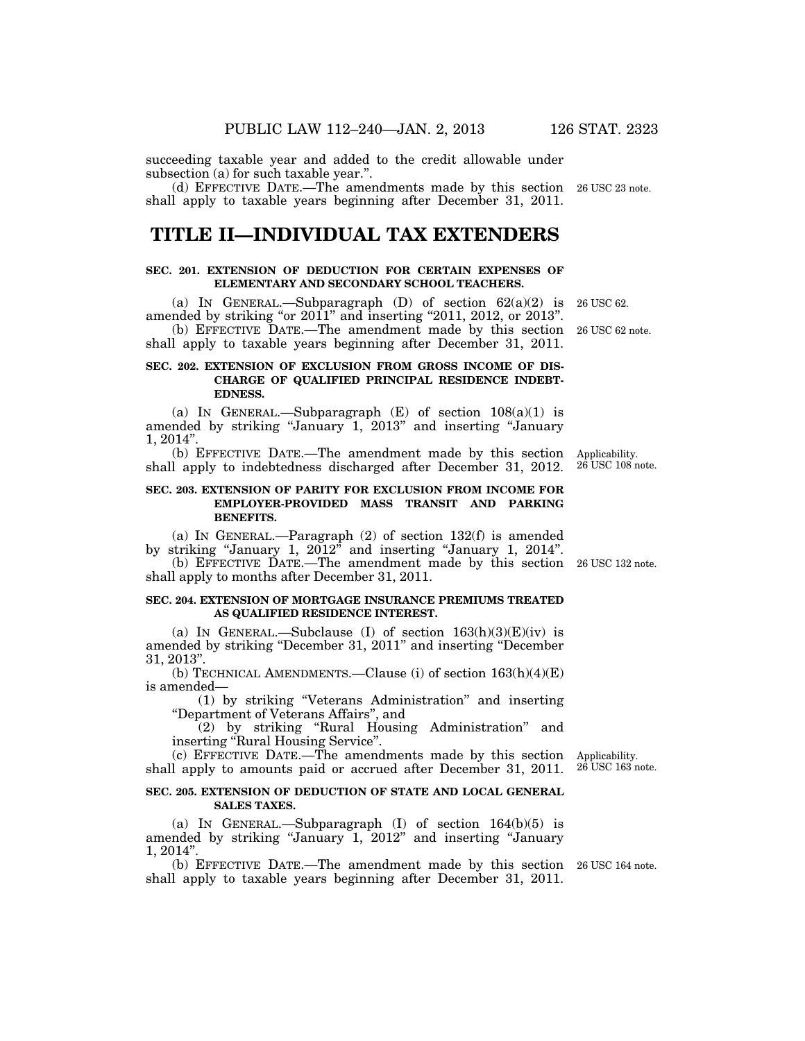succeeding taxable year and added to the credit allowable under subsection (a) for such taxable year.".

(d) EFFECTIVE DATE.—The amendments made by this section 26 USC 23 note. shall apply to taxable years beginning after December 31, 2011.

# **TITLE II—INDIVIDUAL TAX EXTENDERS**

#### **SEC. 201. EXTENSION OF DEDUCTION FOR CERTAIN EXPENSES OF ELEMENTARY AND SECONDARY SCHOOL TEACHERS.**

(a) IN GENERAL.—Subparagraph (D) of section  $62(a)(2)$  is amended by striking "or 2011" and inserting "2011, 2012, or 2013".

(b) EFFECTIVE DATE.—The amendment made by this section 26 USC 62 note. shall apply to taxable years beginning after December 31, 2011.

#### **SEC. 202. EXTENSION OF EXCLUSION FROM GROSS INCOME OF DIS-CHARGE OF QUALIFIED PRINCIPAL RESIDENCE INDEBT-EDNESS.**

(a) IN GENERAL.—Subparagraph  $(E)$  of section  $108(a)(1)$  is amended by striking "January 1, 2013" and inserting "January 1, 2014''.

(b) EFFECTIVE DATE.—The amendment made by this section shall apply to indebtedness discharged after December 31, 2012.

#### **SEC. 203. EXTENSION OF PARITY FOR EXCLUSION FROM INCOME FOR EMPLOYER-PROVIDED MASS TRANSIT AND PARKING BENEFITS.**

(a) IN GENERAL.—Paragraph (2) of section 132(f) is amended by striking "January 1,  $2012$ " and inserting "January 1,  $2014$ ".

(b) EFFECTIVE DATE.—The amendment made by this section 26 USC 132 note. shall apply to months after December 31, 2011.

#### **SEC. 204. EXTENSION OF MORTGAGE INSURANCE PREMIUMS TREATED AS QUALIFIED RESIDENCE INTEREST.**

(a) IN GENERAL.—Subclause (I) of section  $163(h)(3)(E)(iv)$  is amended by striking ''December 31, 2011'' and inserting ''December 31, 2013''.

(b) TECHNICAL AMENDMENTS.—Clause (i) of section  $163(h)(4)(E)$ is amended—

(1) by striking ''Veterans Administration'' and inserting ''Department of Veterans Affairs'', and

(2) by striking ''Rural Housing Administration'' and inserting "Rural Housing Service".

(c) EFFECTIVE DATE.—The amendments made by this section Applicability. shall apply to amounts paid or accrued after December 31, 2011. 26 USC 163 note.

#### **SEC. 205. EXTENSION OF DEDUCTION OF STATE AND LOCAL GENERAL SALES TAXES.**

(a) IN GENERAL.—Subparagraph (I) of section 164(b)(5) is amended by striking "January 1, 2012" and inserting "January 1, 2014''.

(b) EFFECTIVE DATE.—The amendment made by this section 26 USC 164 note. shall apply to taxable years beginning after December 31, 2011.

Applicability. 26 USC 108 note.

26 USC 62.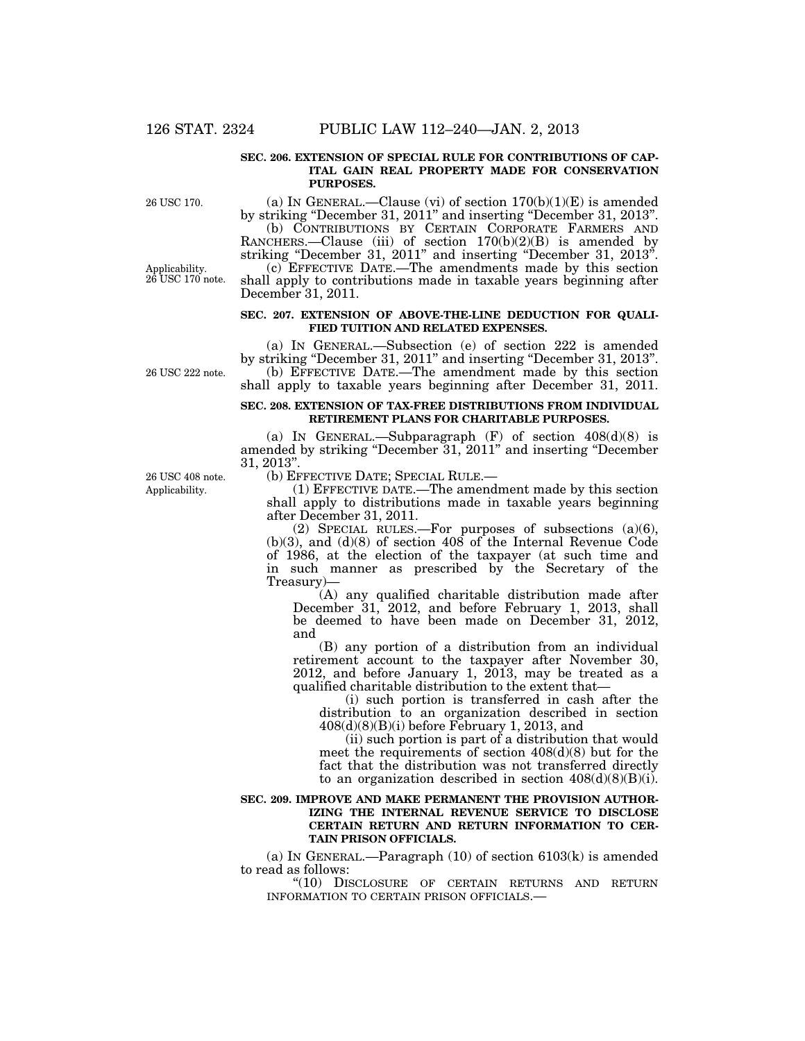#### **SEC. 206. EXTENSION OF SPECIAL RULE FOR CONTRIBUTIONS OF CAP-ITAL GAIN REAL PROPERTY MADE FOR CONSERVATION PURPOSES.**

26 USC 170.

Applicability. 26 USC 170 note.

(a) IN GENERAL.—Clause (vi) of section  $170(b)(1)(E)$  is amended by striking ''December 31, 2011'' and inserting ''December 31, 2013''.

(b) CONTRIBUTIONS BY CERTAIN CORPORATE FARMERS AND RANCHERS.—Clause (iii) of section 170(b)(2)(B) is amended by striking ''December 31, 2011'' and inserting ''December 31, 2013''.

(c) EFFECTIVE DATE.—The amendments made by this section shall apply to contributions made in taxable years beginning after December 31, 2011.

#### **SEC. 207. EXTENSION OF ABOVE-THE-LINE DEDUCTION FOR QUALI-FIED TUITION AND RELATED EXPENSES.**

(a) IN GENERAL.—Subsection (e) of section 222 is amended by striking ''December 31, 2011'' and inserting ''December 31, 2013''. (b) EFFECTIVE DATE.—The amendment made by this section shall apply to taxable years beginning after December 31, 2011.

#### **SEC. 208. EXTENSION OF TAX-FREE DISTRIBUTIONS FROM INDIVIDUAL RETIREMENT PLANS FOR CHARITABLE PURPOSES.**

(a) IN GENERAL.—Subparagraph  $(F)$  of section  $408(d)(8)$  is amended by striking ''December 31, 2011'' and inserting ''December 31, 2013''.

Applicability. 26 USC 408 note.

26 USC 222 note.

(b) EFFECTIVE DATE; SPECIAL RULE.—

(1) EFFECTIVE DATE.—The amendment made by this section shall apply to distributions made in taxable years beginning after December 31, 2011.

(2) SPECIAL RULES.—For purposes of subsections (a)(6),  $(b)(3)$ , and  $(d)(8)$  of section  $408$  of the Internal Revenue Code of 1986, at the election of the taxpayer (at such time and in such manner as prescribed by the Secretary of the Treasury)—

(A) any qualified charitable distribution made after December 31, 2012, and before February 1, 2013, shall be deemed to have been made on December 31, 2012, and

(B) any portion of a distribution from an individual retirement account to the taxpayer after November 30, 2012, and before January 1, 2013, may be treated as a qualified charitable distribution to the extent that—

(i) such portion is transferred in cash after the distribution to an organization described in section  $408(d)(8)(B)(i)$  before February 1, 2013, and

(ii) such portion is part of a distribution that would meet the requirements of section 408(d)(8) but for the fact that the distribution was not transferred directly to an organization described in section  $408(d)(8)(B)(i)$ .

#### **SEC. 209. IMPROVE AND MAKE PERMANENT THE PROVISION AUTHOR-IZING THE INTERNAL REVENUE SERVICE TO DISCLOSE CERTAIN RETURN AND RETURN INFORMATION TO CER-TAIN PRISON OFFICIALS.**

(a) In GENERAL.—Paragraph  $(10)$  of section  $6103(k)$  is amended to read as follows:

''(10) DISCLOSURE OF CERTAIN RETURNS AND RETURN INFORMATION TO CERTAIN PRISON OFFICIALS.—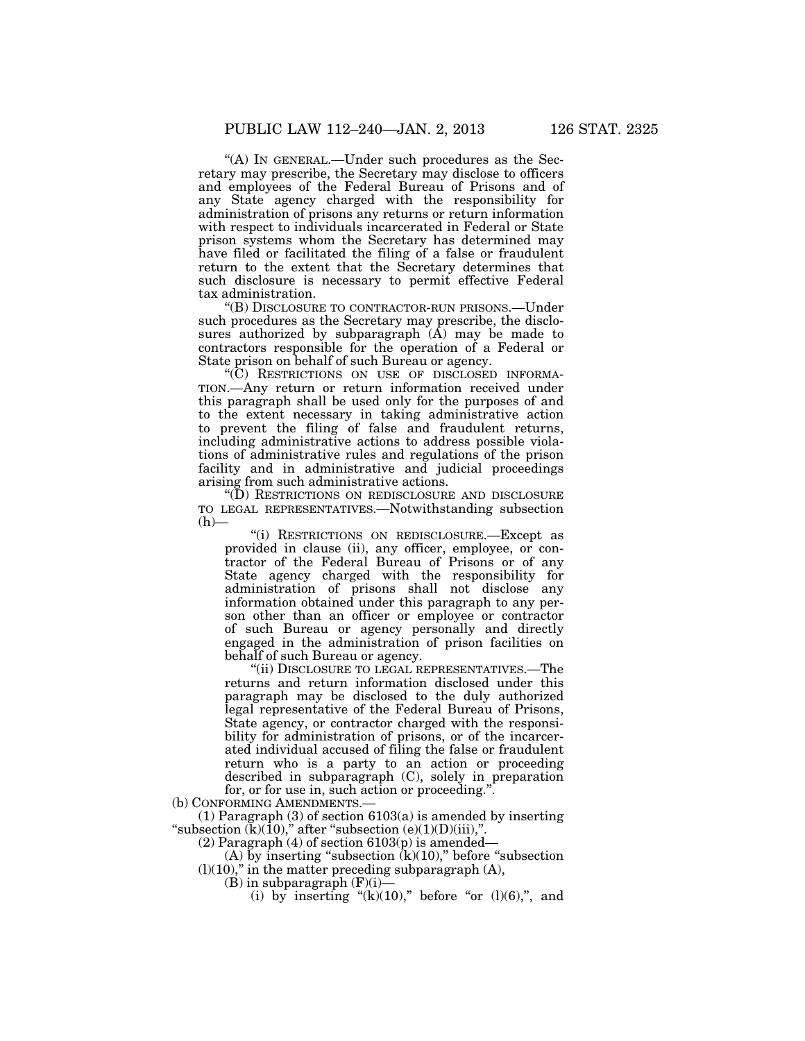''(A) IN GENERAL.—Under such procedures as the Secretary may prescribe, the Secretary may disclose to officers and employees of the Federal Bureau of Prisons and of any State agency charged with the responsibility for administration of prisons any returns or return information with respect to individuals incarcerated in Federal or State prison systems whom the Secretary has determined may have filed or facilitated the filing of a false or fraudulent return to the extent that the Secretary determines that such disclosure is necessary to permit effective Federal tax administration.

''(B) DISCLOSURE TO CONTRACTOR-RUN PRISONS.—Under such procedures as the Secretary may prescribe, the disclosures authorized by subparagraph  $(A)$  may be made to contractors responsible for the operation of a Federal or State prison on behalf of such Bureau or agency.

''(C) RESTRICTIONS ON USE OF DISCLOSED INFORMA-TION.—Any return or return information received under this paragraph shall be used only for the purposes of and to the extent necessary in taking administrative action to prevent the filing of false and fraudulent returns, including administrative actions to address possible violations of administrative rules and regulations of the prison facility and in administrative and judicial proceedings arising from such administrative actions.

''(D) RESTRICTIONS ON REDISCLOSURE AND DISCLOSURE TO LEGAL REPRESENTATIVES.—Notwithstanding subsection  $(h)$ —

''(i) RESTRICTIONS ON REDISCLOSURE.—Except as provided in clause (ii), any officer, employee, or contractor of the Federal Bureau of Prisons or of any State agency charged with the responsibility for administration of prisons shall not disclose any information obtained under this paragraph to any person other than an officer or employee or contractor of such Bureau or agency personally and directly engaged in the administration of prison facilities on behalf of such Bureau or agency.

''(ii) DISCLOSURE TO LEGAL REPRESENTATIVES.—The returns and return information disclosed under this paragraph may be disclosed to the duly authorized legal representative of the Federal Bureau of Prisons, State agency, or contractor charged with the responsibility for administration of prisons, or of the incarcerated individual accused of filing the false or fraudulent return who is a party to an action or proceeding described in subparagraph (C), solely in preparation for, or for use in, such action or proceeding.''.

(b) CONFORMING AMENDMENTS.

(1) Paragraph (3) of section 6103(a) is amended by inserting "subsection  $(k)(10)$ ," after "subsection  $(e)(1)(D)(iii)$ ,".

(2) Paragraph (4) of section  $6103(p)$  is amended—

(A) by inserting "subsection  $(k)(10)$ ," before "subsection  $(l)(10)$ ," in the matter preceding subparagraph  $(A)$ ,

 $(B)$  in subparagraph  $(F)(i)$ —

(i) by inserting " $(k)(10)$ ," before "or  $(l)(6)$ ,", and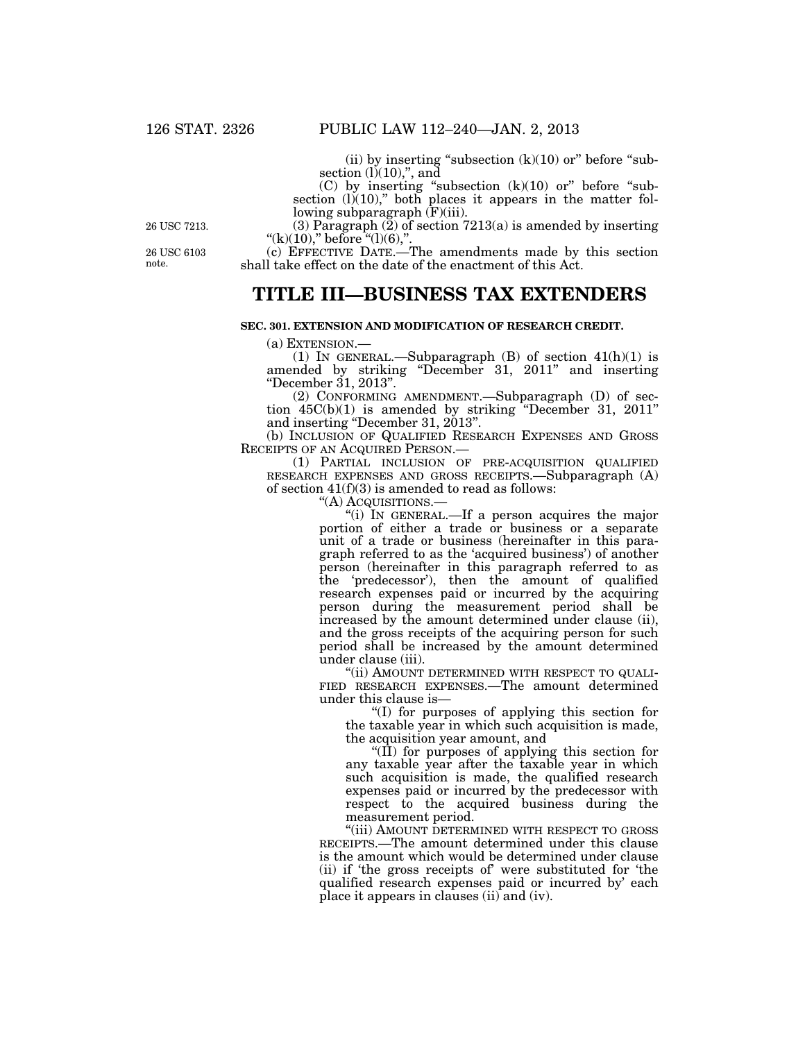(ii) by inserting "subsection  $(k)(10)$  or" before "subsection  $(l)(10)$ ,", and

 $(C)$  by inserting "subsection  $(k)(10)$  or" before "subsection  $(l)(10)$ ," both places it appears in the matter following subparagraph  $(F)(iii)$ .

26 USC 7213.

26 USC 6103 note.

(3) Paragraph  $(2)$  of section 7213(a) is amended by inserting "(k)(10)," before  $\tilde{f}$ "(l)(6),".

(c) EFFECTIVE DATE.—The amendments made by this section shall take effect on the date of the enactment of this Act.

# **TITLE III—BUSINESS TAX EXTENDERS**

#### **SEC. 301. EXTENSION AND MODIFICATION OF RESEARCH CREDIT.**

(a) EXTENSION.—<br>(1) IN GENERAL.—Subparagraph (B) of section  $41(h)(1)$  is amended by striking ''December 31, 2011'' and inserting ''December 31, 2013''.

(2) CONFORMING AMENDMENT.—Subparagraph (D) of section 45C(b)(1) is amended by striking ''December 31, 2011'' and inserting "December 31,  $2013$ ".

(b) INCLUSION OF QUALIFIED RESEARCH EXPENSES AND GROSS RECEIPTS OF AN ACQUIRED PERSON.—

(1) PARTIAL INCLUSION OF PRE-ACQUISITION QUALIFIED RESEARCH EXPENSES AND GROSS RECEIPTS.—Subparagraph (A) of section  $41(f)(3)$  is amended to read as follows:

''(A) ACQUISITIONS.—

''(i) IN GENERAL.—If a person acquires the major portion of either a trade or business or a separate unit of a trade or business (hereinafter in this paragraph referred to as the 'acquired business') of another person (hereinafter in this paragraph referred to as the 'predecessor'), then the amount of qualified research expenses paid or incurred by the acquiring person during the measurement period shall be increased by the amount determined under clause (ii), and the gross receipts of the acquiring person for such period shall be increased by the amount determined under clause (iii).

(ii) AMOUNT DETERMINED WITH RESPECT TO QUALI-FIED RESEARCH EXPENSES.—The amount determined under this clause is—

''(I) for purposes of applying this section for the taxable year in which such acquisition is made, the acquisition year amount, and

''(II) for purposes of applying this section for any taxable year after the taxable year in which such acquisition is made, the qualified research expenses paid or incurred by the predecessor with respect to the acquired business during the measurement period.

"(iii) AMOUNT DETERMINED WITH RESPECT TO GROSS RECEIPTS.—The amount determined under this clause is the amount which would be determined under clause (ii) if 'the gross receipts of' were substituted for 'the qualified research expenses paid or incurred by' each place it appears in clauses (ii) and (iv).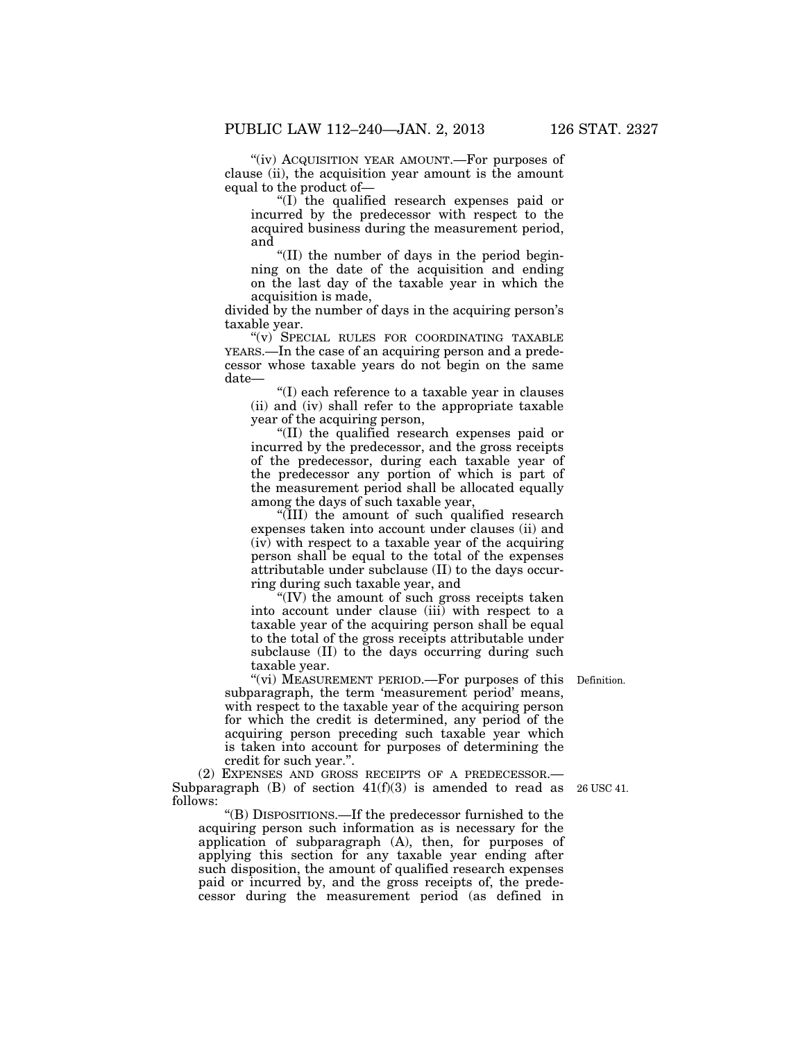"(iv) ACQUISITION YEAR AMOUNT.—For purposes of clause (ii), the acquisition year amount is the amount equal to the product of—

''(I) the qualified research expenses paid or incurred by the predecessor with respect to the acquired business during the measurement period, and

''(II) the number of days in the period beginning on the date of the acquisition and ending on the last day of the taxable year in which the acquisition is made,

divided by the number of days in the acquiring person's taxable year.

"(v) SPECIAL RULES FOR COORDINATING TAXABLE YEARS.—In the case of an acquiring person and a predecessor whose taxable years do not begin on the same date—

''(I) each reference to a taxable year in clauses (ii) and (iv) shall refer to the appropriate taxable year of the acquiring person,

''(II) the qualified research expenses paid or incurred by the predecessor, and the gross receipts of the predecessor, during each taxable year of the predecessor any portion of which is part of the measurement period shall be allocated equally among the days of such taxable year,

''(III) the amount of such qualified research expenses taken into account under clauses (ii) and (iv) with respect to a taxable year of the acquiring person shall be equal to the total of the expenses attributable under subclause (II) to the days occurring during such taxable year, and

''(IV) the amount of such gross receipts taken into account under clause (iii) with respect to a taxable year of the acquiring person shall be equal to the total of the gross receipts attributable under subclause (II) to the days occurring during such taxable year.

"(vi) MEASUREMENT PERIOD.—For purposes of this subparagraph, the term 'measurement period' means, with respect to the taxable year of the acquiring person for which the credit is determined, any period of the acquiring person preceding such taxable year which is taken into account for purposes of determining the credit for such year.''.

(2) EXPENSES AND GROSS RECEIPTS OF A PREDECESSOR.— Subparagraph  $(B)$  of section  $41(f)(3)$  is amended to read as 26 USC 41. follows:

''(B) DISPOSITIONS.—If the predecessor furnished to the acquiring person such information as is necessary for the application of subparagraph (A), then, for purposes of applying this section for any taxable year ending after such disposition, the amount of qualified research expenses paid or incurred by, and the gross receipts of, the predecessor during the measurement period (as defined in

Definition.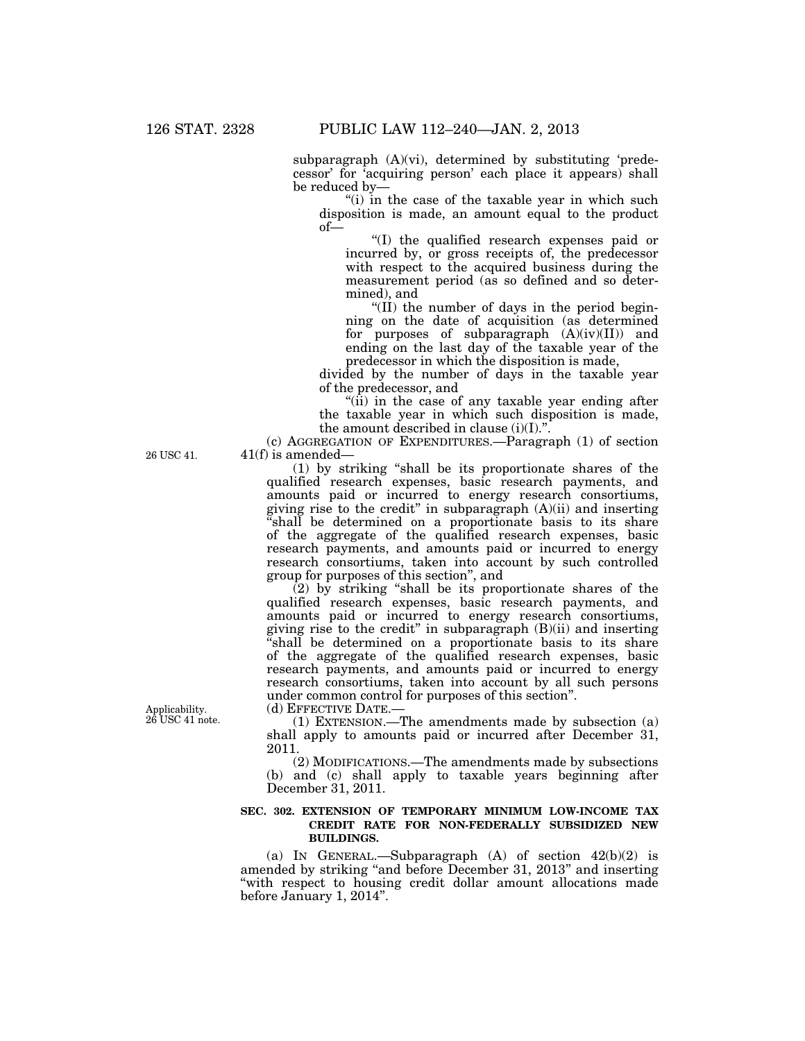subparagraph (A)(vi), determined by substituting 'predecessor' for 'acquiring person' each place it appears) shall be reduced by—

"(i) in the case of the taxable year in which such disposition is made, an amount equal to the product of—

''(I) the qualified research expenses paid or incurred by, or gross receipts of, the predecessor with respect to the acquired business during the measurement period (as so defined and so determined), and

''(II) the number of days in the period beginning on the date of acquisition (as determined for purposes of subparagraph  $(A)(iv)(II))$  and ending on the last day of the taxable year of the predecessor in which the disposition is made,

divided by the number of days in the taxable year of the predecessor, and

" $(i)$  in the case of any taxable year ending after the taxable year in which such disposition is made, the amount described in clause  $(i)(I)$ .".

(c) AGGREGATION OF EXPENDITURES.—Paragraph (1) of section 41(f) is amended—

(1) by striking ''shall be its proportionate shares of the qualified research expenses, basic research payments, and amounts paid or incurred to energy research consortiums, giving rise to the credit" in subparagraph  $(A)(ii)$  and inserting ''shall be determined on a proportionate basis to its share of the aggregate of the qualified research expenses, basic research payments, and amounts paid or incurred to energy research consortiums, taken into account by such controlled group for purposes of this section'', and

(2) by striking ''shall be its proportionate shares of the qualified research expenses, basic research payments, and amounts paid or incurred to energy research consortiums, giving rise to the credit'' in subparagraph (B)(ii) and inserting ''shall be determined on a proportionate basis to its share of the aggregate of the qualified research expenses, basic research payments, and amounts paid or incurred to energy research consortiums, taken into account by all such persons under common control for purposes of this section''.

(d) EFFECTIVE DATE.—

(1) EXTENSION.—The amendments made by subsection (a) shall apply to amounts paid or incurred after December 31, 2011.

(2) MODIFICATIONS.—The amendments made by subsections (b) and (c) shall apply to taxable years beginning after December 31, 2011.

#### **SEC. 302. EXTENSION OF TEMPORARY MINIMUM LOW-INCOME TAX CREDIT RATE FOR NON-FEDERALLY SUBSIDIZED NEW BUILDINGS.**

(a) IN GENERAL.—Subparagraph  $(A)$  of section  $42(b)(2)$  is amended by striking ''and before December 31, 2013'' and inserting "with respect to housing credit dollar amount allocations made before January 1, 2014''.

26 USC 41.

Applicability. 26 USC 41 note.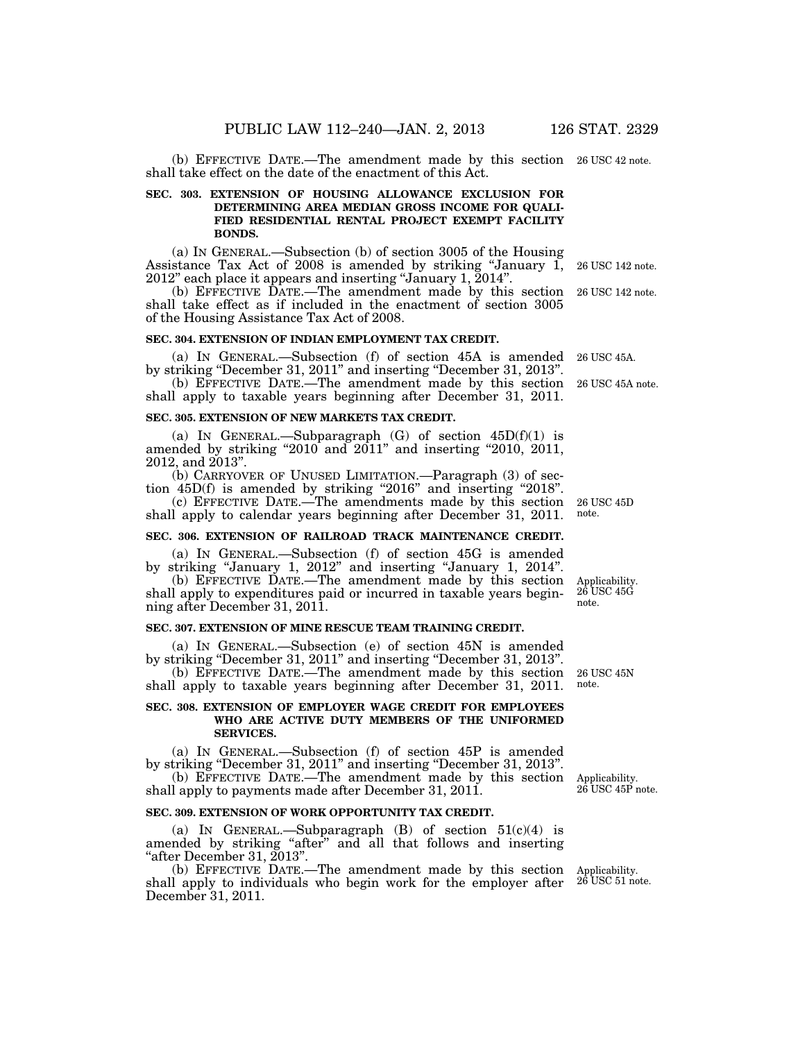(b) EFFECTIVE DATE.—The amendment made by this section 26 USC 42 note. shall take effect on the date of the enactment of this Act.

#### **SEC. 303. EXTENSION OF HOUSING ALLOWANCE EXCLUSION FOR DETERMINING AREA MEDIAN GROSS INCOME FOR QUALI-FIED RESIDENTIAL RENTAL PROJECT EXEMPT FACILITY BONDS.**

(a) IN GENERAL.—Subsection (b) of section 3005 of the Housing Assistance Tax Act of 2008 is amended by striking "January  $1$ , 2012'' each place it appears and inserting ''January 1, 2014''.

(b) EFFECTIVE DATE.—The amendment made by this section shall take effect as if included in the enactment of section 3005 of the Housing Assistance Tax Act of 2008.

#### **SEC. 304. EXTENSION OF INDIAN EMPLOYMENT TAX CREDIT.**

(a) IN GENERAL.—Subsection (f) of section 45A is amended by striking ''December 31, 2011'' and inserting ''December 31, 2013''.

(b) EFFECTIVE DATE.—The amendment made by this section 26 USC 45A note. shall apply to taxable years beginning after December 31, 2011.

#### **SEC. 305. EXTENSION OF NEW MARKETS TAX CREDIT.**

(a) IN GENERAL.—Subparagraph  $(G)$  of section  $45D(f)(1)$  is amended by striking "2010 and 2011" and inserting "2010, 2011, 2012, and 2013''.

(b) CARRYOVER OF UNUSED LIMITATION.—Paragraph (3) of section 45D(f) is amended by striking "2016" and inserting "2018".

(c) EFFECTIVE DATE.—The amendments made by this section 26 USC 45D shall apply to calendar years beginning after December 31, 2011. note.

#### **SEC. 306. EXTENSION OF RAILROAD TRACK MAINTENANCE CREDIT.**

(a) IN GENERAL.—Subsection (f) of section 45G is amended by striking ''January 1, 2012'' and inserting ''January 1, 2014''.

(b) EFFECTIVE DATE.—The amendment made by this section shall apply to expenditures paid or incurred in taxable years beginning after December 31, 2011.

#### **SEC. 307. EXTENSION OF MINE RESCUE TEAM TRAINING CREDIT.**

(a) IN GENERAL.—Subsection (e) of section 45N is amended by striking "December 31, 2011" and inserting "December 31, 2013".

(b) EFFECTIVE DATE.—The amendment made by this section shall apply to taxable years beginning after December 31, 2011.

#### **SEC. 308. EXTENSION OF EMPLOYER WAGE CREDIT FOR EMPLOYEES WHO ARE ACTIVE DUTY MEMBERS OF THE UNIFORMED SERVICES.**

(a) IN GENERAL.—Subsection (f) of section 45P is amended by striking ''December 31, 2011'' and inserting ''December 31, 2013''.

(b) EFFECTIVE DATE.—The amendment made by this section shall apply to payments made after December 31, 2011.

#### **SEC. 309. EXTENSION OF WORK OPPORTUNITY TAX CREDIT.**

(a) IN GENERAL.—Subparagraph  $(B)$  of section  $51(c)(4)$  is amended by striking "after" and all that follows and inserting ''after December 31, 2013''.

(b) EFFECTIVE DATE.—The amendment made by this section shall apply to individuals who begin work for the employer after December 31, 2011.

Applicability. 26 USC 45P note.

Applicability. 26 USC 45G

note.

26 USC 45N note.

26 USC 142 note.

26 USC 142 note.

26 USC 45A.

Applicability.  $26$  USC 51 note.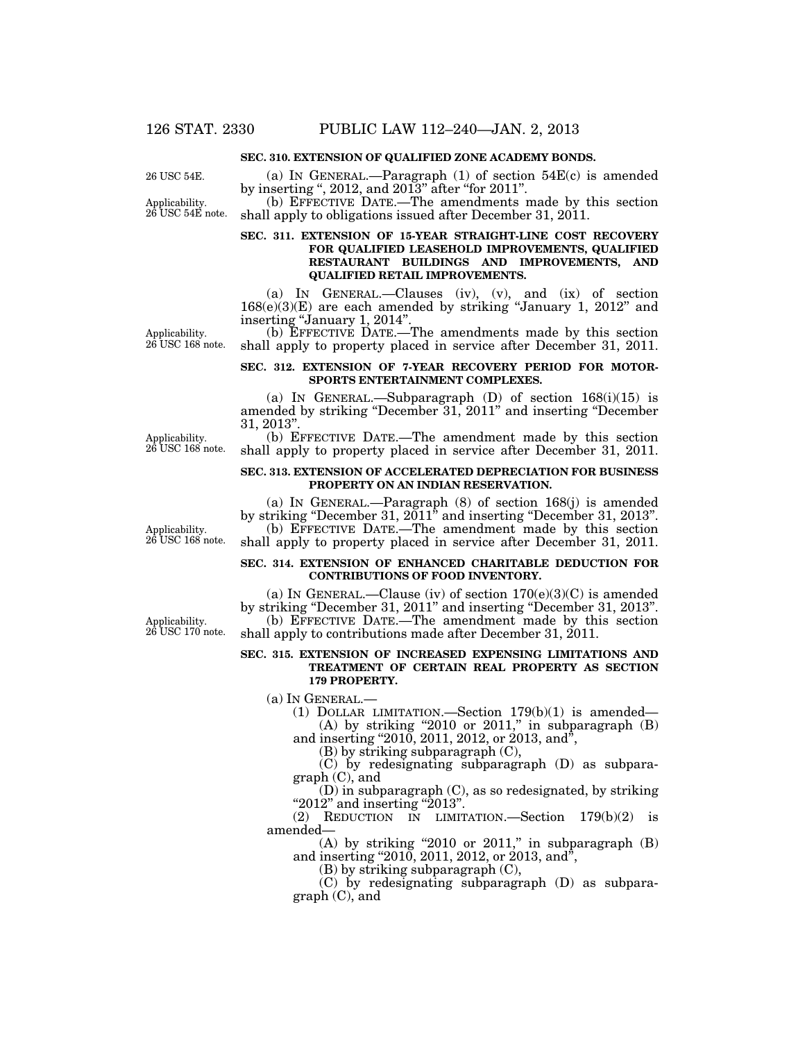#### **SEC. 310. EXTENSION OF QUALIFIED ZONE ACADEMY BONDS.**

Applicability. 26 USC 54E.

(a) IN GENERAL.—Paragraph (1) of section 54E(c) is amended by inserting ", 2012, and 2013" after "for 2011".

(b) EFFECTIVE DATE.—The amendments made by this section shall apply to obligations issued after December 31, 2011. 26 USC 54E note.

#### **SEC. 311. EXTENSION OF 15-YEAR STRAIGHT-LINE COST RECOVERY FOR QUALIFIED LEASEHOLD IMPROVEMENTS, QUALIFIED RESTAURANT BUILDINGS AND IMPROVEMENTS, AND QUALIFIED RETAIL IMPROVEMENTS.**

(a) IN GENERAL.—Clauses (iv), (v), and (ix) of section  $168(e)(3)(E)$  are each amended by striking "January 1, 2012" and inserting "January 1, 2014".

(b) EFFECTIVE DATE.—The amendments made by this section shall apply to property placed in service after December 31, 2011.

#### **SEC. 312. EXTENSION OF 7-YEAR RECOVERY PERIOD FOR MOTOR-SPORTS ENTERTAINMENT COMPLEXES.**

(a) IN GENERAL.—Subparagraph  $(D)$  of section  $168(i)(15)$  is amended by striking ''December 31, 2011'' and inserting ''December 31, 2013''.

(b) EFFECTIVE DATE.—The amendment made by this section shall apply to property placed in service after December 31, 2011.

#### **SEC. 313. EXTENSION OF ACCELERATED DEPRECIATION FOR BUSINESS PROPERTY ON AN INDIAN RESERVATION.**

(a) In GENERAL.—Paragraph  $(8)$  of section  $168(i)$  is amended by striking ''December 31, 2011'' and inserting ''December 31, 2013''. (b) EFFECTIVE DATE.—The amendment made by this section shall apply to property placed in service after December 31, 2011.

#### **SEC. 314. EXTENSION OF ENHANCED CHARITABLE DEDUCTION FOR CONTRIBUTIONS OF FOOD INVENTORY.**

(a) IN GENERAL.—Clause (iv) of section  $170(e)(3)(C)$  is amended by striking ''December 31, 2011'' and inserting ''December 31, 2013''. (b) EFFECTIVE DATE.—The amendment made by this section shall apply to contributions made after December 31, 2011.

#### **SEC. 315. EXTENSION OF INCREASED EXPENSING LIMITATIONS AND TREATMENT OF CERTAIN REAL PROPERTY AS SECTION 179 PROPERTY.**

(a) IN GENERAL.—

(1) DOLLAR LIMITATION.—Section 179(b)(1) is amended— (A) by striking "2010 or 2011," in subparagraph  $(B)$ 

and inserting "2010, 2011, 2012, or 2013, and",

(B) by striking subparagraph (C),

(C) by redesignating subparagraph (D) as subparagraph (C), and

(D) in subparagraph (C), as so redesignated, by striking "2012" and inserting "2013".

(2) REDUCTION IN LIMITATION.—Section 179(b)(2) is amended—

(A) by striking "2010 or 2011," in subparagraph  $(B)$ and inserting "2010, 2011, 2012, or 2013, and",

(B) by striking subparagraph (C),

(C) by redesignating subparagraph (D) as subparagraph (C), and

Applicability. 26 USC 168 note.

Applicability. 26 USC 168 note.

Applicability. 26 USC 170 note.

Applicability. 26 USC 168 note.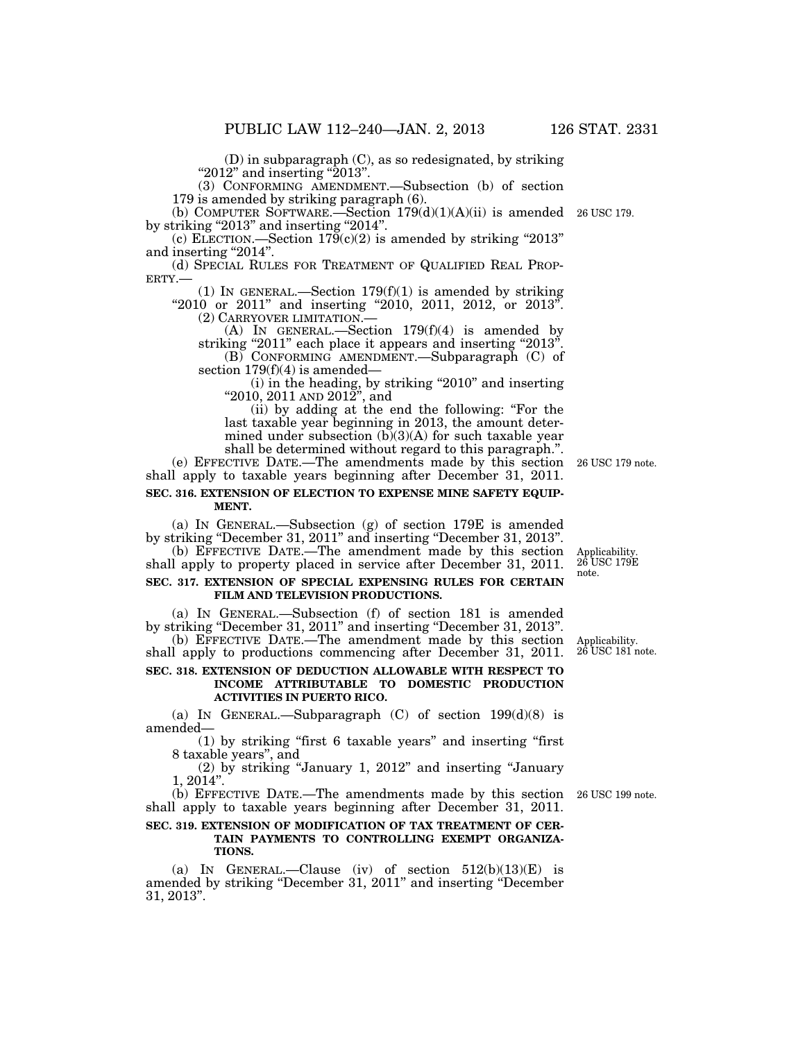(D) in subparagraph (C), as so redesignated, by striking "2012" and inserting "2013".

(3) CONFORMING AMENDMENT.—Subsection (b) of section 179 is amended by striking paragraph (6).

(b) COMPUTER SOFTWARE.—Section  $179(d)(1)(A)(ii)$  is amended by striking "2013" and inserting "2014".

(c) ELECTION.—Section  $179(c)(2)$  is amended by striking "2013" and inserting "2014".<br>(d) SPECIAL RULES FOR TREATMENT OF QUALIFIED REAL PROP-

(d) SPECIAL RULES FOR TREATMENT OF QUALIFIED REAL PROP-<br>ERTY.— (1) IN GENERAL.—Section 179(f)(1) is amended by striking

"2010 or 2011" and inserting "2010, 2011, 2012, or 2013". (2) CARRYOVER LIMITATION.—<br>(A) IN GENERAL.—Section 179(f)(4) is amended by

striking "2011" each place it appears and inserting "2013". (B) CONFORMING AMENDMENT.—Subparagraph (C) of

section  $179(f)(4)$  is amended— (i) in the heading, by striking ''2010'' and inserting

''2010, 2011 AND 2012'', and

(ii) by adding at the end the following: ''For the last taxable year beginning in 2013, the amount determined under subsection  $(b)(3)(A)$  for such taxable year shall be determined without regard to this paragraph.''.

(e) EFFECTIVE DATE.—The amendments made by this section 26 USC 179 note. shall apply to taxable years beginning after December 31, 2011. **SEC. 316. EXTENSION OF ELECTION TO EXPENSE MINE SAFETY EQUIP-MENT.** 

(a) IN GENERAL.—Subsection (g) of section 179E is amended by striking ''December 31, 2011'' and inserting ''December 31, 2013''.

 $(b)$  EFFECTIVE DATE.—The amendment made by this section shall apply to property placed in service after December 31, 2011. **SEC. 317. EXTENSION OF SPECIAL EXPENSING RULES FOR CERTAIN FILM AND TELEVISION PRODUCTIONS.** 

(a) IN GENERAL.—Subsection (f) of section 181 is amended by striking "December 31, 2011" and inserting "December 31, 2013".

(b) EFFECTIVE DATE.—The amendment made by this section shall apply to productions commencing after December 31, 2011.

#### **SEC. 318. EXTENSION OF DEDUCTION ALLOWABLE WITH RESPECT TO INCOME ATTRIBUTABLE TO DOMESTIC PRODUCTION ACTIVITIES IN PUERTO RICO.**

(a) IN GENERAL.—Subparagraph  $(C)$  of section  $199(d)(8)$  is amended—

(1) by striking ''first 6 taxable years'' and inserting ''first 8 taxable years'', and

(2) by striking ''January 1, 2012'' and inserting ''January 1, 2014''.

(b) EFFECTIVE DATE.—The amendments made by this section 26 USC 199 note. shall apply to taxable years beginning after December 31, 2011.

#### **SEC. 319. EXTENSION OF MODIFICATION OF TAX TREATMENT OF CER-TAIN PAYMENTS TO CONTROLLING EXEMPT ORGANIZA-TIONS.**

(a) IN GENERAL.—Clause (iv) of section  $512(b)(13)(E)$  is amended by striking ''December 31, 2011'' and inserting ''December 31, 2013''.

Applicability. 26 USC 179E note.

Applicability. 26 USC 181 note.

26 USC 179.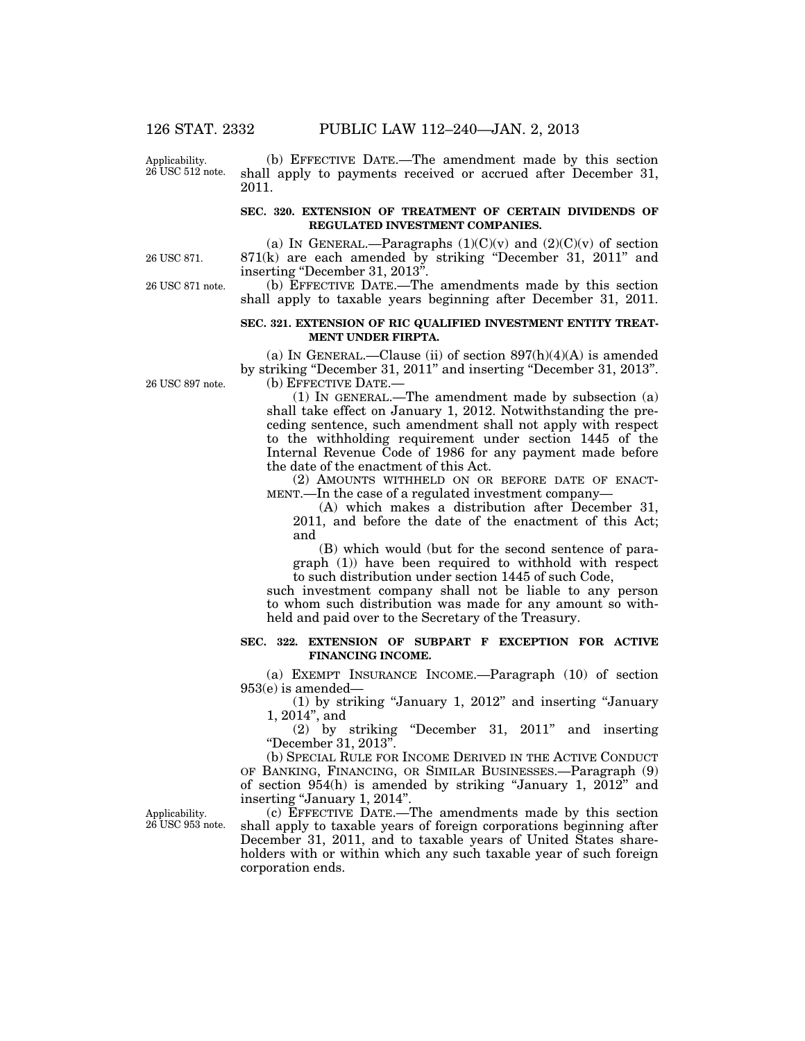Applicability. 26 USC 512 note.

(b) EFFECTIVE DATE.—The amendment made by this section shall apply to payments received or accrued after December 31, 2011.

#### **SEC. 320. EXTENSION OF TREATMENT OF CERTAIN DIVIDENDS OF REGULATED INVESTMENT COMPANIES.**

26 USC 871.

26 USC 871 note.

(a) IN GENERAL.—Paragraphs  $(1)(C)(v)$  and  $(2)(C)(v)$  of section 871(k) are each amended by striking ''December 31, 2011'' and inserting "December 31, 2013".

(b) EFFECTIVE DATE.—The amendments made by this section shall apply to taxable years beginning after December 31, 2011.

#### **SEC. 321. EXTENSION OF RIC QUALIFIED INVESTMENT ENTITY TREAT-MENT UNDER FIRPTA.**

(a) IN GENERAL.—Clause (ii) of section  $897(h)(4)(A)$  is amended by striking ''December 31, 2011'' and inserting ''December 31, 2013''. (b) EFFECTIVE DATE.—

(1) IN GENERAL.—The amendment made by subsection (a) shall take effect on January 1, 2012. Notwithstanding the preceding sentence, such amendment shall not apply with respect to the withholding requirement under section 1445 of the Internal Revenue Code of 1986 for any payment made before the date of the enactment of this Act.

(2) AMOUNTS WITHHELD ON OR BEFORE DATE OF ENACT-MENT.—In the case of a regulated investment company—

(A) which makes a distribution after December 31, 2011, and before the date of the enactment of this Act; and

(B) which would (but for the second sentence of paragraph (1)) have been required to withhold with respect to such distribution under section 1445 of such Code,

such investment company shall not be liable to any person to whom such distribution was made for any amount so withheld and paid over to the Secretary of the Treasury.

#### **SEC. 322. EXTENSION OF SUBPART F EXCEPTION FOR ACTIVE FINANCING INCOME.**

(a) EXEMPT INSURANCE INCOME.—Paragraph (10) of section 953(e) is amended—

(1) by striking ''January 1, 2012'' and inserting ''January 1, 2014'', and

(2) by striking ''December 31, 2011'' and inserting ''December 31, 2013''.

(b) SPECIAL RULE FOR INCOME DERIVED IN THE ACTIVE CONDUCT OF BANKING, FINANCING, OR SIMILAR BUSINESSES.—Paragraph (9) of section 954(h) is amended by striking ''January 1, 2012'' and inserting "January 1, 2014".

(c) EFFECTIVE DATE.—The amendments made by this section shall apply to taxable years of foreign corporations beginning after December 31, 2011, and to taxable years of United States shareholders with or within which any such taxable year of such foreign corporation ends.

26 USC 897 note.

Applicability. 26 USC 953 note.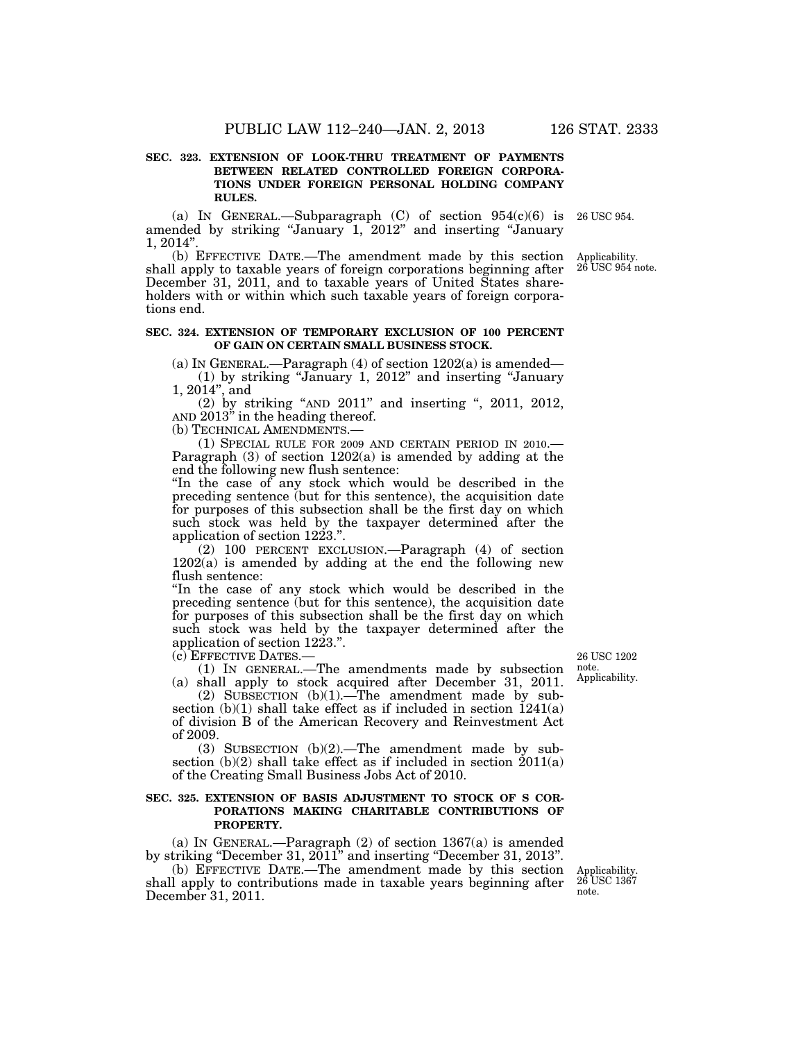#### **SEC. 323. EXTENSION OF LOOK-THRU TREATMENT OF PAYMENTS BETWEEN RELATED CONTROLLED FOREIGN CORPORA-TIONS UNDER FOREIGN PERSONAL HOLDING COMPANY RULES.**

(a) IN GENERAL.—Subparagraph  $(C)$  of section  $954(c)(6)$  is amended by striking ''January 1, 2012'' and inserting ''January  $1, 2014"$ 

(b) EFFECTIVE DATE.—The amendment made by this section shall apply to taxable years of foreign corporations beginning after December 31, 2011, and to taxable years of United States shareholders with or within which such taxable years of foreign corporations end.

#### **SEC. 324. EXTENSION OF TEMPORARY EXCLUSION OF 100 PERCENT OF GAIN ON CERTAIN SMALL BUSINESS STOCK.**

(a) IN GENERAL.—Paragraph  $(4)$  of section  $1202(a)$  is amended—

(1) by striking ''January 1, 2012'' and inserting ''January 1, 2014'', and

(2) by striking ''AND 2011'' and inserting '', 2011, 2012, AND 2013'' in the heading thereof.

(b) TECHNICAL AMENDMENTS.—

(1) SPECIAL RULE FOR 2009 AND CERTAIN PERIOD IN 2010.— Paragraph (3) of section 1202(a) is amended by adding at the end the following new flush sentence:

''In the case of any stock which would be described in the preceding sentence (but for this sentence), the acquisition date for purposes of this subsection shall be the first day on which such stock was held by the taxpayer determined after the application of section 1223.''.

(2) 100 PERCENT EXCLUSION.—Paragraph (4) of section  $1202(a)$  is amended by adding at the end the following new flush sentence:

''In the case of any stock which would be described in the preceding sentence (but for this sentence), the acquisition date for purposes of this subsection shall be the first day on which such stock was held by the taxpayer determined after the application of section 1223.''.

(c) EFFECTIVE DATES.—

(1) IN GENERAL.—The amendments made by subsection (a) shall apply to stock acquired after December 31, 2011.

(2) SUBSECTION  $(b)(1)$ .—The amendment made by subsection  $(b)(1)$  shall take effect as if included in section  $1241(a)$ of division B of the American Recovery and Reinvestment Act of 2009.

(3) SUBSECTION (b)(2).—The amendment made by subsection  $(b)(2)$  shall take effect as if included in section  $2011(a)$ of the Creating Small Business Jobs Act of 2010.

#### **SEC. 325. EXTENSION OF BASIS ADJUSTMENT TO STOCK OF S COR-PORATIONS MAKING CHARITABLE CONTRIBUTIONS OF PROPERTY.**

(a) IN GENERAL.—Paragraph (2) of section 1367(a) is amended by striking "December 31, 2011" and inserting "December 31, 2013".

(b) EFFECTIVE DATE.—The amendment made by this section shall apply to contributions made in taxable years beginning after December 31, 2011. Applicability. 26 USC 1367 note.

26 USC 1202 note. Applicability.

Applicability. 26 USC 954 note.

26 USC 954.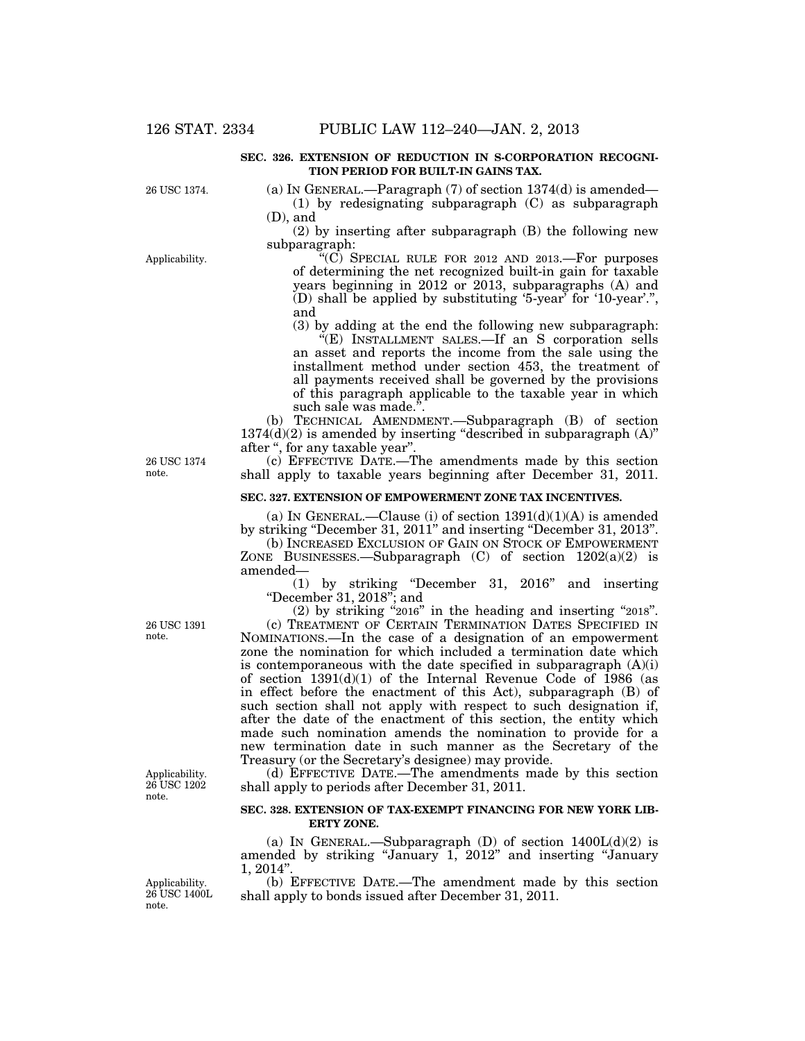#### **SEC. 326. EXTENSION OF REDUCTION IN S-CORPORATION RECOGNI-TION PERIOD FOR BUILT-IN GAINS TAX.**

26 USC 1374.

Applicability.

(a) IN GENERAL.—Paragraph  $(7)$  of section  $1374(d)$  is amended— (1) by redesignating subparagraph (C) as subparagraph (D), and

(2) by inserting after subparagraph (B) the following new subparagraph:

''(C) SPECIAL RULE FOR 2012 AND 2013.—For purposes of determining the net recognized built-in gain for taxable years beginning in 2012 or 2013, subparagraphs (A) and (D) shall be applied by substituting '5-year' for '10-year'.'', and

(3) by adding at the end the following new subparagraph: ''(E) INSTALLMENT SALES.—If an S corporation sells an asset and reports the income from the sale using the installment method under section 453, the treatment of all payments received shall be governed by the provisions of this paragraph applicable to the taxable year in which such sale was made.".

(b) TECHNICAL AMENDMENT.—Subparagraph (B) of section  $1374(d)(2)$  is amended by inserting "described in subparagraph  $(A)$ " after '', for any taxable year''.

(c) EFFECTIVE DATE.—The amendments made by this section shall apply to taxable years beginning after December 31, 2011.

#### **SEC. 327. EXTENSION OF EMPOWERMENT ZONE TAX INCENTIVES.**

(a) IN GENERAL.—Clause (i) of section  $1391(d)(1)(A)$  is amended by striking ''December 31, 2011'' and inserting ''December 31, 2013''.

(b) INCREASED EXCLUSION OF GAIN ON STOCK OF EMPOWERMENT ZONE BUSINESSES.—Subparagraph  $(C)$  of section  $1202(a)(2)$  is amended—

(1) by striking ''December 31, 2016'' and inserting ''December 31, 2018''; and

(2) by striking ''2016'' in the heading and inserting ''2018''.

(c) TREATMENT OF CERTAIN TERMINATION DATES SPECIFIED IN NOMINATIONS.—In the case of a designation of an empowerment zone the nomination for which included a termination date which is contemporaneous with the date specified in subparagraph  $(A)(i)$ of section  $1391(d)(1)$  of the Internal Revenue Code of 1986 (as in effect before the enactment of this Act), subparagraph (B) of such section shall not apply with respect to such designation if, after the date of the enactment of this section, the entity which made such nomination amends the nomination to provide for a new termination date in such manner as the Secretary of the Treasury (or the Secretary's designee) may provide.

(d) EFFECTIVE DATE.—The amendments made by this section shall apply to periods after December 31, 2011.

#### **SEC. 328. EXTENSION OF TAX-EXEMPT FINANCING FOR NEW YORK LIB-ERTY ZONE.**

(a) IN GENERAL.—Subparagraph (D) of section  $1400L(d)(2)$  is amended by striking ''January 1, 2012'' and inserting ''January 1, 2014''.

(b) EFFECTIVE DATE.—The amendment made by this section shall apply to bonds issued after December 31, 2011.

26 USC 1374 note.

Applicability. 26 USC 1202 note.

26 USC 1391 note.

Applicability. 26 USC 1400L note.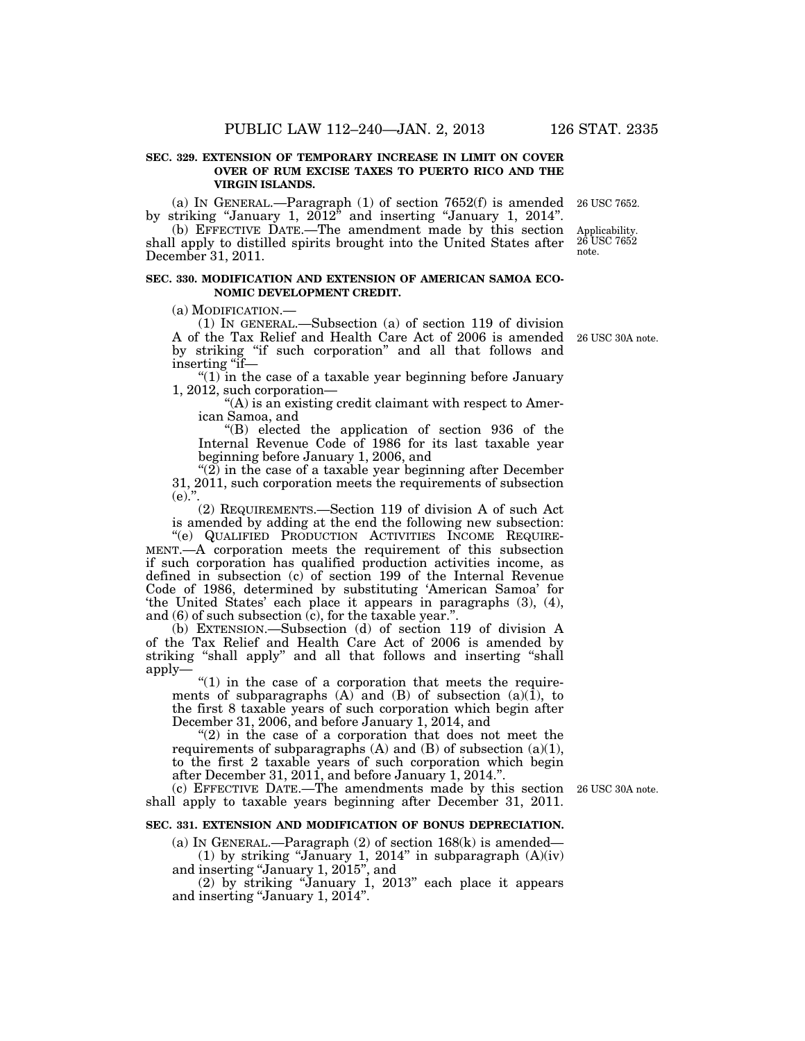#### **SEC. 329. EXTENSION OF TEMPORARY INCREASE IN LIMIT ON COVER OVER OF RUM EXCISE TAXES TO PUERTO RICO AND THE VIRGIN ISLANDS.**

(a) IN GENERAL.—Paragraph (1) of section 7652(f) is amended by striking ''January 1, 2012'' and inserting ''January 1, 2014''. 26 USC 7652.

(b) EFFECTIVE DATE.—The amendment made by this section shall apply to distilled spirits brought into the United States after December 31, 2011. Applicability. 26 USC 7652 note.

#### **SEC. 330. MODIFICATION AND EXTENSION OF AMERICAN SAMOA ECO-NOMIC DEVELOPMENT CREDIT.**

 $(a)$  MODIFICATION  $-$ 

(1) IN GENERAL.—Subsection (a) of section 119 of division A of the Tax Relief and Health Care Act of 2006 is amended by striking ''if such corporation'' and all that follows and inserting "if—

 $''(1)$  in the case of a taxable year beginning before January 1, 2012, such corporation—

''(A) is an existing credit claimant with respect to American Samoa, and

''(B) elected the application of section 936 of the Internal Revenue Code of 1986 for its last taxable year beginning before January 1, 2006, and

" $(2)$  in the case of a taxable year beginning after December 31, 2011, such corporation meets the requirements of subsection  $(e)$ .".

(2) REQUIREMENTS.—Section 119 of division A of such Act is amended by adding at the end the following new subsection:

''(e) QUALIFIED PRODUCTION ACTIVITIES INCOME REQUIRE-MENT.—A corporation meets the requirement of this subsection if such corporation has qualified production activities income, as defined in subsection (c) of section 199 of the Internal Revenue Code of 1986, determined by substituting 'American Samoa' for 'the United States' each place it appears in paragraphs (3), (4), and  $(6)$  of such subsection  $(c)$ , for the taxable year."

(b) EXTENSION.—Subsection (d) of section 119 of division A of the Tax Relief and Health Care Act of 2006 is amended by striking "shall apply" and all that follows and inserting "shall apply—

" $(1)$  in the case of a corporation that meets the requirements of subparagraphs  $(A)$  and  $(B)$  of subsection  $(a)(1)$ , to the first 8 taxable years of such corporation which begin after December 31, 2006, and before January 1, 2014, and

" $(2)$  in the case of a corporation that does not meet the requirements of subparagraphs  $(A)$  and  $(B)$  of subsection  $(a)(1)$ , to the first 2 taxable years of such corporation which begin after December 31, 2011, and before January 1, 2014.''.

(c) EFFECTIVE DATE.—The amendments made by this section 26 USC 30A note. shall apply to taxable years beginning after December 31, 2011.

#### **SEC. 331. EXTENSION AND MODIFICATION OF BONUS DEPRECIATION.**

(a) In GENERAL.—Paragraph  $(2)$  of section 168 $(k)$  is amended— (1) by striking "January 1, 2014" in subparagraph  $(A)(iv)$ and inserting ''January 1, 2015'', and

(2) by striking ''January 1, 2013'' each place it appears and inserting ''January 1, 2014''.

26 USC 30A note.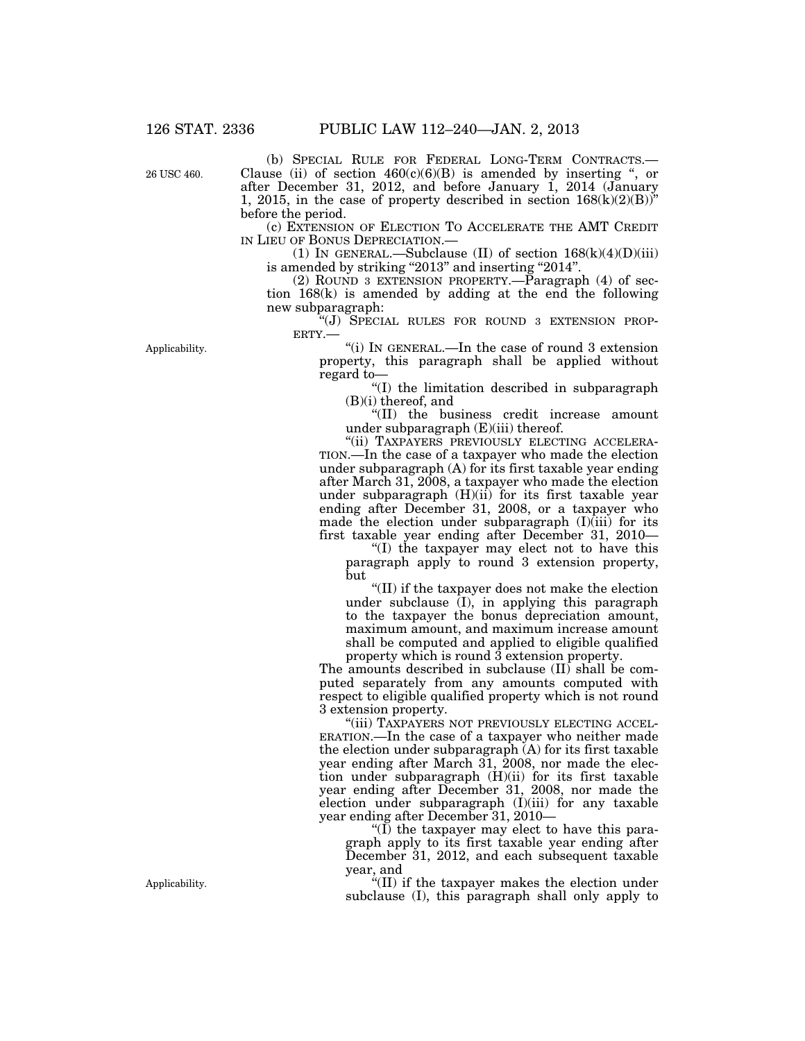26 USC 460.

(b) SPECIAL RULE FOR FEDERAL LONG-TERM CONTRACTS.— Clause (ii) of section  $460(c)(6)(B)$  is amended by inserting ", or after December 31, 2012, and before January 1, 2014 (January 1, 2015, in the case of property described in section  $168(k)(2)(B)$ " before the period.

(c) EXTENSION OF ELECTION TO ACCELERATE THE AMT CREDIT IN LIEU OF BONUS DEPRECIATION.—

(1) IN GENERAL.—Subclause (II) of section  $168(k)(4)(D)(iii)$ is amended by striking "2013" and inserting "2014".

(2) ROUND 3 EXTENSION PROPERTY.—Paragraph (4) of section 168(k) is amended by adding at the end the following new subparagraph:

"(J) SPECIAL RULES FOR ROUND 3 EXTENSION PROP-ERTY.—

''(i) IN GENERAL.—In the case of round 3 extension property, this paragraph shall be applied without regard to—

''(I) the limitation described in subparagraph (B)(i) thereof, and

''(II) the business credit increase amount under subparagraph  $(E)(iii)$  thereof.

"(ii) TAXPAYERS PREVIOUSLY ELECTING ACCELERA-TION.—In the case of a taxpayer who made the election under subparagraph (A) for its first taxable year ending after March 31, 2008, a taxpayer who made the election under subparagraph (H)(ii) for its first taxable year ending after December 31, 2008, or a taxpayer who made the election under subparagraph  $(I)(iii)$  for its first taxable year ending after December 31, 2010—

''(I) the taxpayer may elect not to have this paragraph apply to round 3 extension property, but

''(II) if the taxpayer does not make the election under subclause  $(I)$ , in applying this paragraph to the taxpayer the bonus depreciation amount, maximum amount, and maximum increase amount shall be computed and applied to eligible qualified property which is round 3 extension property.

The amounts described in subclause  $(II)$  shall be computed separately from any amounts computed with respect to eligible qualified property which is not round 3 extension property.

"(iii) TAXPAYERS NOT PREVIOUSLY ELECTING ACCEL-ERATION.—In the case of a taxpayer who neither made the election under subparagraph (A) for its first taxable year ending after March 31, 2008, nor made the election under subparagraph (H)(ii) for its first taxable year ending after December 31, 2008, nor made the election under subparagraph (I)(iii) for any taxable year ending after December 31, 2010—

" $(I)$  the taxpayer may elect to have this paragraph apply to its first taxable year ending after December 31, 2012, and each subsequent taxable year, and

''(II) if the taxpayer makes the election under subclause (I), this paragraph shall only apply to

Applicability.

Applicability.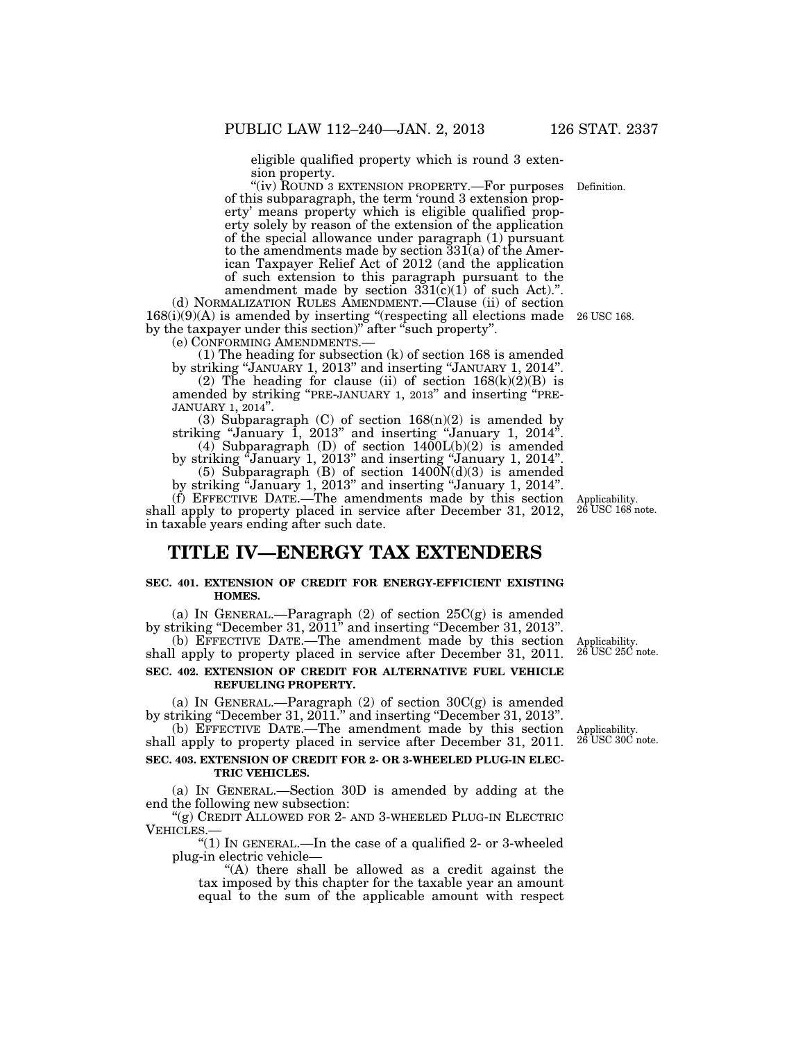eligible qualified property which is round 3 extension property.

"(iv) ROUND 3 EXTENSION PROPERTY.—For purposes of this subparagraph, the term 'round 3 extension property' means property which is eligible qualified property solely by reason of the extension of the application of the special allowance under paragraph (1) pursuant to the amendments made by section  $331(a)$  of the American Taxpayer Relief Act of 2012 (and the application of such extension to this paragraph pursuant to the amendment made by section  $331(c)(1)$  of such Act).".

(d) NORMALIZATION RULES AMENDMENT.—Clause (ii) of section  $168(i)(9)(A)$  is amended by inserting "(respecting all elections made by the taxpayer under this section)" after "such property".<br>
(e) CONFORMING AMENDMENTS.—

(1) The heading for subsection  $(k)$  of section 168 is amended by striking "JANUARY 1, 2013" and inserting "JANUARY 1, 2014".

(2) The heading for clause (ii) of section  $168(k)(2)(B)$  is amended by striking ''PRE-JANUARY 1, 2013'' and inserting ''PRE- JANUARY 1, 2014''.

(3) Subparagraph (C) of section  $168(n)(2)$  is amended by striking "January 1, 2013" and inserting "January 1,  $2014$ " (4) Subparagraph (D) of section  $1400L(b)(2)$  is amended

by striking "January 1, 2013" and inserting "January 1, 2014". (5) Subparagraph  $(B)$  of section  $1400N(d)(3)$  is amended

by striking ''January 1, 2013'' and inserting ''January 1, 2014''.

(f) EFFECTIVE DATE.—The amendments made by this section shall apply to property placed in service after December 31, 2012, in taxable years ending after such date.

# **TITLE IV—ENERGY TAX EXTENDERS**

#### **SEC. 401. EXTENSION OF CREDIT FOR ENERGY-EFFICIENT EXISTING HOMES.**

(a) IN GENERAL.—Paragraph  $(2)$  of section  $25C(g)$  is amended by striking ''December 31, 2011'' and inserting ''December 31, 2013''.

(b) EFFECTIVE DATE.—The amendment made by this section shall apply to property placed in service after December 31, 2011. Applicability.

### **SEC. 402. EXTENSION OF CREDIT FOR ALTERNATIVE FUEL VEHICLE REFUELING PROPERTY.**

(a) IN GENERAL.—Paragraph  $(2)$  of section  $30C(g)$  is amended by striking "December 31, 2011." and inserting "December 31, 2013".

(b) EFFECTIVE DATE.—The amendment made by this section shall apply to property placed in service after December 31, 2011.

#### **SEC. 403. EXTENSION OF CREDIT FOR 2- OR 3-WHEELED PLUG-IN ELEC-TRIC VEHICLES.**

(a) IN GENERAL.—Section 30D is amended by adding at the end the following new subsection:

"(g) CREDIT ALLOWED FOR 2- AND 3-WHEELED PLUG-IN ELECTRIC VEHICLES.—

" $(1)$  In GENERAL.—In the case of a qualified 2- or 3-wheeled plug-in electric vehicle—

''(A) there shall be allowed as a credit against the tax imposed by this chapter for the taxable year an amount equal to the sum of the applicable amount with respect

26 USC 25C note.

Applicability. 26 USC 30C note.

Applicability. 26 USC 168 note.

26 USC 168.

Definition.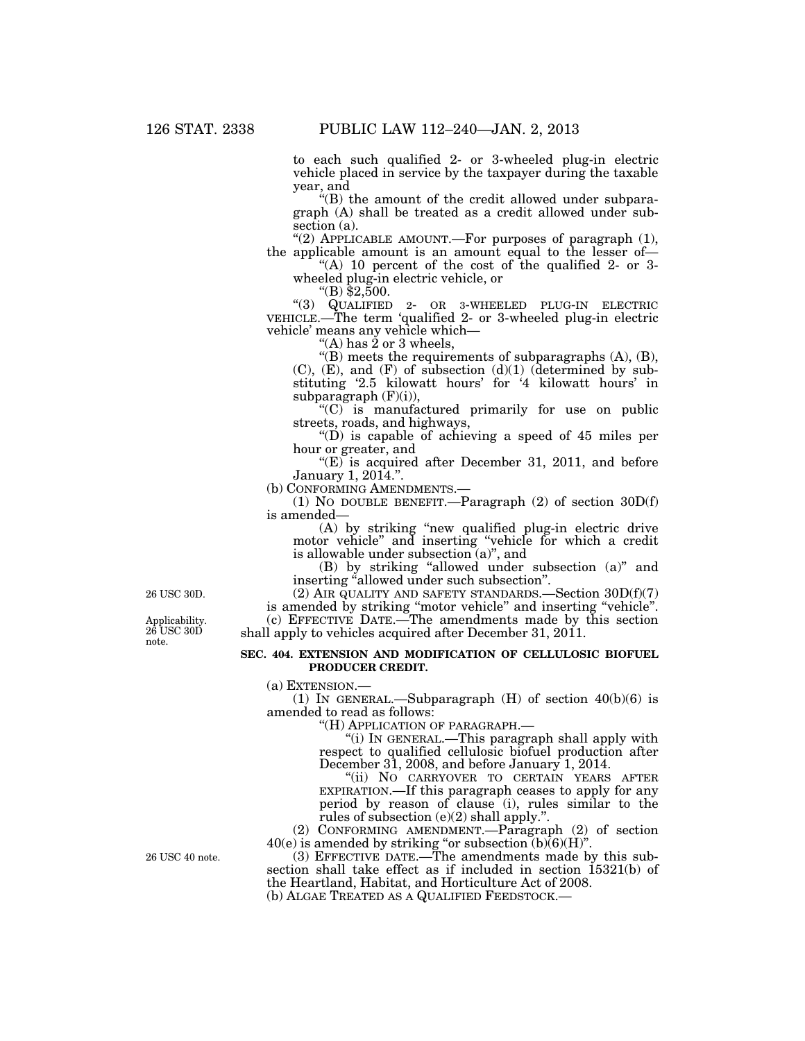to each such qualified 2- or 3-wheeled plug-in electric vehicle placed in service by the taxpayer during the taxable year, and

''(B) the amount of the credit allowed under subparagraph (A) shall be treated as a credit allowed under subsection (a).

"(2) APPLICABLE AMOUNT.—For purposes of paragraph (1), the applicable amount is an amount equal to the lesser of—

"(A) 10 percent of the cost of the qualified 2- or 3wheeled plug-in electric vehicle, or "(B) \$2,500.

''(3) QUALIFIED 2- OR 3-WHEELED PLUG-IN ELECTRIC VEHICLE.—The term 'qualified 2- or 3-wheeled plug-in electric vehicle' means any vehicle which—

"(A) has  $\dot{2}$  or 3 wheels,

" $(B)$  meets the requirements of subparagraphs  $(A)$ ,  $(B)$ ,  $(C)$ ,  $(E)$ , and  $(F)$  of subsection  $(d)(1)$  (determined by substituting '2.5 kilowatt hours' for '4 kilowatt hours' in subparagraph  $(F)(i)$ ),

 $(C)$  is manufactured primarily for use on public streets, roads, and highways,

" $(D)$  is capable of achieving a speed of 45 miles per hour or greater, and

" $(E)$  is acquired after December 31, 2011, and before January 1, 2014.''.

(b) CONFORMING AMENDMENTS.—

(1) NO DOUBLE BENEFIT.—Paragraph (2) of section 30D(f) is amended—

(A) by striking ''new qualified plug-in electric drive motor vehicle'' and inserting ''vehicle for which a credit is allowable under subsection  $(a)$ ", and

(B) by striking ''allowed under subsection (a)'' and inserting ''allowed under such subsection''.

(2) AIR QUALITY AND SAFETY STANDARDS.—Section  $30D(f)(7)$ 

is amended by striking ''motor vehicle'' and inserting ''vehicle''. (c) EFFECTIVE DATE.—The amendments made by this section shall apply to vehicles acquired after December 31, 2011.

#### **SEC. 404. EXTENSION AND MODIFICATION OF CELLULOSIC BIOFUEL PRODUCER CREDIT.**

(a) EXTENSION.—

(1) IN GENERAL.—Subparagraph  $(H)$  of section  $40(b)(6)$  is amended to read as follows:

''(H) APPLICATION OF PARAGRAPH.—

''(i) IN GENERAL.—This paragraph shall apply with respect to qualified cellulosic biofuel production after December 31, 2008, and before January 1, 2014.

''(ii) NO CARRYOVER TO CERTAIN YEARS AFTER EXPIRATION.—If this paragraph ceases to apply for any period by reason of clause (i), rules similar to the rules of subsection (e)(2) shall apply.''.

(2) CONFORMING AMENDMENT.—Paragraph (2) of section  $40(e)$  is amended by striking "or subsection  $(b)(6)(H)$ ".

(3) EFFECTIVE DATE.—The amendments made by this subsection shall take effect as if included in section 15321(b) of the Heartland, Habitat, and Horticulture Act of 2008.

(b) ALGAE TREATED AS A QUALIFIED FEEDSTOCK.—

26 USC 30D.

Applicability. 26 USC 30D note.

26 USC 40 note.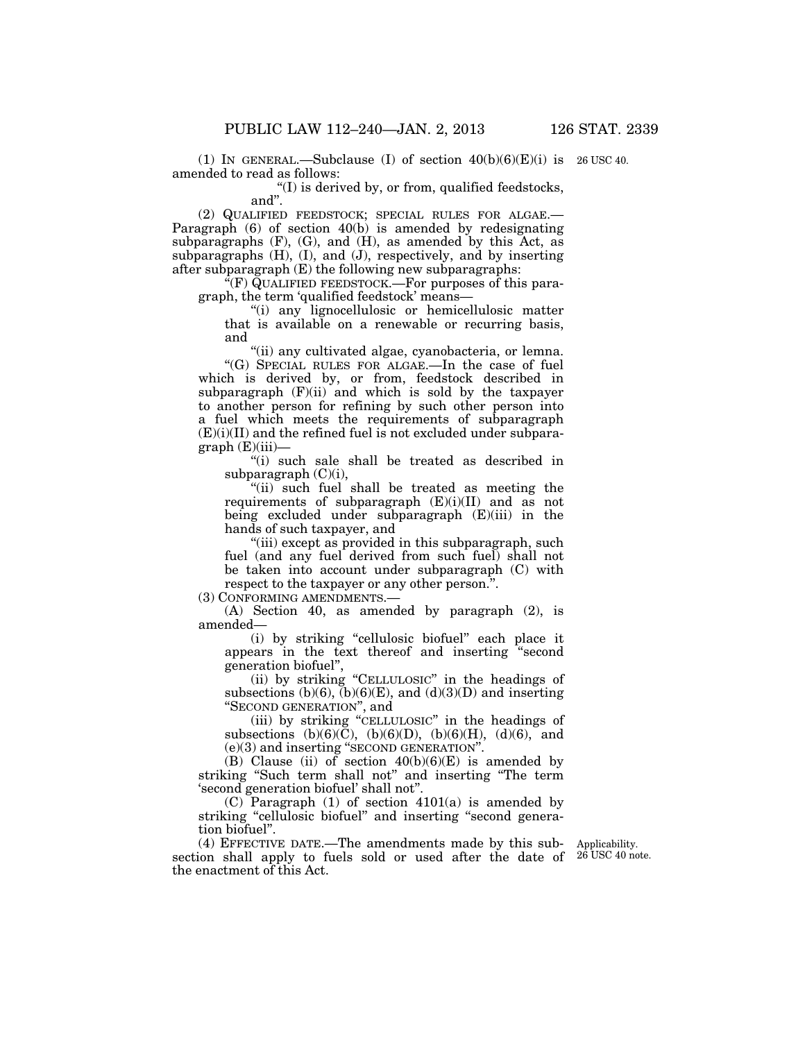(1) IN GENERAL.—Subclause (I) of section  $40(b)(6)(E)(i)$  is 26 USC 40. amended to read as follows:

 $f(T)$  is derived by, or from, qualified feedstocks, and''.

(2) QUALIFIED FEEDSTOCK; SPECIAL RULES FOR ALGAE.— Paragraph (6) of section 40(b) is amended by redesignating subparagraphs  $(F)$ ,  $(G)$ , and  $(H)$ , as amended by this Act, as subparagraphs  $(H)$ ,  $(I)$ , and  $(J)$ , respectively, and by inserting after subparagraph (E) the following new subparagraphs:

"(F) QUALIFIED FEEDSTOCK.—For purposes of this paragraph, the term 'qualified feedstock' means—

''(i) any lignocellulosic or hemicellulosic matter that is available on a renewable or recurring basis, and

"(ii) any cultivated algae, cyanobacteria, or lemna. "(G) SPECIAL RULES FOR ALGAE.—In the case of fuel

which is derived by, or from, feedstock described in subparagraph  $(F)(ii)$  and which is sold by the taxpayer to another person for refining by such other person into a fuel which meets the requirements of subparagraph  $(E)(i)(II)$  and the refined fuel is not excluded under subpara $graph(E)(iii)$ —

''(i) such sale shall be treated as described in subparagraph  $(C)(i)$ ,

''(ii) such fuel shall be treated as meeting the requirements of subparagraph  $(E)(i)(II)$  and as not being excluded under subparagraph (E)(iii) in the hands of such taxpayer, and

"(iii) except as provided in this subparagraph, such fuel (and any fuel derived from such fuel) shall not be taken into account under subparagraph (C) with respect to the taxpayer or any other person.''.

(3) CONFORMING AMENDMENTS.—

(A) Section 40, as amended by paragraph (2), is amended—

(i) by striking ''cellulosic biofuel'' each place it appears in the text thereof and inserting ''second generation biofuel'',

(ii) by striking ''CELLULOSIC'' in the headings of subsections  $(b)(6)$ ,  $(b)(6)(E)$ , and  $(d)(3)(D)$  and inserting ''SECOND GENERATION'', and

(iii) by striking ''CELLULOSIC'' in the headings of subsections (b)(6)(C), (b)(6)(D), (b)(6)(H), (d)(6), and (e)(3) and inserting ''SECOND GENERATION''.

(B) Clause (ii) of section  $40(b)(6)(E)$  is amended by striking "Such term shall not" and inserting "The term 'second generation biofuel' shall not''.

 $(C)$  Paragraph  $(1)$  of section  $4101(a)$  is amended by striking "cellulosic biofuel" and inserting "second generation biofuel''.

(4) EFFECTIVE DATE.—The amendments made by this subsection shall apply to fuels sold or used after the date of 26 USC 40 note. the enactment of this Act.

Applicability.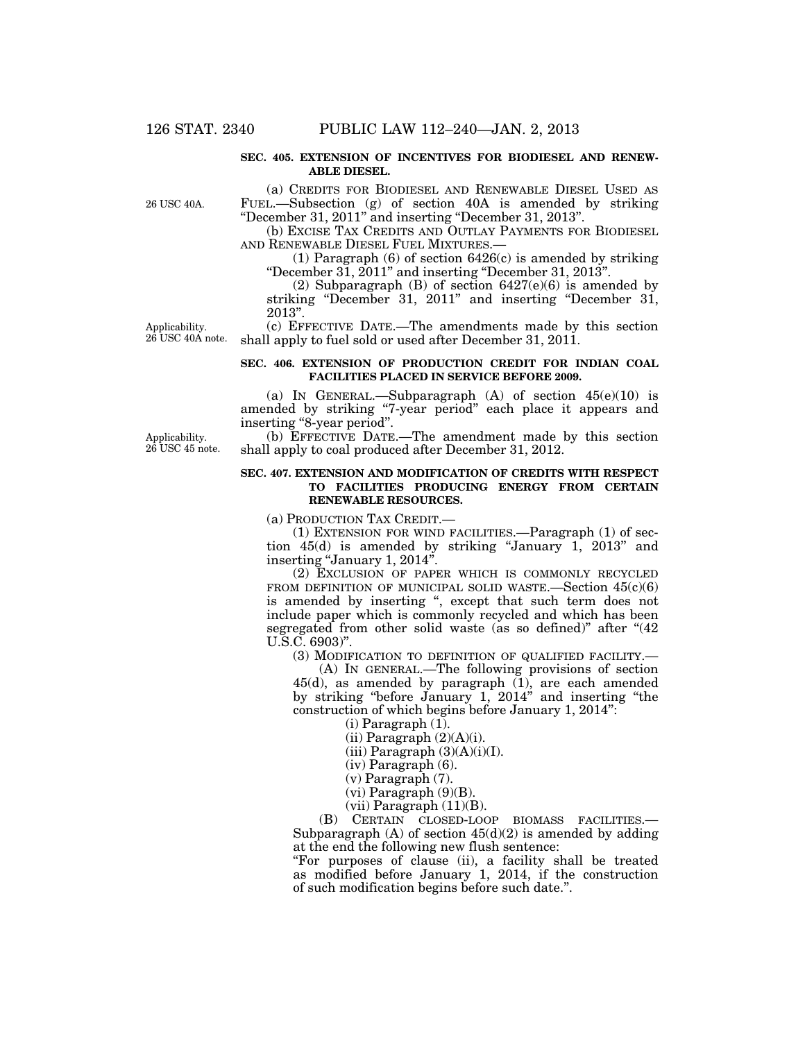#### **SEC. 405. EXTENSION OF INCENTIVES FOR BIODIESEL AND RENEW-ABLE DIESEL.**

26 USC 40A.

Applicability. 26 USC 40A note.

(a) CREDITS FOR BIODIESEL AND RENEWABLE DIESEL USED AS FUEL.—Subsection (g) of section 40A is amended by striking ''December 31, 2011'' and inserting ''December 31, 2013''.

(b) EXCISE TAX CREDITS AND OUTLAY PAYMENTS FOR BIODIESEL AND RENEWABLE DIESEL FUEL MIXTURES.—

(1) Paragraph (6) of section 6426(c) is amended by striking ''December 31, 2011'' and inserting ''December 31, 2013''.

(2) Subparagraph (B) of section  $6427(e)(6)$  is amended by striking "December 31, 2011" and inserting "December 31, 2013''.

(c) EFFECTIVE DATE.—The amendments made by this section shall apply to fuel sold or used after December 31, 2011.

#### **SEC. 406. EXTENSION OF PRODUCTION CREDIT FOR INDIAN COAL FACILITIES PLACED IN SERVICE BEFORE 2009.**

(a) IN GENERAL.—Subparagraph  $(A)$  of section  $45(e)(10)$  is amended by striking ''7-year period'' each place it appears and inserting ''8-year period''.

(b) EFFECTIVE DATE.—The amendment made by this section shall apply to coal produced after December 31, 2012.

#### **SEC. 407. EXTENSION AND MODIFICATION OF CREDITS WITH RESPECT TO FACILITIES PRODUCING ENERGY FROM CERTAIN RENEWABLE RESOURCES.**

(a) PRODUCTION TAX CREDIT.—

(1) EXTENSION FOR WIND FACILITIES.—Paragraph (1) of section 45(d) is amended by striking "January 1, 2013" and inserting "January 1, 2014".

(2) EXCLUSION OF PAPER WHICH IS COMMONLY RECYCLED FROM DEFINITION OF MUNICIPAL SOLID WASTE.-Section  $45(c)(6)$ is amended by inserting ", except that such term does not include paper which is commonly recycled and which has been segregated from other solid waste (as so defined)" after "(42) U.S.C. 6903)''.

(3) MODIFICATION TO DEFINITION OF QUALIFIED FACILITY.—

(A) IN GENERAL.—The following provisions of section 45(d), as amended by paragraph (1), are each amended by striking "before January 1,  $2014$ " and inserting "the construction of which begins before January 1, 2014'':

 $(i)$  Paragraph  $(1)$ .

 $(ii)$  Paragraph  $(2)(A)(i)$ .

 $(iii)$  Paragraph  $(3)(A)(i)(I)$ .

(iv) Paragraph (6).

(v) Paragraph (7).

(vi) Paragraph (9)(B).

 $(vii)$  Paragraph  $(11)(B)$ .

(B) CERTAIN CLOSED-LOOP BIOMASS FACILITIES.— Subparagraph  $(A)$  of section  $45(d)(2)$  is amended by adding at the end the following new flush sentence:

''For purposes of clause (ii), a facility shall be treated as modified before January 1, 2014, if the construction of such modification begins before such date.''.

Applicability. 26 USC 45 note.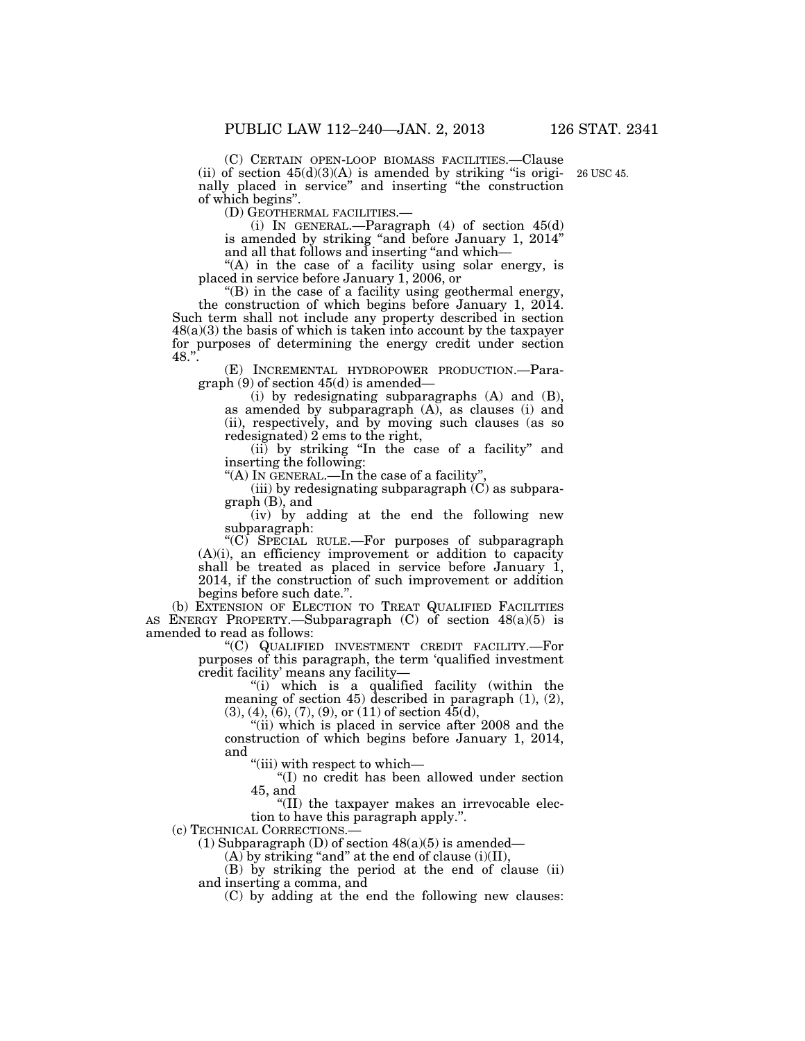(C) CERTAIN OPEN-LOOP BIOMASS FACILITIES.—Clause (ii) of section  $45(d)(3)(A)$  is amended by striking "is originally placed in service'' and inserting ''the construction of which begins''. 26 USC 45.

(i) IN GENERAL.—Paragraph  $(4)$  of section  $45(d)$ is amended by striking "and before January 1, 2014" and all that follows and inserting ''and which—

"(A) in the case of a facility using solar energy, is placed in service before January 1, 2006, or

''(B) in the case of a facility using geothermal energy, the construction of which begins before January 1, 2014. Such term shall not include any property described in section  $48(a)(3)$  the basis of which is taken into account by the taxpayer for purposes of determining the energy credit under section 48.''.

(E) INCREMENTAL HYDROPOWER PRODUCTION.—Paragraph (9) of section 45(d) is amended—

(i) by redesignating subparagraphs (A) and (B), as amended by subparagraph (A), as clauses (i) and (ii), respectively, and by moving such clauses (as so redesignated) 2 ems to the right,

(ii) by striking ''In the case of a facility'' and inserting the following:

"(A) IN GENERAL.—In the case of a facility"

(iii) by redesignating subparagraph  $(C)$  as subparagraph (B), and

(iv) by adding at the end the following new subparagraph:

''(C) SPECIAL RULE.—For purposes of subparagraph (A)(i), an efficiency improvement or addition to capacity shall be treated as placed in service before January 1, 2014, if the construction of such improvement or addition begins before such date.''.

(b) EXTENSION OF ELECTION TO TREAT QUALIFIED FACILITIES AS ENERGY PROPERTY.—Subparagraph  $(C)$  of section  $48(a)(5)$  is amended to read as follows:

''(C) QUALIFIED INVESTMENT CREDIT FACILITY.—For purposes of this paragraph, the term 'qualified investment credit facility' means any facility—

''(i) which is a qualified facility (within the meaning of section 45) described in paragraph (1), (2),  $(3), (4), (6), (7), (9),$  or  $(11)$  of section  $45(d)$ ,

"(ii) which is placed in service after 2008 and the construction of which begins before January 1, 2014, and

''(iii) with respect to which—

''(I) no credit has been allowed under section 45, and

''(II) the taxpayer makes an irrevocable election to have this paragraph apply.''.

(c) TECHNICAL CORRECTIONS.—

(1) Subparagraph (D) of section  $48(a)(5)$  is amended—

 $(A)$  by striking "and" at the end of clause (i)(II),

(B) by striking the period at the end of clause (ii) and inserting a comma, and

(C) by adding at the end the following new clauses: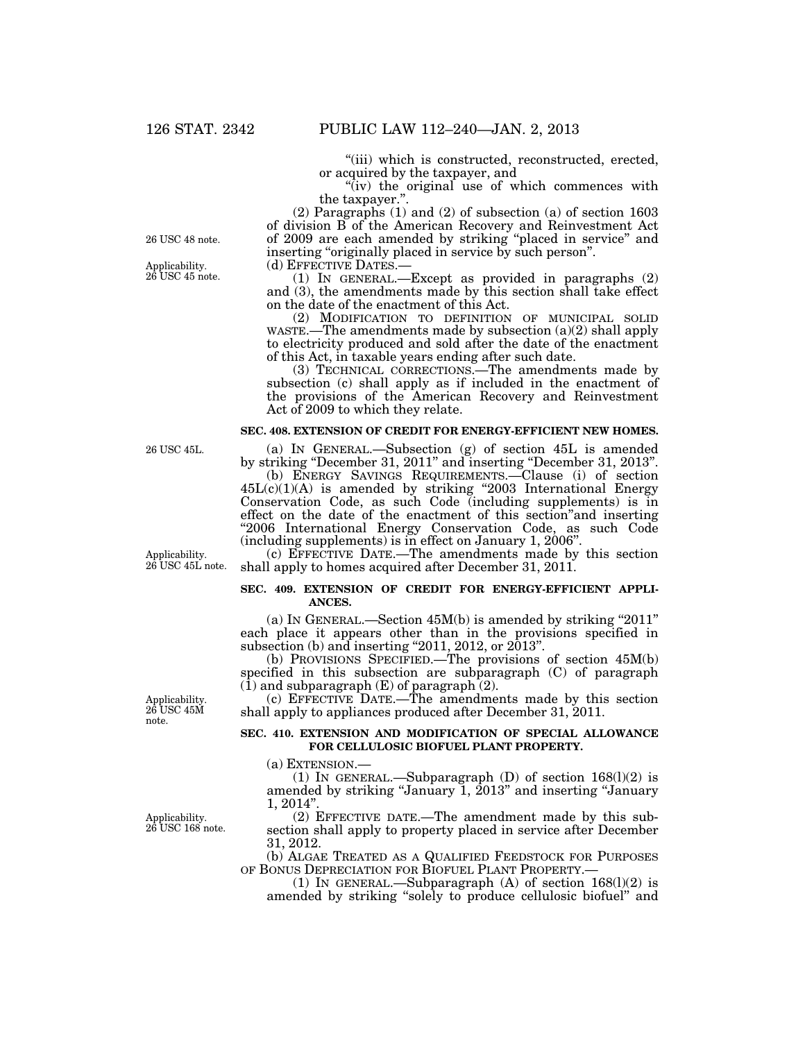''(iii) which is constructed, reconstructed, erected, or acquired by the taxpayer, and

''(iv) the original use of which commences with the taxpayer.''.

(2) Paragraphs (1) and (2) of subsection (a) of section 1603 of division B of the American Recovery and Reinvestment Act of 2009 are each amended by striking ''placed in service'' and inserting "originally placed in service by such person".

(d) EFFECTIVE DATES.—<br>(1) IN GENERAL.—Except as provided in paragraphs (2) and (3), the amendments made by this section shall take effect on the date of the enactment of this Act.

(2) MODIFICATION TO DEFINITION OF MUNICIPAL SOLID WASTE.—The amendments made by subsection (a)(2) shall apply to electricity produced and sold after the date of the enactment of this Act, in taxable years ending after such date.

(3) TECHNICAL CORRECTIONS.—The amendments made by subsection (c) shall apply as if included in the enactment of the provisions of the American Recovery and Reinvestment Act of 2009 to which they relate.

#### **SEC. 408. EXTENSION OF CREDIT FOR ENERGY-EFFICIENT NEW HOMES.**

(a) IN GENERAL.—Subsection (g) of section 45L is amended by striking ''December 31, 2011'' and inserting ''December 31, 2013''.

(b) ENERGY SAVINGS REQUIREMENTS.—Clause (i) of section 45L(c)(1)(A) is amended by striking ''2003 International Energy Conservation Code, as such Code (including supplements) is in effect on the date of the enactment of this section''and inserting "2006 International Energy Conservation Code, as such Code (including supplements) is in effect on January 1, 2006''.

(c) EFFECTIVE DATE.—The amendments made by this section shall apply to homes acquired after December 31, 2011.

#### **SEC. 409. EXTENSION OF CREDIT FOR ENERGY-EFFICIENT APPLI-ANCES.**

(a) IN GENERAL.—Section 45M(b) is amended by striking ''2011'' each place it appears other than in the provisions specified in subsection (b) and inserting "2011, 2012, or 2013".

(b) PROVISIONS SPECIFIED.—The provisions of section 45M(b) specified in this subsection are subparagraph (C) of paragraph (1) and subparagraph (E) of paragraph (2).

(c) EFFECTIVE DATE.—The amendments made by this section shall apply to appliances produced after December 31, 2011.

#### **SEC. 410. EXTENSION AND MODIFICATION OF SPECIAL ALLOWANCE FOR CELLULOSIC BIOFUEL PLANT PROPERTY.**

(a) EXTENSION.—

(1) IN GENERAL.—Subparagraph  $(D)$  of section 168 $(l)(2)$  is amended by striking "January 1, 2013" and inserting "January  $1, 2014"$ 

(2) EFFECTIVE DATE.—The amendment made by this subsection shall apply to property placed in service after December 31, 2012.

(b) ALGAE TREATED AS A QUALIFIED FEEDSTOCK FOR PURPOSES OF BONUS DEPRECIATION FOR BIOFUEL PLANT PROPERTY.— (1) IN GENERAL.—Subparagraph (A) of section 168(l)(2) is

amended by striking ''solely to produce cellulosic biofuel'' and

26 USC 48 note.

Applicability. 26 USC 45 note.

26 USC 45L.

Applicability. 26 USC 45L note.

note.

Applicability. 26 USC 45M

Applicability. 26 USC 168 note.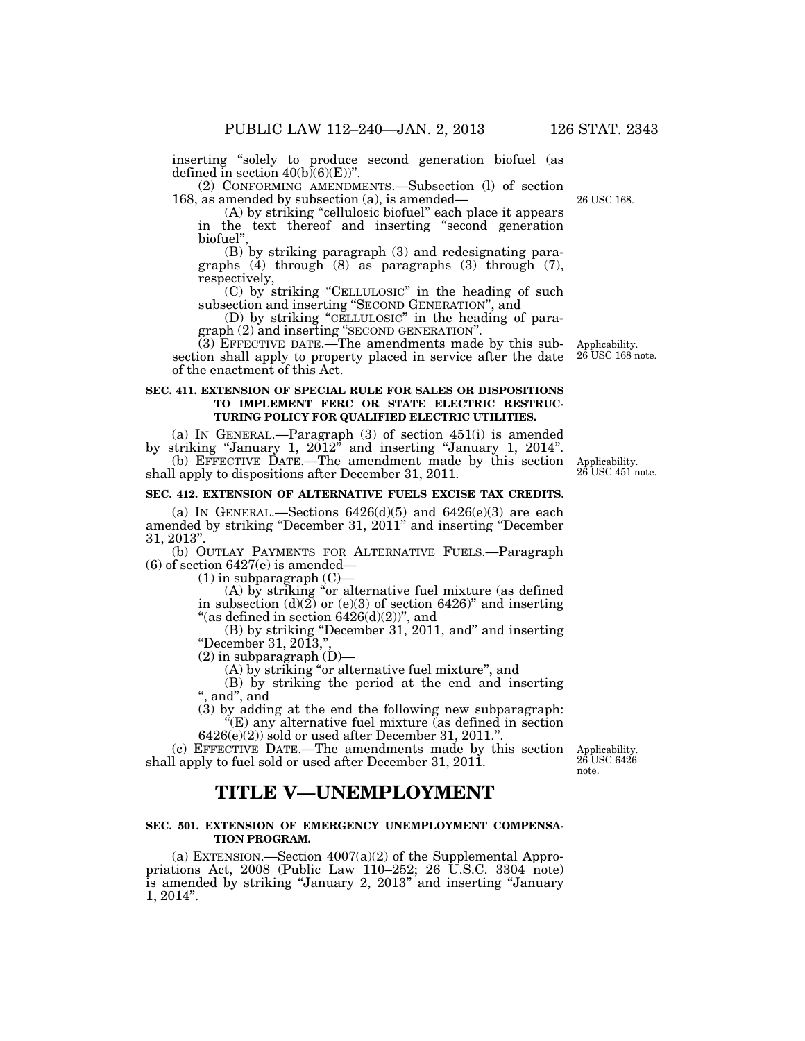26 USC 168.

inserting ''solely to produce second generation biofuel (as defined in section  $40(b)(6)(E)$ ".

(2) CONFORMING AMENDMENTS.—Subsection (l) of section 168, as amended by subsection (a), is amended—

(A) by striking "cellulosic biofuel" each place it appears in the text thereof and inserting ''second generation biofuel'',

(B) by striking paragraph (3) and redesignating paragraphs  $(4)$  through  $(8)$  as paragraphs  $(3)$  through  $(7)$ , respectively,

(C) by striking ''CELLULOSIC'' in the heading of such subsection and inserting ''SECOND GENERATION'', and

(D) by striking ''CELLULOSIC'' in the heading of paragraph (2) and inserting ''SECOND GENERATION''.

(3) EFFECTIVE DATE.—The amendments made by this subsection shall apply to property placed in service after the date of the enactment of this Act.

#### **SEC. 411. EXTENSION OF SPECIAL RULE FOR SALES OR DISPOSITIONS TO IMPLEMENT FERC OR STATE ELECTRIC RESTRUC-TURING POLICY FOR QUALIFIED ELECTRIC UTILITIES.**

(a) IN GENERAL.—Paragraph (3) of section 451(i) is amended by striking "January 1,  $2012$ " and inserting "January 1, 2014". (b) EFFECTIVE DATE.—The amendment made by this section shall apply to dispositions after December 31, 2011.

#### **SEC. 412. EXTENSION OF ALTERNATIVE FUELS EXCISE TAX CREDITS.**

(a) IN GENERAL.—Sections  $6426(d)(5)$  and  $6426(e)(3)$  are each amended by striking ''December 31, 2011'' and inserting ''December 31, 2013''.

(b) OUTLAY PAYMENTS FOR ALTERNATIVE FUELS.—Paragraph (6) of section 6427(e) is amended—

 $(1)$  in subparagraph  $(C)$ —

(A) by striking ''or alternative fuel mixture (as defined in subsection  $(d)(2)$  or  $(e)(3)$  of section 6426)" and inserting "(as defined in section  $6426(d)(2)$ ", and

(B) by striking ''December 31, 2011, and'' and inserting ''December 31, 2013,'',

(2) in subparagraph (D)—

(A) by striking ''or alternative fuel mixture'', and

(B) by striking the period at the end and inserting '', and'', and

(3) by adding at the end the following new subparagraph:  $E(E)$  any alternative fuel mixture (as defined in section

 $6426(e)(2)$  sold or used after December 31, 2011.".

(c) EFFECTIVE DATE.—The amendments made by this section shall apply to fuel sold or used after December 31, 2011.

# **TITLE V—UNEMPLOYMENT**

#### **SEC. 501. EXTENSION OF EMERGENCY UNEMPLOYMENT COMPENSA-TION PROGRAM.**

(a) EXTENSION.—Section  $4007(a)(2)$  of the Supplemental Appropriations Act, 2008 (Public Law 110–252; 26 U.S.C. 3304 note) is amended by striking ''January 2, 2013'' and inserting ''January 1, 2014''.

Applicability. 26 USC 168 note.

Applicability. 26 USC 451 note.

Applicability. 26 USC 6426 note.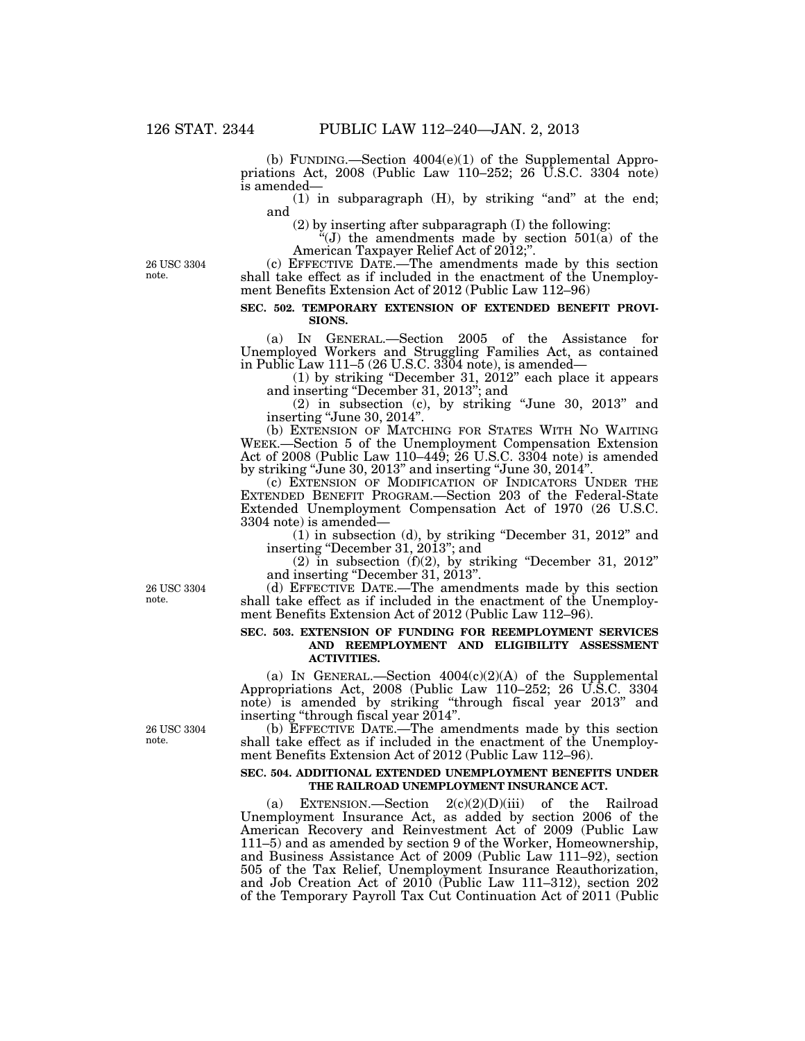(b) FUNDING.—Section 4004(e)(1) of the Supplemental Appropriations Act, 2008 (Public Law 110–252; 26 U.S.C. 3304 note) is amended—

 $(1)$  in subparagraph  $(H)$ , by striking "and" at the end; and

(2) by inserting after subparagraph (I) the following:

 $f'(J)$  the amendments made by section 501(a) of the American Taxpayer Relief Act of 2012;''.

26 USC 3304 note.

(c) EFFECTIVE DATE.—The amendments made by this section shall take effect as if included in the enactment of the Unemployment Benefits Extension Act of 2012 (Public Law 112–96)

#### **SEC. 502. TEMPORARY EXTENSION OF EXTENDED BENEFIT PROVI-SIONS.**

(a) IN GENERAL.—Section 2005 of the Assistance for Unemployed Workers and Struggling Families Act, as contained in Public Law 111–5 (26 U.S.C. 3304 note), is amended—

(1) by striking ''December 31, 2012'' each place it appears and inserting ''December 31, 2013''; and

(2) in subsection (c), by striking ''June 30, 2013'' and inserting "June 30, 2014".

(b) EXTENSION OF MATCHING FOR STATES WITH NO WAITING WEEK.—Section 5 of the Unemployment Compensation Extension Act of 2008 (Public Law 110–449; 26 U.S.C. 3304 note) is amended by striking ''June 30, 2013'' and inserting ''June 30, 2014''.

(c) EXTENSION OF MODIFICATION OF INDICATORS UNDER THE EXTENDED BENEFIT PROGRAM.—Section 203 of the Federal-State Extended Unemployment Compensation Act of 1970 (26 U.S.C. 3304 note) is amended—

(1) in subsection (d), by striking ''December 31, 2012'' and inserting "December 31, 2013"; and

 $(2)$  in subsection  $(f)(2)$ , by striking "December 31, 2012" and inserting ''December 31, 2013''.

26 USC 3304 note.

(d) EFFECTIVE DATE.—The amendments made by this section shall take effect as if included in the enactment of the Unemployment Benefits Extension Act of 2012 (Public Law 112–96).

#### **SEC. 503. EXTENSION OF FUNDING FOR REEMPLOYMENT SERVICES AND REEMPLOYMENT AND ELIGIBILITY ASSESSMENT ACTIVITIES.**

(a) IN GENERAL.—Section  $4004(c)(2)(A)$  of the Supplemental Appropriations Act, 2008 (Public Law 110–252; 26 U.S.C. 3304 note) is amended by striking ''through fiscal year 2013'' and inserting "through fiscal year 2014".

(b) EFFECTIVE DATE.—The amendments made by this section shall take effect as if included in the enactment of the Unemployment Benefits Extension Act of 2012 (Public Law 112–96).

#### **SEC. 504. ADDITIONAL EXTENDED UNEMPLOYMENT BENEFITS UNDER THE RAILROAD UNEMPLOYMENT INSURANCE ACT.**

(a) EXTENSION.—Section 2(c)(2)(D)(iii) of the Railroad Unemployment Insurance Act, as added by section 2006 of the American Recovery and Reinvestment Act of 2009 (Public Law 111–5) and as amended by section 9 of the Worker, Homeownership, and Business Assistance Act of 2009 (Public Law 111–92), section 505 of the Tax Relief, Unemployment Insurance Reauthorization, and Job Creation Act of 2010 (Public Law 111–312), section 202 of the Temporary Payroll Tax Cut Continuation Act of 2011 (Public

26 USC 3304 note.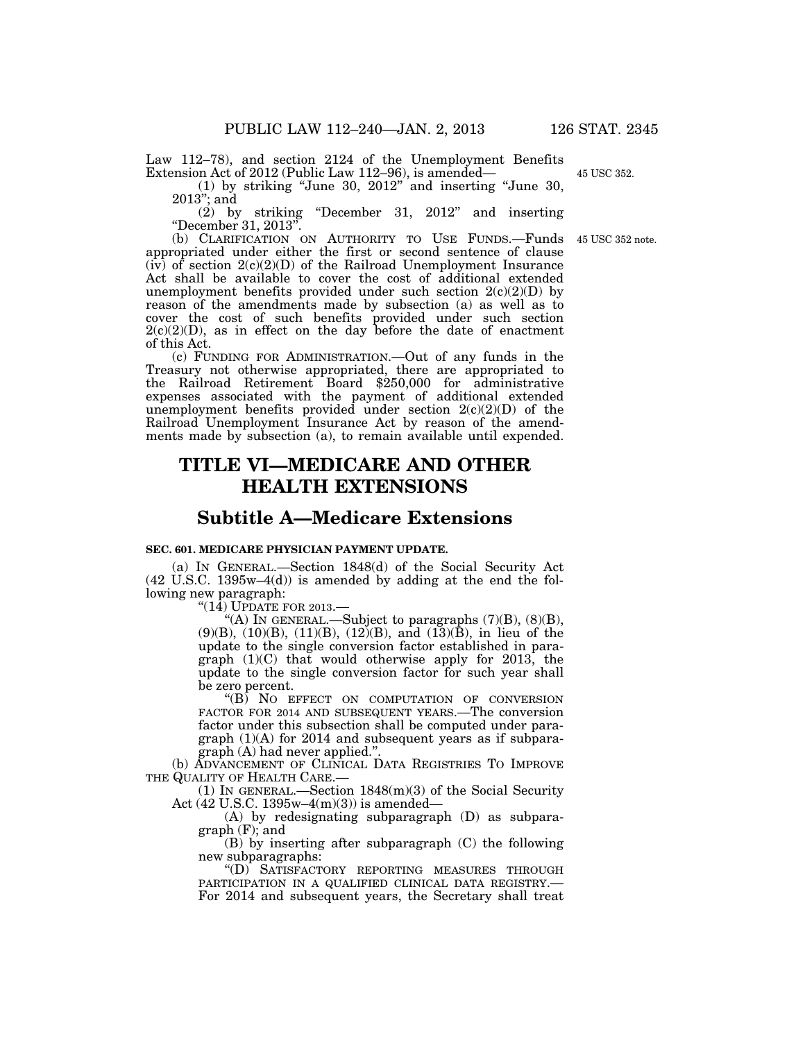Law 112–78), and section 2124 of the Unemployment Benefits Extension Act of 2012 (Public Law 112–96), is amended—

(1) by striking ''June 30, 2012'' and inserting ''June 30, 2013''; and

(2) by striking ''December 31, 2012'' and inserting ''December 31, 2013''.

(b) CLARIFICATION ON AUTHORITY TO USE FUNDS.—Funds appropriated under either the first or second sentence of clause  $(iv)$  of section  $2(c)(2)(D)$  of the Railroad Unemployment Insurance Act shall be available to cover the cost of additional extended unemployment benefits provided under such section  $2(c)(2)(D)$  by reason of the amendments made by subsection (a) as well as to cover the cost of such benefits provided under such section  $2(c)(2)(D)$ , as in effect on the day before the date of enactment of this Act.

(c) FUNDING FOR ADMINISTRATION.—Out of any funds in the Treasury not otherwise appropriated, there are appropriated to the Railroad Retirement Board \$250,000 for administrative expenses associated with the payment of additional extended unemployment benefits provided under section  $2(c)(2)(D)$  of the Railroad Unemployment Insurance Act by reason of the amendments made by subsection (a), to remain available until expended.

# **TITLE VI—MEDICARE AND OTHER HEALTH EXTENSIONS**

### **Subtitle A—Medicare Extensions**

#### **SEC. 601. MEDICARE PHYSICIAN PAYMENT UPDATE.**

(a) IN GENERAL.—Section 1848(d) of the Social Security Act  $(42 \text{ U.S.C. } 1395\text{w}-4(d))$  is amended by adding at the end the following new paragraph:

 $"$ (14) UPDATE FOR 2013.—

''(A) IN GENERAL.—Subject to paragraphs (7)(B), (8)(B),  $(9)(B)$ ,  $(10)(B)$ ,  $(11)(B)$ ,  $(12)(B)$ , and  $(13)(B)$ , in lieu of the update to the single conversion factor established in paragraph (1)(C) that would otherwise apply for 2013, the update to the single conversion factor for such year shall be zero percent.

''(B) NO EFFECT ON COMPUTATION OF CONVERSION FACTOR FOR 2014 AND SUBSEQUENT YEARS.—The conversion factor under this subsection shall be computed under paragraph (1)(A) for 2014 and subsequent years as if subparagraph (A) had never applied.''.

(b) ADVANCEMENT OF CLINICAL DATA REGISTRIES TO IMPROVE THE QUALITY OF HEALTH CARE.—

(1) IN GENERAL.—Section  $1848(m)(3)$  of the Social Security Act (42 U.S.C. 1395w–4(m)(3)) is amended—

(A) by redesignating subparagraph (D) as subparagraph (F); and

(B) by inserting after subparagraph (C) the following new subparagraphs:

''(D) SATISFACTORY REPORTING MEASURES THROUGH PARTICIPATION IN A QUALIFIED CLINICAL DATA REGISTRY.— For 2014 and subsequent years, the Secretary shall treat

45 USC 352.

45 USC 352 note.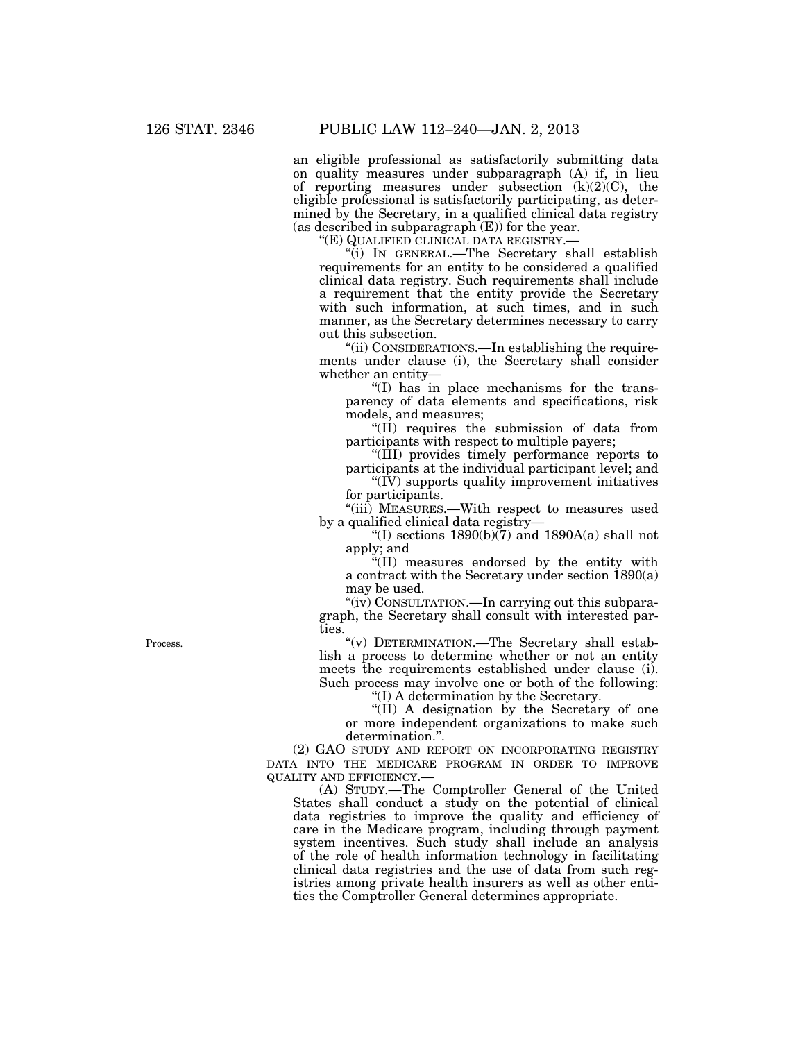an eligible professional as satisfactorily submitting data on quality measures under subparagraph (A) if, in lieu of reporting measures under subsection (k)(2)(C), the eligible professional is satisfactorily participating, as determined by the Secretary, in a qualified clinical data registry (as described in subparagraph (E)) for the year.

''(E) QUALIFIED CLINICAL DATA REGISTRY.—

''(i) IN GENERAL.—The Secretary shall establish requirements for an entity to be considered a qualified clinical data registry. Such requirements shall include a requirement that the entity provide the Secretary with such information, at such times, and in such manner, as the Secretary determines necessary to carry out this subsection.

''(ii) CONSIDERATIONS.—In establishing the requirements under clause (i), the Secretary shall consider whether an entity—

''(I) has in place mechanisms for the transparency of data elements and specifications, risk models, and measures;

''(II) requires the submission of data from participants with respect to multiple payers;

''(III) provides timely performance reports to participants at the individual participant level; and

''(IV) supports quality improvement initiatives for participants.

''(iii) MEASURES.—With respect to measures used by a qualified clinical data registry—

"(I) sections  $1890(b)(7)$  and  $1890A(a)$  shall not apply; and

''(II) measures endorsed by the entity with a contract with the Secretary under section 1890(a) may be used.

"(iv) CONSULTATION.—In carrying out this subparagraph, the Secretary shall consult with interested parties.

''(v) DETERMINATION.—The Secretary shall establish a process to determine whether or not an entity meets the requirements established under clause (i). Such process may involve one or both of the following:

''(I) A determination by the Secretary.

''(II) A designation by the Secretary of one or more independent organizations to make such determination.''.

(2) GAO STUDY AND REPORT ON INCORPORATING REGISTRY DATA INTO THE MEDICARE PROGRAM IN ORDER TO IMPROVE QUALITY AND EFFICIENCY.—

(A) STUDY.—The Comptroller General of the United States shall conduct a study on the potential of clinical data registries to improve the quality and efficiency of care in the Medicare program, including through payment system incentives. Such study shall include an analysis of the role of health information technology in facilitating clinical data registries and the use of data from such registries among private health insurers as well as other entities the Comptroller General determines appropriate.

Process.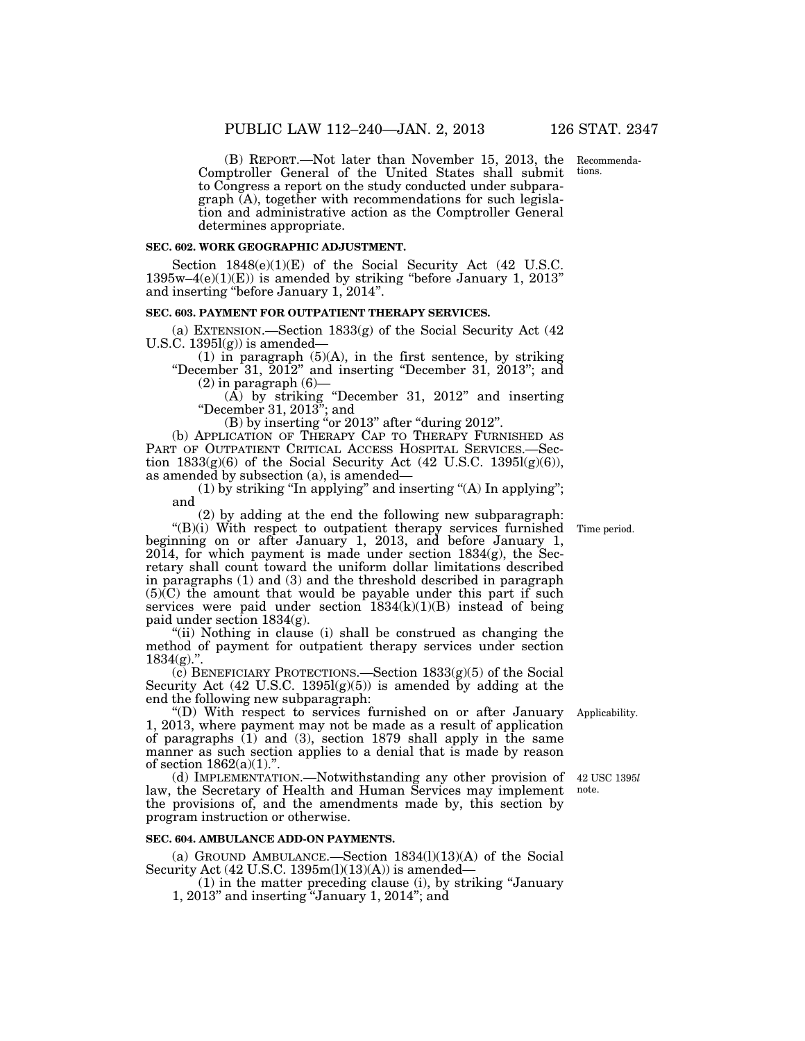(B) REPORT.—Not later than November 15, 2013, the Comptroller General of the United States shall submit to Congress a report on the study conducted under subparagraph (A), together with recommendations for such legislation and administrative action as the Comptroller General determines appropriate.

#### **SEC. 602. WORK GEOGRAPHIC ADJUSTMENT.**

Section  $1848(e)(1)(E)$  of the Social Security Act (42 U.S.C.  $1395w-4(e)(1)(E)$  is amended by striking "before January 1, 2013" and inserting ''before January 1, 2014''.

#### **SEC. 603. PAYMENT FOR OUTPATIENT THERAPY SERVICES.**

(a) EXTENSION.—Section 1833(g) of the Social Security Act (42 U.S.C.  $1395l(g)$  is amended-

(1) in paragraph (5)(A), in the first sentence, by striking ''December 31, 2012'' and inserting ''December 31, 2013''; and

 $(2)$  in paragraph  $(6)$ —

(A) by striking ''December 31, 2012'' and inserting ''December 31, 2013''; and

(B) by inserting "or 2013" after "during 2012".

(b) APPLICATION OF THERAPY CAP TO THERAPY FURNISHED AS PART OF OUTPATIENT CRITICAL ACCESS HOSPITAL SERVICES.—Section  $1833(g)(6)$  of the Social Security Act (42 U.S.C.  $1395l(g)(6)$ ), as amended by subsection (a), is amended—

 $(1)$  by striking "In applying" and inserting " $(A)$  In applying"; and

(2) by adding at the end the following new subparagraph:

 $H(B)(i)$  With respect to outpatient therapy services furnished beginning on or after January 1, 2013, and before January 1, 2014, for which payment is made under section 1834(g), the Secretary shall count toward the uniform dollar limitations described in paragraphs (1) and (3) and the threshold described in paragraph (5)(C) the amount that would be payable under this part if such services were paid under section  $1834(k)(1)(B)$  instead of being paid under section 1834(g).

''(ii) Nothing in clause (i) shall be construed as changing the method of payment for outpatient therapy services under section  $1834(g)$ .".

(c) BENEFICIARY PROTECTIONS.—Section 1833(g)(5) of the Social Security Act  $(42 \text{ U.S.C. } 1395 \text{I(g})(5))$  is amended by adding at the end the following new subparagraph:

''(D) With respect to services furnished on or after January Applicability. 1, 2013, where payment may not be made as a result of application of paragraphs  $(1)$  and  $(3)$ , section 1879 shall apply in the same manner as such section applies to a denial that is made by reason of section  $1862(a)(1)$ .".

(d) IMPLEMENTATION.—Notwithstanding any other provision of 42 USC 1395*l*  law, the Secretary of Health and Human Services may implement the provisions of, and the amendments made by, this section by program instruction or otherwise.

#### **SEC. 604. AMBULANCE ADD-ON PAYMENTS.**

(a) GROUND AMBULANCE.—Section  $1834(1)(13)(A)$  of the Social Security Act  $(42 \text{ U.S.C. } 1395 \text{m}(l)(13)(A))$  is amended—

(1) in the matter preceding clause (i), by striking ''January

1, 2013'' and inserting ''January 1, 2014''; and

Time period.

note.

Recommendations.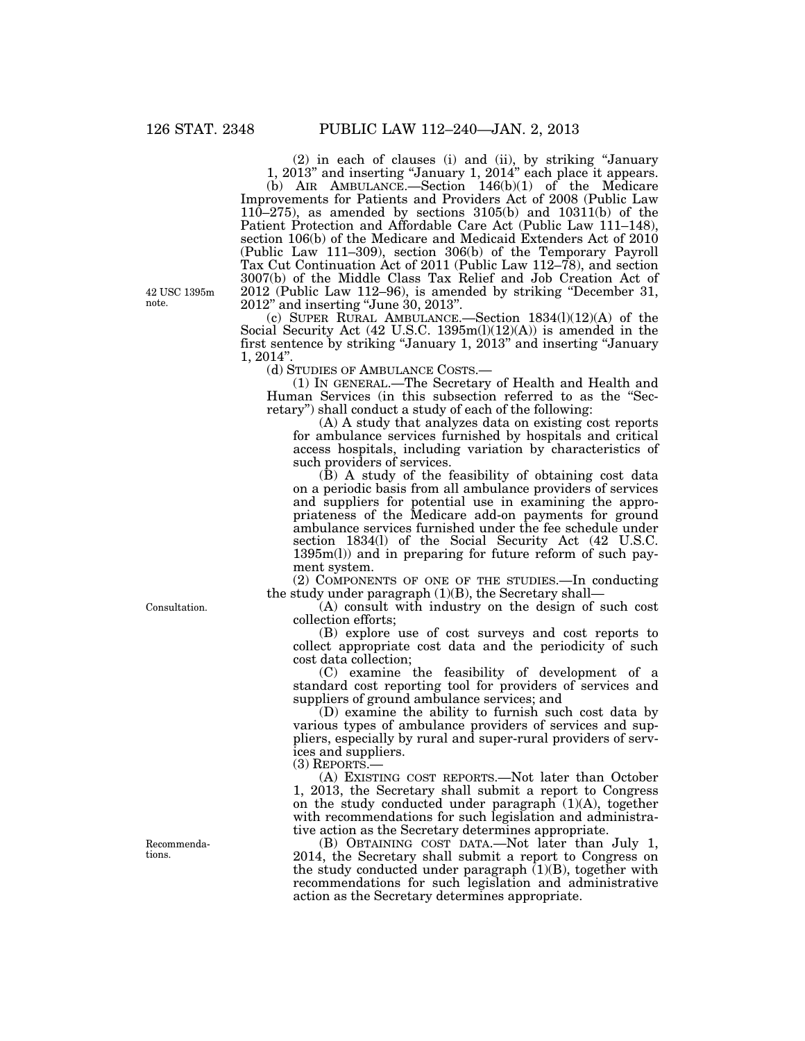(2) in each of clauses (i) and (ii), by striking ''January 1, 2013'' and inserting ''January 1, 2014'' each place it appears.

(b) AIR AMBULANCE.—Section 146(b)(1) of the Medicare Improvements for Patients and Providers Act of 2008 (Public Law 110–275), as amended by sections 3105(b) and 10311(b) of the Patient Protection and Affordable Care Act (Public Law 111–148), section 106(b) of the Medicare and Medicaid Extenders Act of 2010 (Public Law 111–309), section 306(b) of the Temporary Payroll Tax Cut Continuation Act of 2011 (Public Law 112–78), and section 3007(b) of the Middle Class Tax Relief and Job Creation Act of 2012 (Public Law 112–96), is amended by striking ''December 31, 2012'' and inserting ''June 30, 2013''.

(c) SUPER RURAL AMBULANCE.—Section 1834(l)(12)(A) of the Social Security Act (42 U.S.C. 1395m(l)(12)(A)) is amended in the first sentence by striking ''January 1, 2013'' and inserting ''January 1, 2014''.

(d) STUDIES OF AMBULANCE COSTS.—

(1) IN GENERAL.—The Secretary of Health and Health and Human Services (in this subsection referred to as the ''Secretary'') shall conduct a study of each of the following:

(A) A study that analyzes data on existing cost reports for ambulance services furnished by hospitals and critical access hospitals, including variation by characteristics of such providers of services.

(B) A study of the feasibility of obtaining cost data on a periodic basis from all ambulance providers of services and suppliers for potential use in examining the appropriateness of the Medicare add-on payments for ground ambulance services furnished under the fee schedule under section 1834(l) of the Social Security Act (42 U.S.C. 1395m(l)) and in preparing for future reform of such payment system.

(2) COMPONENTS OF ONE OF THE STUDIES.—In conducting the study under paragraph  $(1)(B)$ , the Secretary shall-

(A) consult with industry on the design of such cost collection efforts;

(B) explore use of cost surveys and cost reports to collect appropriate cost data and the periodicity of such cost data collection;

(C) examine the feasibility of development of a standard cost reporting tool for providers of services and suppliers of ground ambulance services; and

(D) examine the ability to furnish such cost data by various types of ambulance providers of services and suppliers, especially by rural and super-rural providers of services and suppliers.

(3) REPORTS.—

(A) EXISTING COST REPORTS.—Not later than October 1, 2013, the Secretary shall submit a report to Congress on the study conducted under paragraph (1)(A), together with recommendations for such legislation and administrative action as the Secretary determines appropriate.

(B) OBTAINING COST DATA.—Not later than July 1, 2014, the Secretary shall submit a report to Congress on the study conducted under paragraph  $(1)(B)$ , together with recommendations for such legislation and administrative action as the Secretary determines appropriate.

42 USC 1395m note.

Consultation.

Recommendations.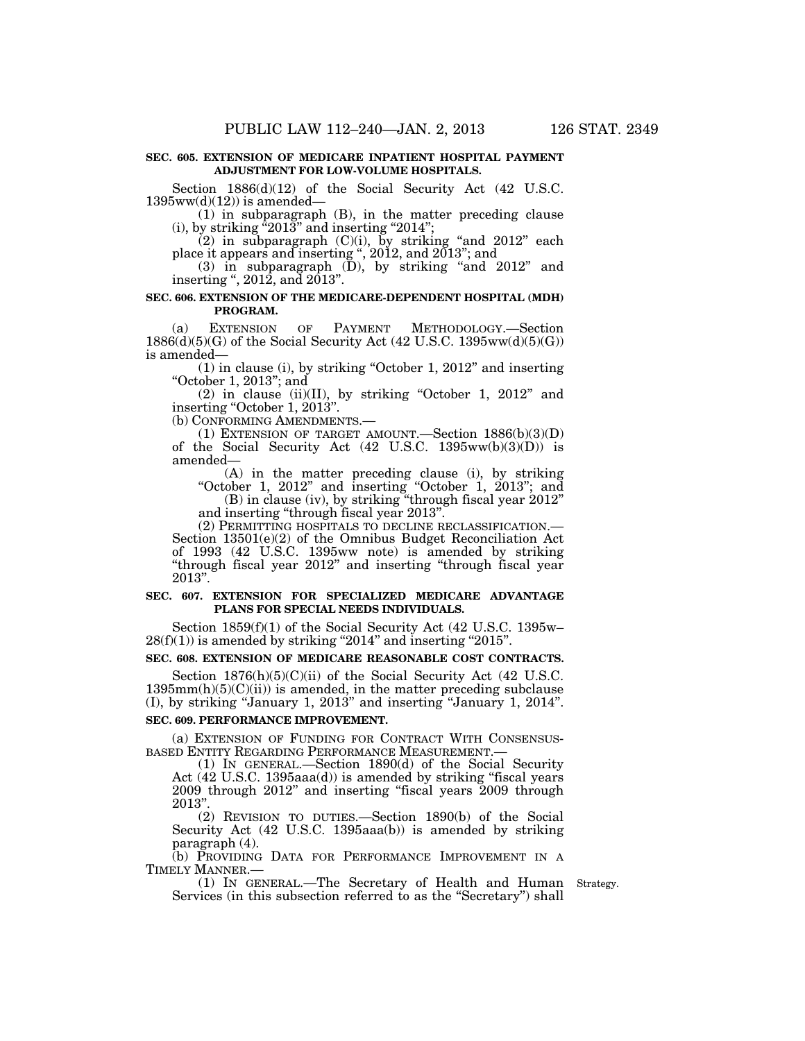#### **SEC. 605. EXTENSION OF MEDICARE INPATIENT HOSPITAL PAYMENT ADJUSTMENT FOR LOW-VOLUME HOSPITALS.**

Section  $1886(d)(12)$  of the Social Security Act (42 U.S.C.  $1395ww(d)(12)$ ) is amended—

(1) in subparagraph (B), in the matter preceding clause (i), by striking  $^{\tilde{a}}2013"$  and inserting "2014";

 $(2)$  in subparagraph  $(C)(i)$ , by striking "and 2012" each place it appears and inserting '', 2012, and 2013''; and

(3) in subparagraph (D), by striking ''and 2012'' and inserting '', 2012, and 2013''.

#### **SEC. 606. EXTENSION OF THE MEDICARE-DEPENDENT HOSPITAL (MDH) PROGRAM.**

(a) EXTENSION OF PAYMENT METHODOLOGY.—Section  $1886(d)(5)(G)$  of the Social Security Act (42 U.S.C. 1395ww(d)(5)(G)) is amended—

(1) in clause (i), by striking ''October 1, 2012'' and inserting ''October 1, 2013''; and

 $(2)$  in clause  $(ii)(II)$ , by striking "October 1, 2012" and inserting "October 1, 2013".

(b) CONFORMING AMENDMENTS.—

(1) EXTENSION OF TARGET AMOUNT.—Section  $1886(b)(3)(D)$ of the Social Security Act (42 U.S.C. 1395ww(b)(3)(D)) is amended—

(A) in the matter preceding clause (i), by striking ''October 1, 2012'' and inserting ''October 1, 2013''; and (B) in clause (iv), by striking ''through fiscal year 2012''

and inserting "through fiscal year 2013".<br>(2) PERMITTING HOSPITALS TO DECLINE RECLASSIFICATION.

Section  $13501(e)(2)$  of the Omnibus Budget Reconciliation Act of 1993 (42 U.S.C. 1395ww note) is amended by striking ''through fiscal year 2012'' and inserting ''through fiscal year 2013''.

#### **SEC. 607. EXTENSION FOR SPECIALIZED MEDICARE ADVANTAGE PLANS FOR SPECIAL NEEDS INDIVIDUALS.**

Section 1859(f)(1) of the Social Security Act (42 U.S.C. 1395w–  $28(f)(1)$ ) is amended by striking "2014" and inserting "2015".

#### **SEC. 608. EXTENSION OF MEDICARE REASONABLE COST CONTRACTS.**

Section  $1876(h)(5)(C)(ii)$  of the Social Security Act (42 U.S.C.  $1395mm(h)(5)(C)(ii)$  is amended, in the matter preceding subclause (I), by striking ''January 1, 2013'' and inserting ''January 1, 2014''.

#### **SEC. 609. PERFORMANCE IMPROVEMENT.**

(a) EXTENSION OF FUNDING FOR CONTRACT WITH CONSENSUS-BASED ENTITY REGARDING PERFORMANCE MEASUREMENT.—

(1) IN GENERAL.—Section 1890(d) of the Social Security Act (42 U.S.C. 1395aaa(d)) is amended by striking "fiscal years 2009 through 2012'' and inserting ''fiscal years 2009 through 2013''.

(2) REVISION TO DUTIES.—Section 1890(b) of the Social Security Act (42 U.S.C. 1395aaa(b)) is amended by striking paragraph (4).

(b) PROVIDING DATA FOR PERFORMANCE IMPROVEMENT IN A TIMELY MANNER.—

(1) IN GENERAL.—The Secretary of Health and Human Strategy. Services (in this subsection referred to as the "Secretary") shall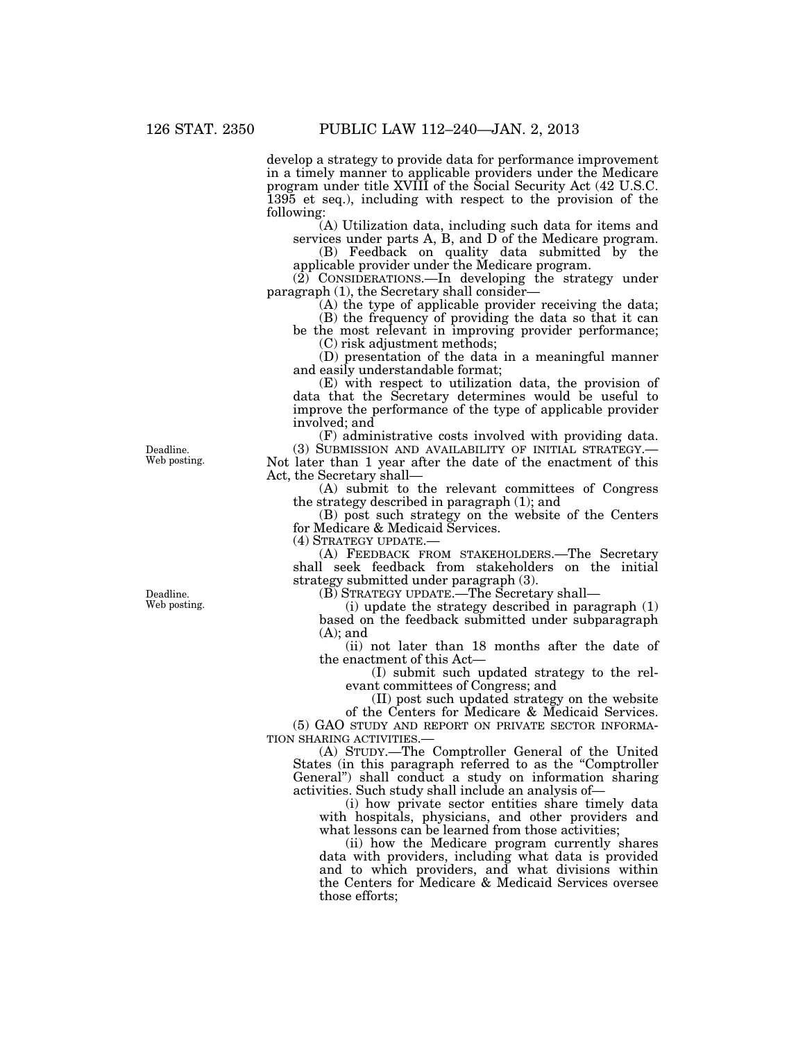develop a strategy to provide data for performance improvement in a timely manner to applicable providers under the Medicare program under title XVIII of the Social Security Act (42 U.S.C. 1395 et seq.), including with respect to the provision of the following:

(A) Utilization data, including such data for items and services under parts A, B, and D of the Medicare program.

(B) Feedback on quality data submitted by the applicable provider under the Medicare program.

(2) CONSIDERATIONS.—In developing the strategy under paragraph (1), the Secretary shall consider—

(A) the type of applicable provider receiving the data;

(B) the frequency of providing the data so that it can be the most relevant in improving provider performance;

(C) risk adjustment methods;

(D) presentation of the data in a meaningful manner and easily understandable format;

(E) with respect to utilization data, the provision of data that the Secretary determines would be useful to improve the performance of the type of applicable provider involved; and

(F) administrative costs involved with providing data. (3) SUBMISSION AND AVAILABILITY OF INITIAL STRATEGY.— Not later than 1 year after the date of the enactment of this Act, the Secretary shall—

(A) submit to the relevant committees of Congress the strategy described in paragraph (1); and

(B) post such strategy on the website of the Centers for Medicare & Medicaid Services.

(4) STRATEGY UPDATE.—

(A) FEEDBACK FROM STAKEHOLDERS.—The Secretary shall seek feedback from stakeholders on the initial strategy submitted under paragraph (3).

(B) STRATEGY UPDATE.—The Secretary shall—

(i) update the strategy described in paragraph (1) based on the feedback submitted under subparagraph (A); and

(ii) not later than 18 months after the date of the enactment of this Act—

(I) submit such updated strategy to the relevant committees of Congress; and

(II) post such updated strategy on the website

of the Centers for Medicare & Medicaid Services. (5) GAO STUDY AND REPORT ON PRIVATE SECTOR INFORMA-TION SHARING ACTIVITIES.—

(A) STUDY.—The Comptroller General of the United States (in this paragraph referred to as the ''Comptroller General'') shall conduct a study on information sharing activities. Such study shall include an analysis of—

(i) how private sector entities share timely data with hospitals, physicians, and other providers and what lessons can be learned from those activities;

(ii) how the Medicare program currently shares data with providers, including what data is provided and to which providers, and what divisions within the Centers for Medicare & Medicaid Services oversee those efforts;

Deadline. Web posting.

Deadline. Web posting.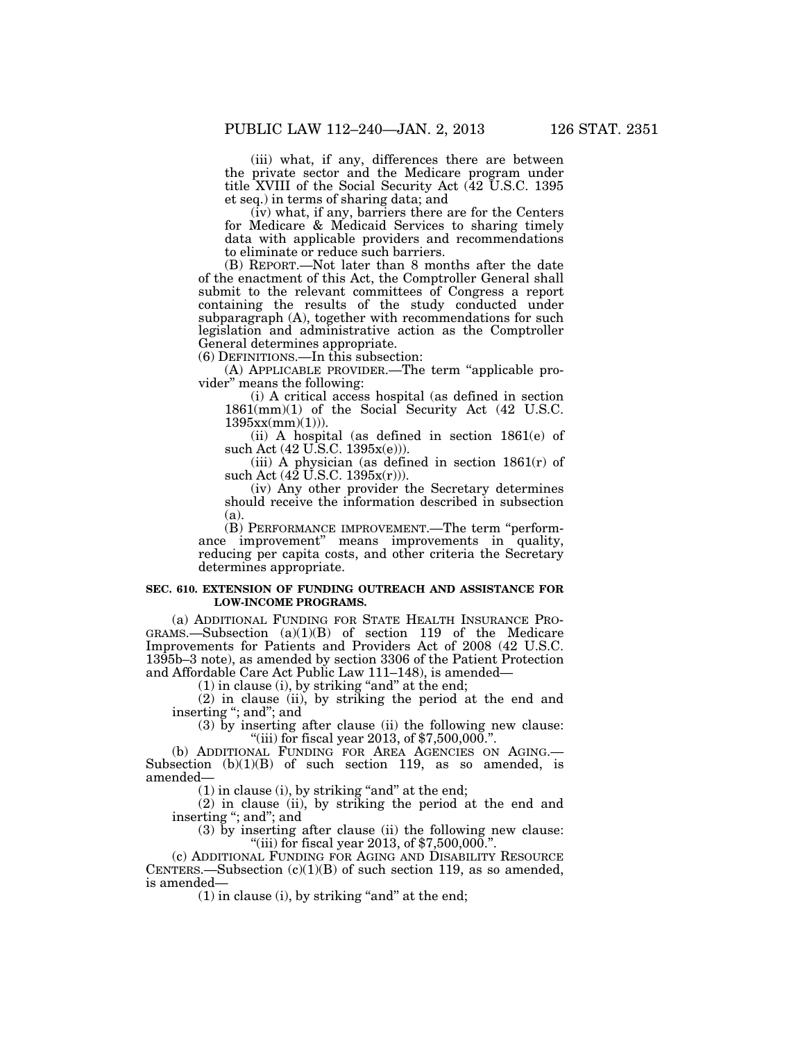(iii) what, if any, differences there are between the private sector and the Medicare program under title XVIII of the Social Security Act (42 U.S.C. 1395 et seq.) in terms of sharing data; and

(iv) what, if any, barriers there are for the Centers for Medicare & Medicaid Services to sharing timely data with applicable providers and recommendations to eliminate or reduce such barriers.

(B) REPORT.—Not later than 8 months after the date of the enactment of this Act, the Comptroller General shall submit to the relevant committees of Congress a report containing the results of the study conducted under subparagraph (A), together with recommendations for such legislation and administrative action as the Comptroller General determines appropriate.

(6) DEFINITIONS.—In this subsection:

(A) APPLICABLE PROVIDER.—The term ''applicable provider'' means the following:

(i) A critical access hospital (as defined in section 1861(mm)(1) of the Social Security Act (42 U.S.C.  $1395xx(mm)(1))$ .

(ii) A hospital (as defined in section 1861(e) of such Act (42 U.S.C. 1395x(e))).

(iii) A physician (as defined in section  $1861(r)$  of such Act  $(42 \text{ U.S.C. } 1395x(r))$ .

(iv) Any other provider the Secretary determines should receive the information described in subsection (a).

(B) PERFORMANCE IMPROVEMENT.—The term ''performance improvement'' means improvements in quality, reducing per capita costs, and other criteria the Secretary determines appropriate.

#### **SEC. 610. EXTENSION OF FUNDING OUTREACH AND ASSISTANCE FOR LOW-INCOME PROGRAMS.**

(a) ADDITIONAL FUNDING FOR STATE HEALTH INSURANCE PRO-GRAMS.—Subsection (a)(1)(B) of section 119 of the Medicare Improvements for Patients and Providers Act of 2008 (42 U.S.C. 1395b–3 note), as amended by section 3306 of the Patient Protection and Affordable Care Act Public Law 111–148), is amended—

 $(1)$  in clause  $(i)$ , by striking "and" at the end;

(2) in clause (ii), by striking the period at the end and inserting ''; and''; and

(3) by inserting after clause (ii) the following new clause: "(iii) for fiscal year 2013, of  $$7,500,000$ .".

(b) ADDITIONAL FUNDING FOR AREA AGENCIES ON AGING.— Subsection  $(b)(1)(B)$  of such section 119, as so amended, is amended—

 $(1)$  in clause  $(i)$ , by striking "and" at the end;

(2) in clause (ii), by striking the period at the end and inserting "; and"; and

(3) by inserting after clause (ii) the following new clause: "(iii) for fiscal year 2013, of  $$7,500,000$ .".

(c) ADDITIONAL FUNDING FOR AGING AND DISABILITY RESOURCE CENTERS.—Subsection  $(c)(1)(B)$  of such section 119, as so amended, is amended—

 $(1)$  in clause  $(i)$ , by striking "and" at the end;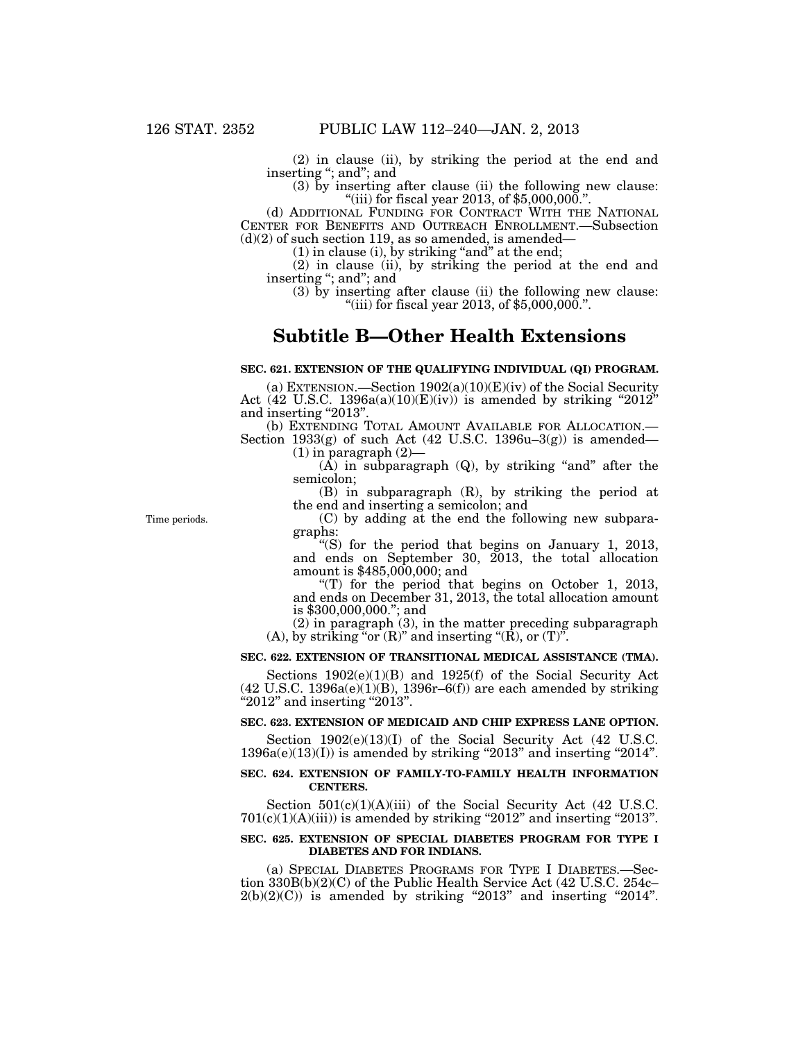(2) in clause (ii), by striking the period at the end and inserting ''; and''; and

(3) by inserting after clause (ii) the following new clause: "(iii) for fiscal year  $2013$ , of  $$5,000,000$ .".

(d) ADDITIONAL FUNDING FOR CONTRACT WITH THE NATIONAL CENTER FOR BENEFITS AND OUTREACH ENROLLMENT.—Subsection  $(d)(2)$  of such section 119, as so amended, is amended—

 $(1)$  in clause  $(i)$ , by striking "and" at the end;

(2) in clause (ii), by striking the period at the end and inserting ''; and''; and

(3) by inserting after clause (ii) the following new clause: ''(iii) for fiscal year 2013, of \$5,000,000.''.

# **Subtitle B—Other Health Extensions**

#### **SEC. 621. EXTENSION OF THE QUALIFYING INDIVIDUAL (QI) PROGRAM.**

(a) EXTENSION.—Section 1902(a)(10)(E)(iv) of the Social Security Act (42 U.S.C. 1396a(a)(10)(E)(iv)) is amended by striking "2012" and inserting "2013".<br>
(b) EXTENDING TOTAL AMOUNT AVAILABLE FOR ALLOCATION.—

Section 1933(g) of such Act (42 U.S.C. 1396u–3(g)) is amended—  $(1)$  in paragraph  $(2)$ –

 $(A)$  in subparagraph  $(Q)$ , by striking "and" after the semicolon;

(B) in subparagraph (R), by striking the period at the end and inserting a semicolon; and

(C) by adding at the end the following new subparagraphs:

''(S) for the period that begins on January 1, 2013, and ends on September 30, 2013, the total allocation amount is \$485,000,000; and

"(T) for the period that begins on October 1, 2013, and ends on December 31, 2013, the total allocation amount is \$300,000,000.''; and

(2) in paragraph (3), in the matter preceding subparagraph (A), by striking "or  $(R)$ " and inserting " $(R)$ , or  $(T)$ ".

#### **SEC. 622. EXTENSION OF TRANSITIONAL MEDICAL ASSISTANCE (TMA).**

Sections 1902(e)(1)(B) and 1925(f) of the Social Security Act  $(42 \text{ U.S.C. } 1396a(e)(1)(B), 1396r-6(f))$  are each amended by striking  $"2012"$  and inserting "2013".

#### **SEC. 623. EXTENSION OF MEDICAID AND CHIP EXPRESS LANE OPTION.**

Section 1902(e)(13)(I) of the Social Security Act (42 U.S.C.  $1396a(e)(13)(I)$  is amended by striking "2013" and inserting "2014".

#### **SEC. 624. EXTENSION OF FAMILY-TO-FAMILY HEALTH INFORMATION CENTERS.**

Section  $501(c)(1)(A)(iii)$  of the Social Security Act (42 U.S.C.  $701(c)(1)(A)(iii)$ ) is amended by striking "2012" and inserting "2013".

#### **SEC. 625. EXTENSION OF SPECIAL DIABETES PROGRAM FOR TYPE I DIABETES AND FOR INDIANS.**

(a) SPECIAL DIABETES PROGRAMS FOR TYPE I DIABETES.—Section 330B(b)(2)(C) of the Public Health Service Act (42 U.S.C. 254c–  $2(b)(2)(C)$ ) is amended by striking "2013" and inserting "2014".

Time periods.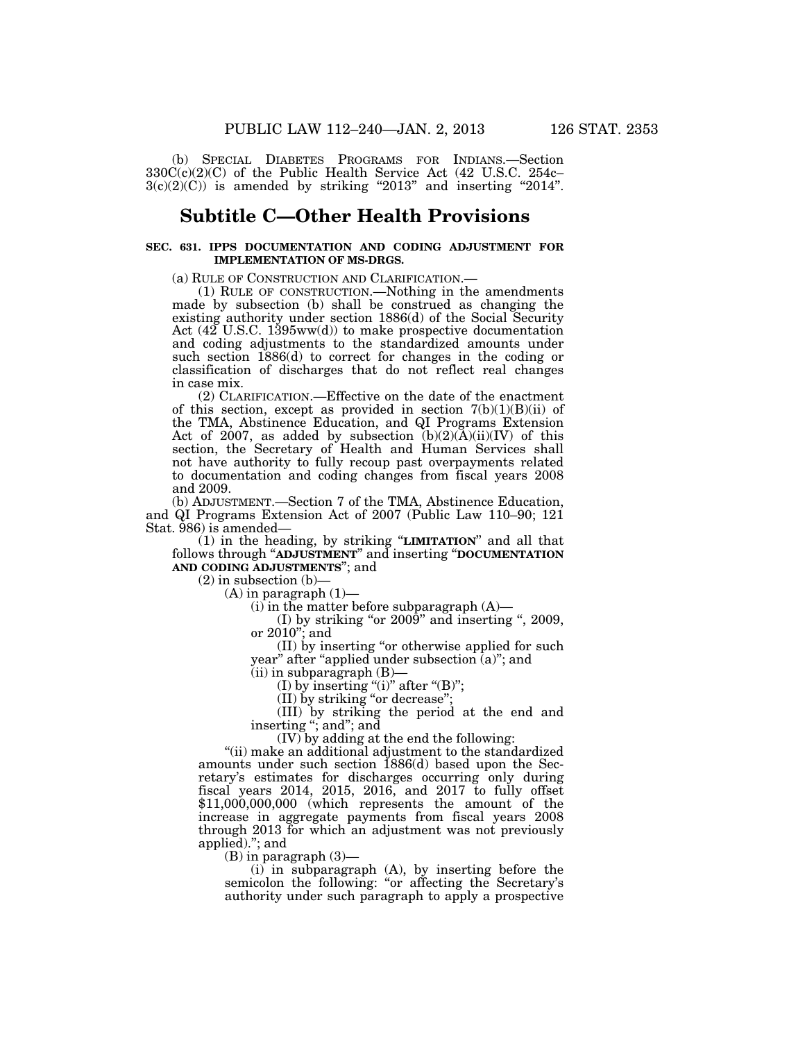(b) SPECIAL DIABETES PROGRAMS FOR INDIANS.—Section 330C(c)(2)(C) of the Public Health Service Act (42 U.S.C. 254c–  $3(c)(2)(C)$  is amended by striking "2013" and inserting "2014".

### **Subtitle C—Other Health Provisions**

#### **SEC. 631. IPPS DOCUMENTATION AND CODING ADJUSTMENT FOR IMPLEMENTATION OF MS-DRGS.**

(a) RULE OF CONSTRUCTION AND CLARIFICATION.— (1) RULE OF CONSTRUCTION.—Nothing in the amendments made by subsection (b) shall be construed as changing the existing authority under section 1886(d) of the Social Security Act (42 U.S.C. 1395ww(d)) to make prospective documentation and coding adjustments to the standardized amounts under such section 1886(d) to correct for changes in the coding or classification of discharges that do not reflect real changes in case mix.

(2) CLARIFICATION.—Effective on the date of the enactment of this section, except as provided in section  $7(b)(1)(B)(ii)$  of the TMA, Abstinence Education, and QI Programs Extension Act of 2007, as added by subsection  $(b)(2)(A)(ii)(IV)$  of this section, the Secretary of Health and Human Services shall not have authority to fully recoup past overpayments related to documentation and coding changes from fiscal years 2008 and 2009.

(b) ADJUSTMENT.—Section 7 of the TMA, Abstinence Education, and QI Programs Extension Act of 2007 (Public Law 110–90; 121 Stat. 986) is amended—

(1) in the heading, by striking ''**LIMITATION**'' and all that follows through ''**ADJUSTMENT**'' and inserting ''**DOCUMENTATION AND CODING ADJUSTMENTS**''; and

 $(2)$  in subsection  $(b)$ -

 $(A)$  in paragraph  $(1)$ —

 $(i)$  in the matter before subparagraph  $(A)$ —

(I) by striking "or 2009" and inserting ", 2009, or 2010''; and

(II) by inserting ''or otherwise applied for such year" after "applied under subsection (a)"; and

 $(ii)$  in subparagraph  $(B)$ —

(I) by inserting "(i)" after "(B)";

(II) by striking ''or decrease'';

(III) by striking the period at the end and inserting "; and"; and

(IV) by adding at the end the following:

''(ii) make an additional adjustment to the standardized amounts under such section 1886(d) based upon the Secretary's estimates for discharges occurring only during fiscal years 2014, 2015, 2016, and 2017 to fully offset \$11,000,000,000 (which represents the amount of the increase in aggregate payments from fiscal years 2008 through 2013 for which an adjustment was not previously applied).''; and

(B) in paragraph (3)—

(i) in subparagraph (A), by inserting before the semicolon the following: "or affecting the Secretary's authority under such paragraph to apply a prospective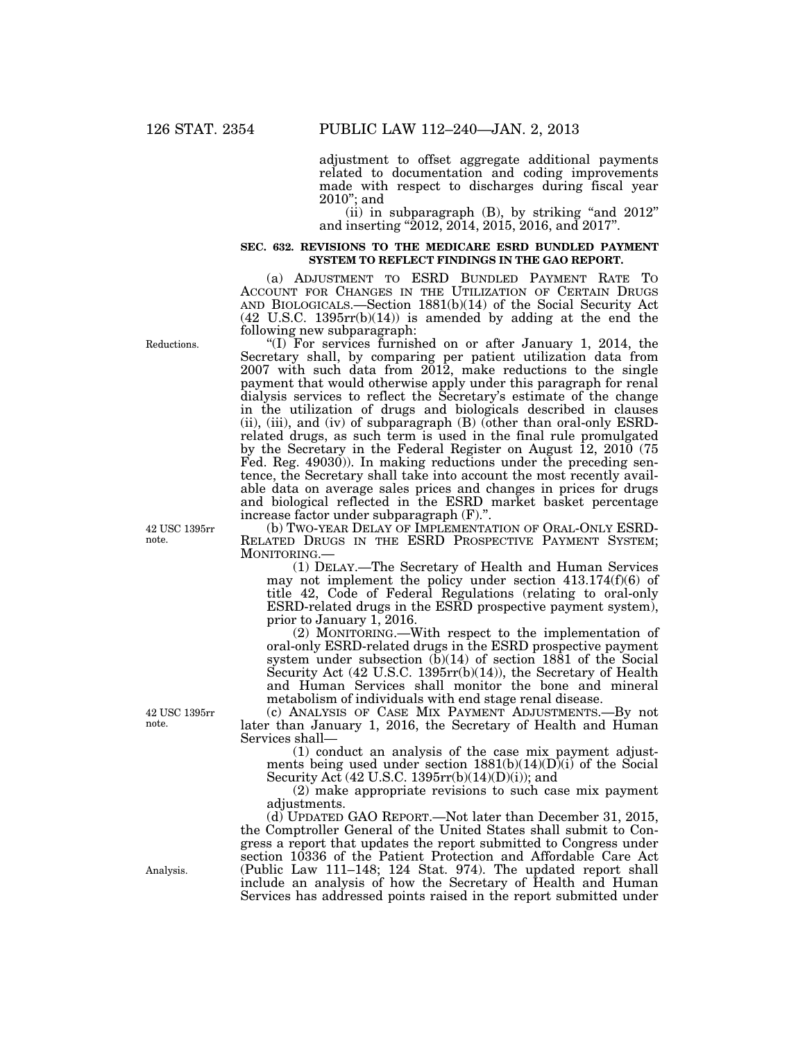adjustment to offset aggregate additional payments related to documentation and coding improvements made with respect to discharges during fiscal year 2010''; and

(ii) in subparagraph  $(B)$ , by striking "and  $2012$ " and inserting ''2012, 2014, 2015, 2016, and 2017''.

#### **SEC. 632. REVISIONS TO THE MEDICARE ESRD BUNDLED PAYMENT SYSTEM TO REFLECT FINDINGS IN THE GAO REPORT.**

(a) ADJUSTMENT TO ESRD BUNDLED PAYMENT RATE TO ACCOUNT FOR CHANGES IN THE UTILIZATION OF CERTAIN DRUGS AND BIOLOGICALS.—Section 1881(b)(14) of the Social Security Act (42 U.S.C. 1395rr(b)(14)) is amended by adding at the end the following new subparagraph:

''(I) For services furnished on or after January 1, 2014, the Secretary shall, by comparing per patient utilization data from 2007 with such data from 2012, make reductions to the single payment that would otherwise apply under this paragraph for renal dialysis services to reflect the Secretary's estimate of the change in the utilization of drugs and biologicals described in clauses (ii), (iii), and (iv) of subparagraph (B) (other than oral-only ESRDrelated drugs, as such term is used in the final rule promulgated by the Secretary in the Federal Register on August 12, 2010 (75 Fed. Reg. 49030)). In making reductions under the preceding sentence, the Secretary shall take into account the most recently available data on average sales prices and changes in prices for drugs and biological reflected in the ESRD market basket percentage increase factor under subparagraph (F).''.

(b) TWO-YEAR DELAY OF IMPLEMENTATION OF ORAL-ONLY ESRD-RELATED DRUGS IN THE ESRD PROSPECTIVE PAYMENT SYSTEM; MONITORING.

(1) DELAY.—The Secretary of Health and Human Services may not implement the policy under section 413.174(f)(6) of title 42, Code of Federal Regulations (relating to oral-only ESRD-related drugs in the ESRD prospective payment system), prior to January 1, 2016.

(2) MONITORING.—With respect to the implementation of oral-only ESRD-related drugs in the ESRD prospective payment system under subsection  $(b)(14)$  of section 1881 of the Social Security Act (42 U.S.C. 1395rr(b)(14)), the Secretary of Health and Human Services shall monitor the bone and mineral metabolism of individuals with end stage renal disease.

(c) ANALYSIS OF CASE MIX PAYMENT ADJUSTMENTS.—By not later than January 1, 2016, the Secretary of Health and Human Services shall—

(1) conduct an analysis of the case mix payment adjustments being used under section  $1881(b)(14)(D)(i)$  of the Social Security Act  $(42 \text{ U.S.C. } 1395 \text{rr}(b)(14)(D)(i))$ ; and

(2) make appropriate revisions to such case mix payment adjustments.

(d) UPDATED GAO REPORT.—Not later than December 31, 2015, the Comptroller General of the United States shall submit to Congress a report that updates the report submitted to Congress under section 10336 of the Patient Protection and Affordable Care Act (Public Law 111–148; 124 Stat. 974). The updated report shall include an analysis of how the Secretary of Health and Human Services has addressed points raised in the report submitted under

Reductions.

42 USC 1395rr note.

42 USC 1395rr note.

Analysis.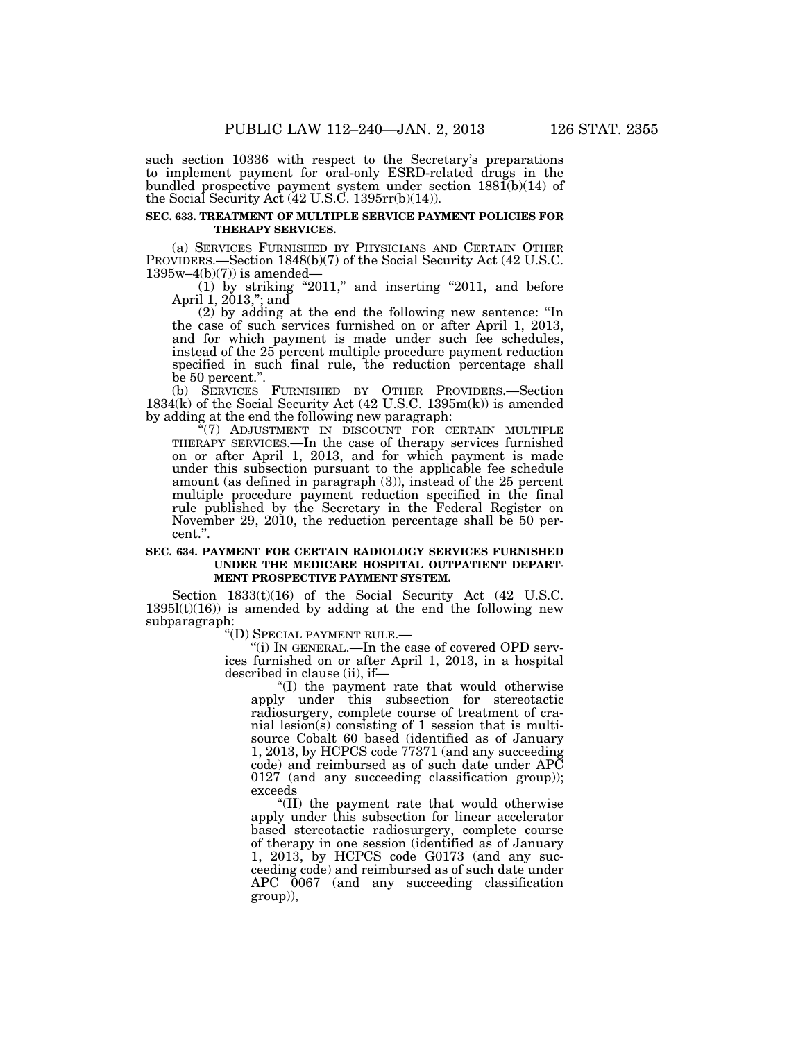such section 10336 with respect to the Secretary's preparations to implement payment for oral-only ESRD-related drugs in the bundled prospective payment system under section 1881(b)(14) of the Social Security Act  $(42 \text{ U.S.} \check{\text{C}}. 1395 \text{rr(b)}(14)).$ 

#### **SEC. 633. TREATMENT OF MULTIPLE SERVICE PAYMENT POLICIES FOR THERAPY SERVICES.**

(a) SERVICES FURNISHED BY PHYSICIANS AND CERTAIN OTHER PROVIDERS.—Section 1848(b)(7) of the Social Security Act (42 U.S.C.  $1395w-4(b)(7)$  is amended-

 $(1)$  by striking "2011," and inserting "2011, and before April 1, 2013,''; and

(2) by adding at the end the following new sentence: ''In the case of such services furnished on or after April 1, 2013, and for which payment is made under such fee schedules, instead of the 25 percent multiple procedure payment reduction specified in such final rule, the reduction percentage shall be 50 percent.''.

(b) SERVICES FURNISHED BY OTHER PROVIDERS.—Section 1834(k) of the Social Security Act (42 U.S.C. 1395m(k)) is amended by adding at the end the following new paragraph:

"(7) ADJUSTMENT IN DISCOUNT FOR CERTAIN MULTIPLE THERAPY SERVICES.—In the case of therapy services furnished on or after April 1, 2013, and for which payment is made under this subsection pursuant to the applicable fee schedule amount (as defined in paragraph (3)), instead of the 25 percent multiple procedure payment reduction specified in the final rule published by the Secretary in the Federal Register on November 29, 2010, the reduction percentage shall be 50 percent.''.

#### **SEC. 634. PAYMENT FOR CERTAIN RADIOLOGY SERVICES FURNISHED UNDER THE MEDICARE HOSPITAL OUTPATIENT DEPART-MENT PROSPECTIVE PAYMENT SYSTEM.**

Section 1833(t)(16) of the Social Security Act (42 U.S.C.  $1395l(t)(16)$ ) is amended by adding at the end the following new subparagraph:<br>"(D) SPECIAL PAYMENT RULE.—

"(i) IN GENERAL.—In the case of covered OPD services furnished on or after April 1, 2013, in a hospital described in clause (ii), if—

''(I) the payment rate that would otherwise apply under this subsection for stereotactic radiosurgery, complete course of treatment of cranial lesion(s) consisting of 1 session that is multisource Cobalt 60 based (identified as of January 1, 2013, by HCPCS code 77371 (and any succeeding code) and reimbursed as of such date under APC 0127 (and any succeeding classification group)); exceeds

''(II) the payment rate that would otherwise apply under this subsection for linear accelerator based stereotactic radiosurgery, complete course of therapy in one session (identified as of January 1, 2013, by HCPCS code G0173 (and any succeeding code) and reimbursed as of such date under APC 0067 (and any succeeding classification group)),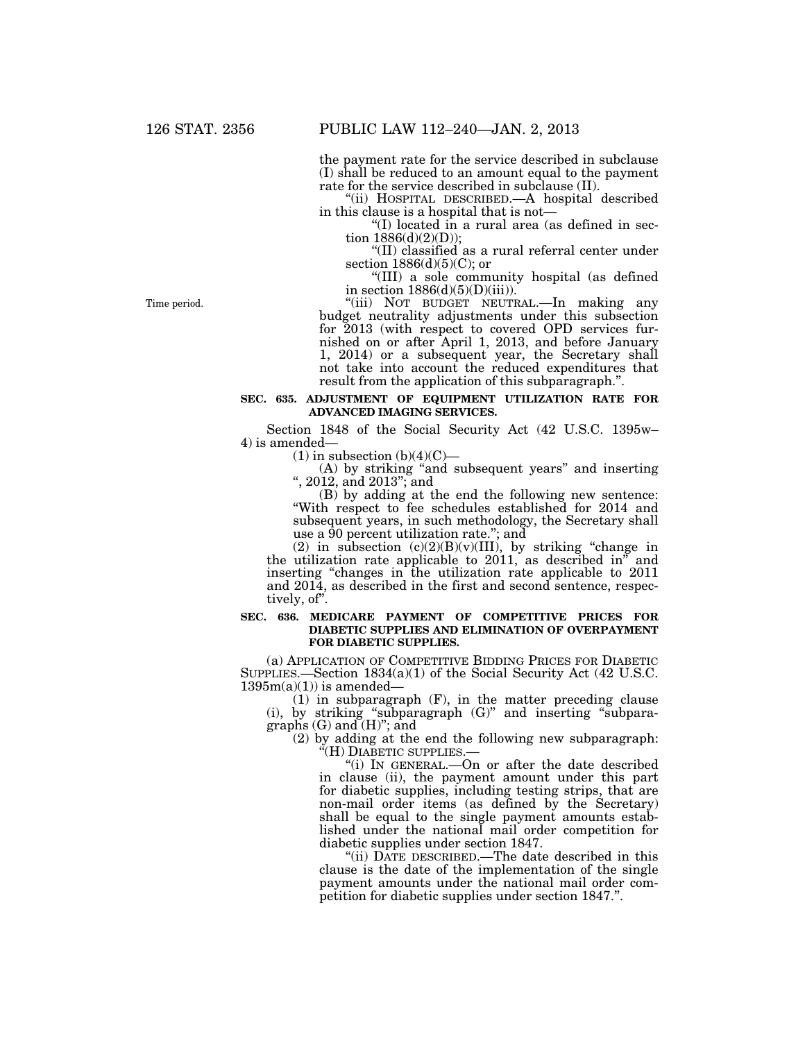the payment rate for the service described in subclause (I) shall be reduced to an amount equal to the payment rate for the service described in subclause (II).

''(ii) HOSPITAL DESCRIBED.—A hospital described in this clause is a hospital that is not—

''(I) located in a rural area (as defined in section  $1886(d)(2)(D)$ ;

''(II) classified as a rural referral center under section  $1886(d)(5)(C)$ ; or

''(III) a sole community hospital (as defined in section  $1886(d)(5)(D)(iii)$ .

"(iii) NOT BUDGET NEUTRAL.—In making any budget neutrality adjustments under this subsection for 2013 (with respect to covered OPD services furnished on or after April 1, 2013, and before January 1, 2014) or a subsequent year, the Secretary shall not take into account the reduced expenditures that result from the application of this subparagraph.''.

#### **SEC. 635. ADJUSTMENT OF EQUIPMENT UTILIZATION RATE FOR ADVANCED IMAGING SERVICES.**

Section 1848 of the Social Security Act (42 U.S.C. 1395w– 4) is amended—

 $(1)$  in subsection  $(b)(4)(C)$ —

(A) by striking ''and subsequent years'' and inserting '', 2012, and 2013''; and

(B) by adding at the end the following new sentence: ''With respect to fee schedules established for 2014 and subsequent years, in such methodology, the Secretary shall use a 90 percent utilization rate.''; and

(2) in subsection  $(c)(2)(B)(v)(III)$ , by striking "change in the utilization rate applicable to  $2011$ , as described in<sup>"</sup> and inserting "changes in the utilization rate applicable to 2011 and 2014, as described in the first and second sentence, respectively, of".

#### **SEC. 636. MEDICARE PAYMENT OF COMPETITIVE PRICES FOR DIABETIC SUPPLIES AND ELIMINATION OF OVERPAYMENT FOR DIABETIC SUPPLIES.**

(a) APPLICATION OF COMPETITIVE BIDDING PRICES FOR DIABETIC SUPPLIES.—Section 1834(a)(1) of the Social Security Act (42 U.S.C.  $1395m(a)(1)$  is amended-

(1) in subparagraph (F), in the matter preceding clause  $(i)$ , by striking "subparagraph  $(G)$ " and inserting "subparagraphs  $(G)$  and  $(H)$ "; and

(2) by adding at the end the following new subparagraph: " $(H)$  DIABETIC SUPPLIES.—

"(i) In GENERAL.—On or after the date described in clause (ii), the payment amount under this part for diabetic supplies, including testing strips, that are non-mail order items (as defined by the Secretary) shall be equal to the single payment amounts established under the national mail order competition for diabetic supplies under section 1847.

"(ii) DATE DESCRIBED.—The date described in this clause is the date of the implementation of the single payment amounts under the national mail order competition for diabetic supplies under section 1847.''.

Time period.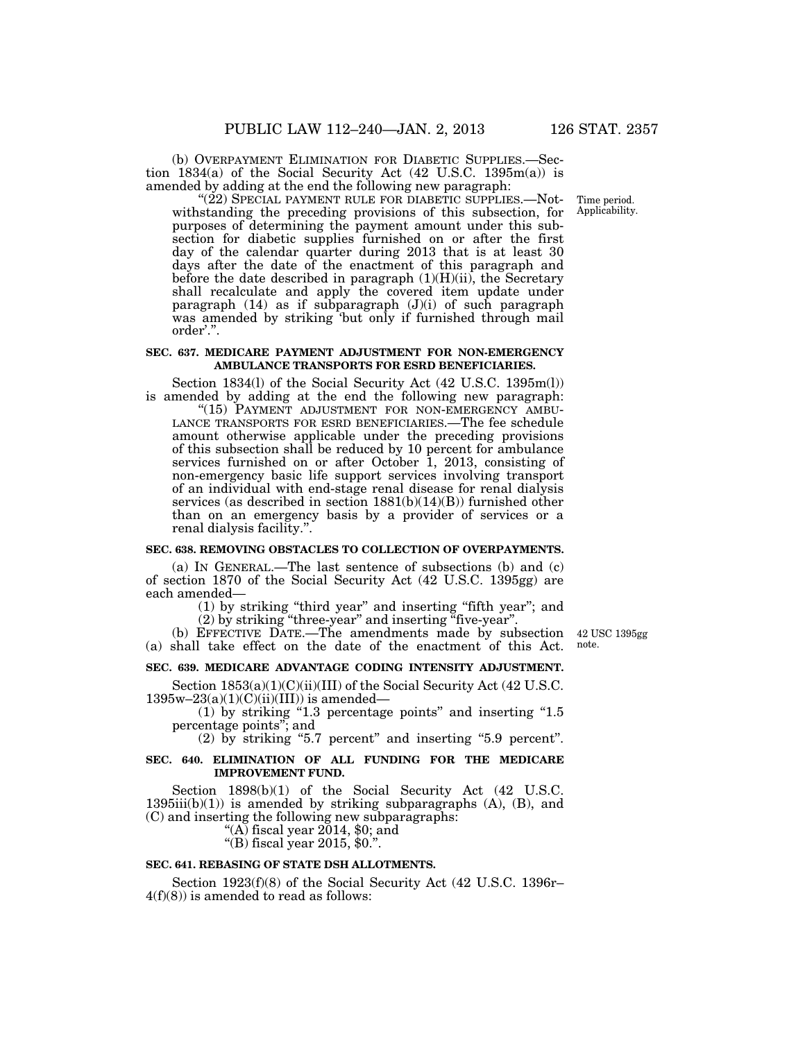(b) OVERPAYMENT ELIMINATION FOR DIABETIC SUPPLIES.—Section 1834(a) of the Social Security Act (42 U.S.C. 1395m(a)) is amended by adding at the end the following new paragraph:

"(22) SPECIAL PAYMENT RULE FOR DIABETIC SUPPLIES.—Notwithstanding the preceding provisions of this subsection, for purposes of determining the payment amount under this subsection for diabetic supplies furnished on or after the first day of the calendar quarter during 2013 that is at least 30 days after the date of the enactment of this paragraph and before the date described in paragraph  $(1)(H)(ii)$ , the Secretary shall recalculate and apply the covered item update under paragraph (14) as if subparagraph (J)(i) of such paragraph was amended by striking 'but only if furnished through mail order'.''.

#### **SEC. 637. MEDICARE PAYMENT ADJUSTMENT FOR NON-EMERGENCY AMBULANCE TRANSPORTS FOR ESRD BENEFICIARIES.**

Section 1834(l) of the Social Security Act (42 U.S.C. 1395m(l)) is amended by adding at the end the following new paragraph:

"(15) PAYMENT ADJUSTMENT FOR NON-EMERGENCY AMBU-LANCE TRANSPORTS FOR ESRD BENEFICIARIES.—The fee schedule amount otherwise applicable under the preceding provisions of this subsection shall be reduced by 10 percent for ambulance services furnished on or after October 1, 2013, consisting of non-emergency basic life support services involving transport of an individual with end-stage renal disease for renal dialysis services (as described in section 1881(b)(14)(B)) furnished other than on an emergency basis by a provider of services or a renal dialysis facility.''.

#### **SEC. 638. REMOVING OBSTACLES TO COLLECTION OF OVERPAYMENTS.**

(a) IN GENERAL.—The last sentence of subsections (b) and (c) of section 1870 of the Social Security Act (42 U.S.C. 1395gg) are each amended—

(1) by striking ''third year'' and inserting ''fifth year''; and (2) by striking ''three-year'' and inserting ''five-year''.

(b) EFFECTIVE DATE.—The amendments made by subsection 42 USC 1395gg (a) shall take effect on the date of the enactment of this Act.

note.

#### **SEC. 639. MEDICARE ADVANTAGE CODING INTENSITY ADJUSTMENT.**

Section  $1853(a)(1)(C)(ii)(III)$  of the Social Security Act (42 U.S.C.  $1395w-23(a)(1)(C)(ii)(III))$  is amended—

 $(1)$  by striking "1.3 percentage points" and inserting "1.5 percentage points''; and

 $(2)$  by striking "5.7 percent" and inserting "5.9 percent".

#### **SEC. 640. ELIMINATION OF ALL FUNDING FOR THE MEDICARE IMPROVEMENT FUND.**

Section 1898(b)(1) of the Social Security Act (42 U.S.C.  $1395iii(b)(1)$  is amended by striking subparagraphs  $(A)$ ,  $(B)$ , and (C) and inserting the following new subparagraphs: ''(A) fiscal year 2014, \$0; and

''(B) fiscal year 2015, \$0.''.

#### **SEC. 641. REBASING OF STATE DSH ALLOTMENTS.**

Section 1923(f)(8) of the Social Security Act (42 U.S.C. 1396r– 4(f)(8)) is amended to read as follows:

Time period. Applicability.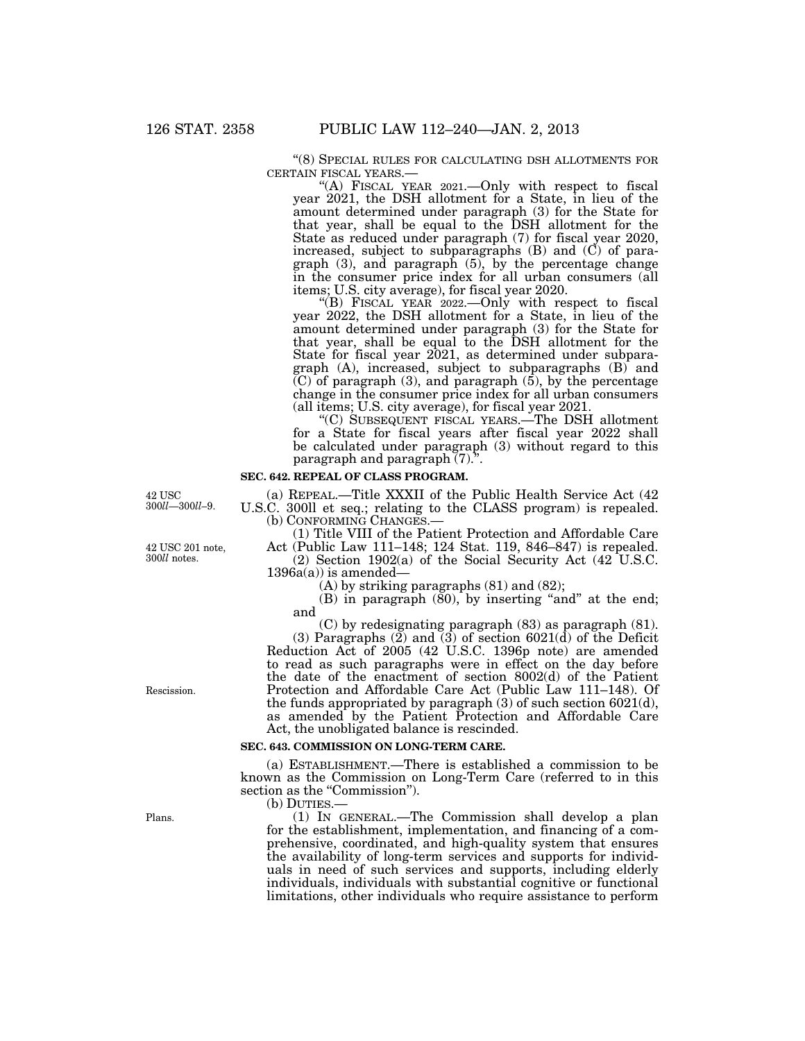$\lq\lq(8)$  SPECIAL RULES FOR CALCULATING DSH ALLOTMENTS FOR CERTAIN FISCAL YEARS.—

"(A) FISCAL YEAR 2021.—Only with respect to fiscal year 2021, the DSH allotment for a State, in lieu of the amount determined under paragraph (3) for the State for that year, shall be equal to the DSH allotment for the State as reduced under paragraph (7) for fiscal year 2020, increased, subject to subparagraphs (B) and (C) of paragraph (3), and paragraph (5), by the percentage change in the consumer price index for all urban consumers (all items; U.S. city average), for fiscal year 2020.

"(B) FISCAL YEAR  $2022$ . - Only with respect to fiscal year 2022, the DSH allotment for a State, in lieu of the amount determined under paragraph (3) for the State for that year, shall be equal to the DSH allotment for the State for fiscal year 2021, as determined under subparagraph (A), increased, subject to subparagraphs (B) and  $(C)$  of paragraph  $(3)$ , and paragraph  $(5)$ , by the percentage change in the consumer price index for all urban consumers (all items; U.S. city average), for fiscal year 2021.

''(C) SUBSEQUENT FISCAL YEARS.—The DSH allotment for a State for fiscal years after fiscal year 2022 shall be calculated under paragraph (3) without regard to this paragraph and paragraph  $(7)$ .".

#### **SEC. 642. REPEAL OF CLASS PROGRAM.**

(a) REPEAL.—Title XXXII of the Public Health Service Act (42 U.S.C. 300ll et seq.; relating to the CLASS program) is repealed. (b) CONFORMING CHANGES.— (1) Title VIII of the Patient Protection and Affordable Care

Act (Public Law 111–148; 124 Stat. 119, 846–847) is repealed. (2) Section 1902(a) of the Social Security Act (42 U.S.C.

 $1396a(a)$  is amended—

(A) by striking paragraphs (81) and (82);

(B) in paragraph  $(80)$ , by inserting "and" at the end; and

(C) by redesignating paragraph (83) as paragraph (81). (3) Paragraphs  $(2)$  and  $(3)$  of section 6021(d) of the Deficit Reduction Act of 2005 (42 U.S.C. 1396p note) are amended to read as such paragraphs were in effect on the day before the date of the enactment of section 8002(d) of the Patient Protection and Affordable Care Act (Public Law 111–148). Of the funds appropriated by paragraph (3) of such section 6021(d), as amended by the Patient Protection and Affordable Care Act, the unobligated balance is rescinded.

#### **SEC. 643. COMMISSION ON LONG-TERM CARE.**

(a) ESTABLISHMENT.—There is established a commission to be known as the Commission on Long-Term Care (referred to in this section as the "Commission").

(b) DUTIES.

(1) IN GENERAL.—The Commission shall develop a plan for the establishment, implementation, and financing of a comprehensive, coordinated, and high-quality system that ensures the availability of long-term services and supports for individuals in need of such services and supports, including elderly individuals, individuals with substantial cognitive or functional limitations, other individuals who require assistance to perform

42 USC 300*ll*—300*ll*–9.

42 USC 201 note, 300*ll* notes.

Plans.

Rescission.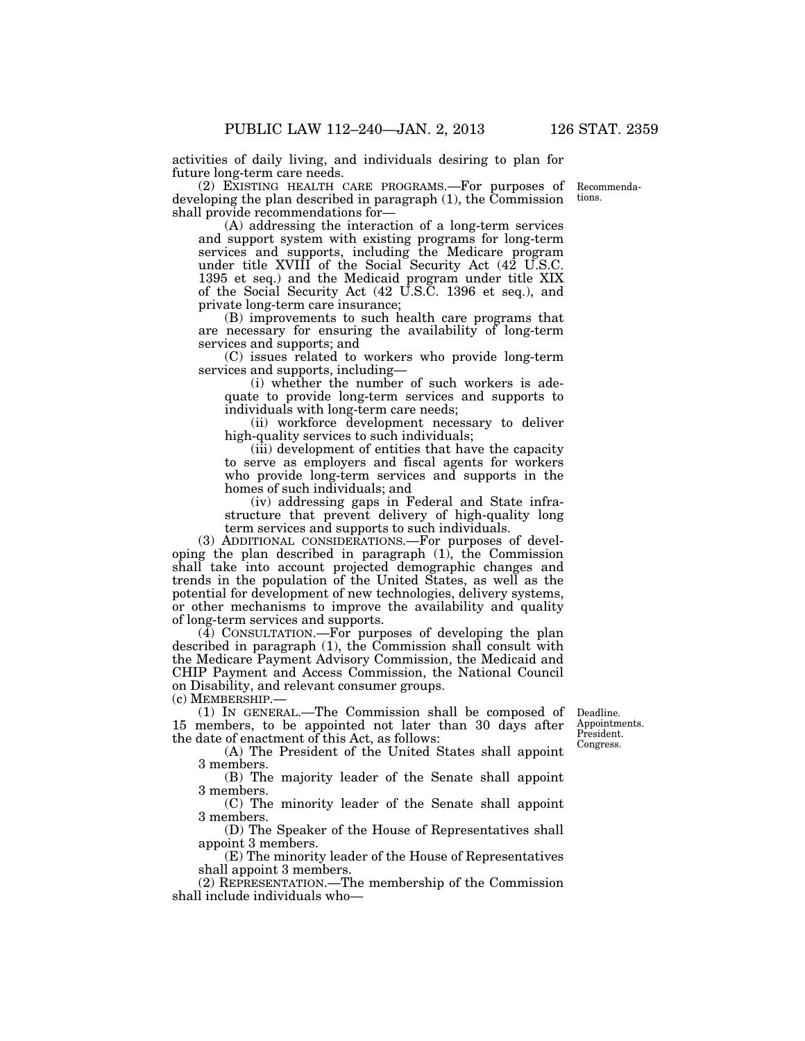activities of daily living, and individuals desiring to plan for future long-term care needs.

(2) EXISTING HEALTH CARE PROGRAMS.—For purposes of developing the plan described in paragraph (1), the Commission shall provide recommendations for—

(A) addressing the interaction of a long-term services and support system with existing programs for long-term services and supports, including the Medicare program under title XVIII of the Social Security Act (42 U.S.C. 1395 et seq.) and the Medicaid program under title XIX of the Social Security Act (42 U.S.C. 1396 et seq.), and private long-term care insurance;

(B) improvements to such health care programs that are necessary for ensuring the availability of long-term services and supports; and

(C) issues related to workers who provide long-term services and supports, including—

(i) whether the number of such workers is adequate to provide long-term services and supports to individuals with long-term care needs;

(ii) workforce development necessary to deliver high-quality services to such individuals;

(iii) development of entities that have the capacity to serve as employers and fiscal agents for workers who provide long-term services and supports in the homes of such individuals; and

(iv) addressing gaps in Federal and State infrastructure that prevent delivery of high-quality long term services and supports to such individuals.

(3) ADDITIONAL CONSIDERATIONS.—For purposes of developing the plan described in paragraph (1), the Commission shall take into account projected demographic changes and trends in the population of the United States, as well as the potential for development of new technologies, delivery systems, or other mechanisms to improve the availability and quality of long-term services and supports.

(4) CONSULTATION.—For purposes of developing the plan described in paragraph (1), the Commission shall consult with the Medicare Payment Advisory Commission, the Medicaid and CHIP Payment and Access Commission, the National Council on Disability, and relevant consumer groups.

(c) MEMBERSHIP.—

(1) IN GENERAL.—The Commission shall be composed of 15 members, to be appointed not later than 30 days after the date of enactment of this Act, as follows:

Deadline. Appointments. President. Congress.

(A) The President of the United States shall appoint 3 members.

(B) The majority leader of the Senate shall appoint 3 members.

(C) The minority leader of the Senate shall appoint 3 members.

(D) The Speaker of the House of Representatives shall appoint 3 members.

(E) The minority leader of the House of Representatives shall appoint 3 members.

(2) REPRESENTATION.—The membership of the Commission shall include individuals who—

Recommendations.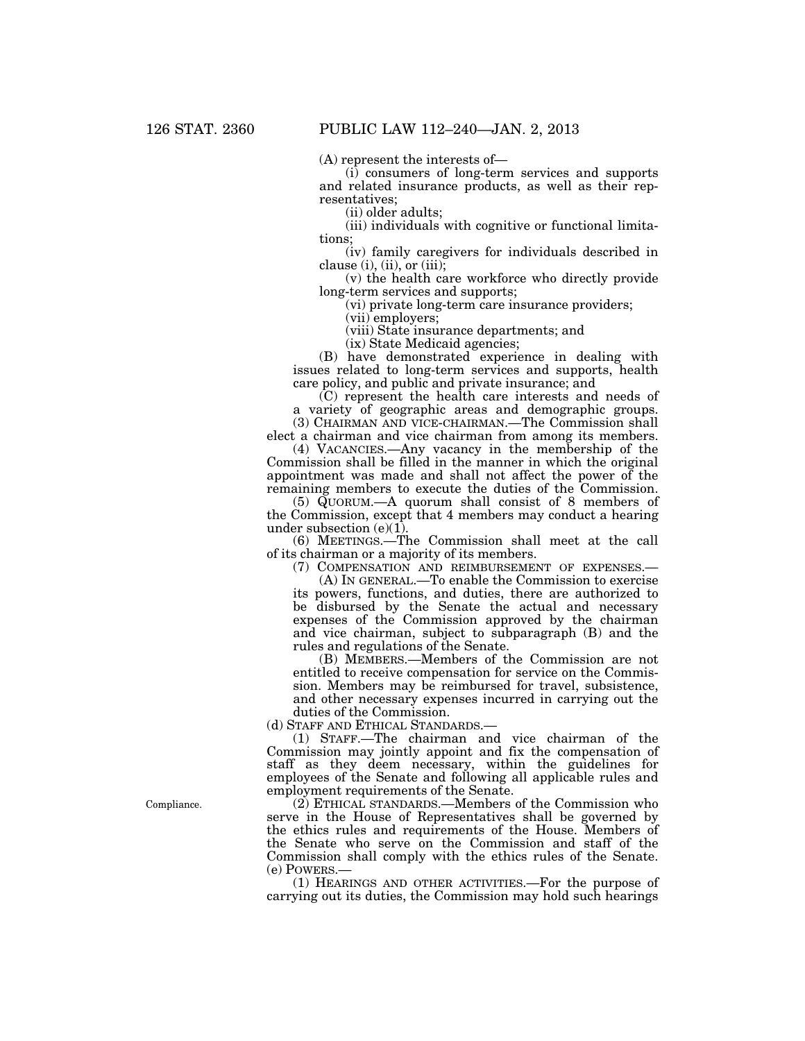(A) represent the interests of—

(i) consumers of long-term services and supports and related insurance products, as well as their representatives;

(ii) older adults;

(iii) individuals with cognitive or functional limitations;

(iv) family caregivers for individuals described in clause  $(i)$ ,  $(ii)$ , or  $(iii)$ ;

(v) the health care workforce who directly provide long-term services and supports;

(vi) private long-term care insurance providers;

(vii) employers;

(viii) State insurance departments; and

(ix) State Medicaid agencies;

(B) have demonstrated experience in dealing with issues related to long-term services and supports, health care policy, and public and private insurance; and

(C) represent the health care interests and needs of a variety of geographic areas and demographic groups.

(3) CHAIRMAN AND VICE-CHAIRMAN.—The Commission shall elect a chairman and vice chairman from among its members. (4) VACANCIES.—Any vacancy in the membership of the

Commission shall be filled in the manner in which the original appointment was made and shall not affect the power of the remaining members to execute the duties of the Commission.

(5) QUORUM.—A quorum shall consist of 8 members of the Commission, except that 4 members may conduct a hearing under subsection  $(e)(1)$ .

(6) MEETINGS.—The Commission shall meet at the call of its chairman or a majority of its members.

(7) COMPENSATION AND REIMBURSEMENT OF EXPENSES.—

(A) IN GENERAL.—To enable the Commission to exercise its powers, functions, and duties, there are authorized to be disbursed by the Senate the actual and necessary expenses of the Commission approved by the chairman and vice chairman, subject to subparagraph (B) and the rules and regulations of the Senate.

(B) MEMBERS.—Members of the Commission are not entitled to receive compensation for service on the Commission. Members may be reimbursed for travel, subsistence, and other necessary expenses incurred in carrying out the duties of the Commission.

(d) STAFF AND ETHICAL STANDARDS.—

(1) STAFF.—The chairman and vice chairman of the Commission may jointly appoint and fix the compensation of staff as they deem necessary, within the guidelines for employees of the Senate and following all applicable rules and employment requirements of the Senate.

(2) ETHICAL STANDARDS.—Members of the Commission who serve in the House of Representatives shall be governed by the ethics rules and requirements of the House. Members of the Senate who serve on the Commission and staff of the Commission shall comply with the ethics rules of the Senate.

(e) POWERS.— (1) HEARINGS AND OTHER ACTIVITIES.—For the purpose of carrying out its duties, the Commission may hold such hearings

Compliance.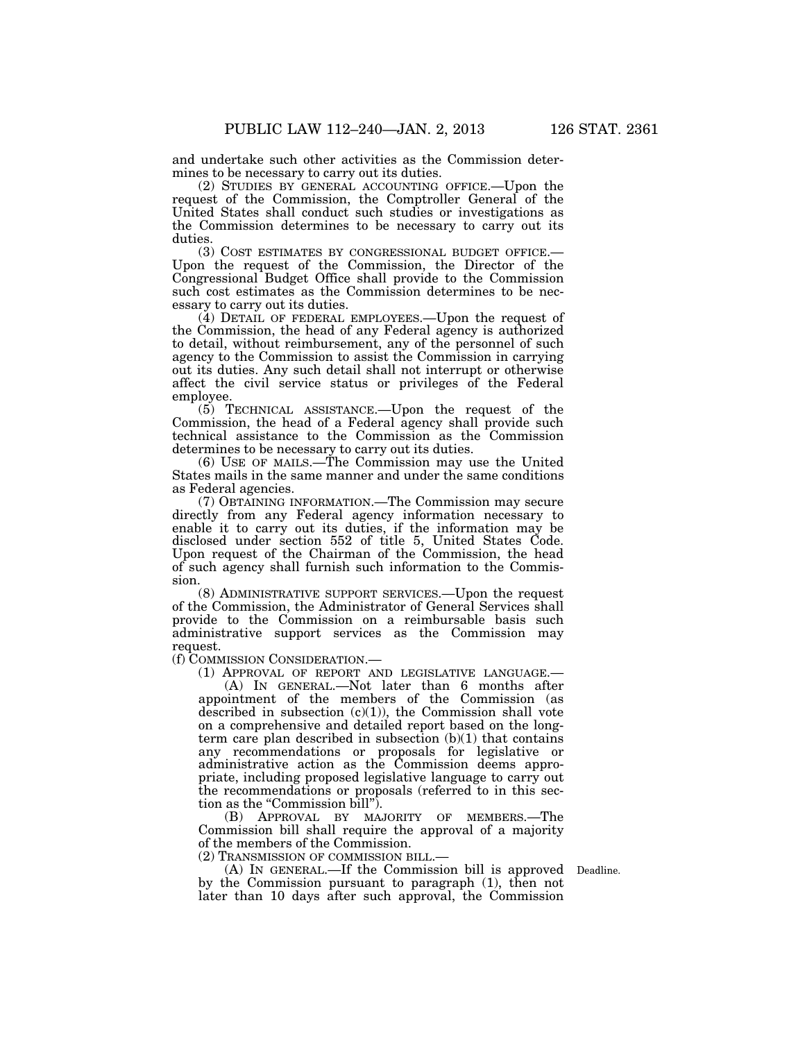and undertake such other activities as the Commission determines to be necessary to carry out its duties.

(2) STUDIES BY GENERAL ACCOUNTING OFFICE.—Upon the request of the Commission, the Comptroller General of the United States shall conduct such studies or investigations as the Commission determines to be necessary to carry out its

duties.<br>(3) COST ESTIMATES BY CONGRESSIONAL BUDGET OFFICE.— Upon the request of the Commission, the Director of the Congressional Budget Office shall provide to the Commission such cost estimates as the Commission determines to be necessary to carry out its duties.

(4) DETAIL OF FEDERAL EMPLOYEES.—Upon the request of the Commission, the head of any Federal agency is authorized to detail, without reimbursement, any of the personnel of such agency to the Commission to assist the Commission in carrying out its duties. Any such detail shall not interrupt or otherwise affect the civil service status or privileges of the Federal employee.

(5) TECHNICAL ASSISTANCE.—Upon the request of the Commission, the head of a Federal agency shall provide such technical assistance to the Commission as the Commission determines to be necessary to carry out its duties.

(6) USE OF MAILS.—The Commission may use the United States mails in the same manner and under the same conditions as Federal agencies.

(7) OBTAINING INFORMATION.—The Commission may secure directly from any Federal agency information necessary to enable it to carry out its duties, if the information may be disclosed under section 552 of title 5, United States Code. Upon request of the Chairman of the Commission, the head of such agency shall furnish such information to the Commission.

(8) ADMINISTRATIVE SUPPORT SERVICES.—Upon the request of the Commission, the Administrator of General Services shall provide to the Commission on a reimbursable basis such administrative support services as the Commission may request.

(f) COMMISSION CONSIDERATION.—

(1) APPROVAL OF REPORT AND LEGISLATIVE LANGUAGE.—

(A) IN GENERAL.—Not later than 6 months after appointment of the members of the Commission (as described in subsection  $(c)(1)$ ), the Commission shall vote on a comprehensive and detailed report based on the longterm care plan described in subsection  $(b)(1)$  that contains any recommendations or proposals for legislative or administrative action as the Commission deems appropriate, including proposed legislative language to carry out the recommendations or proposals (referred to in this section as the "Commission bill").

(B) APPROVAL BY MAJORITY OF MEMBERS.—The Commission bill shall require the approval of a majority of the members of the Commission.

(2) TRANSMISSION OF COMMISSION BILL.—

(A) IN GENERAL.—If the Commission bill is approved Deadline. by the Commission pursuant to paragraph (1), then not later than 10 days after such approval, the Commission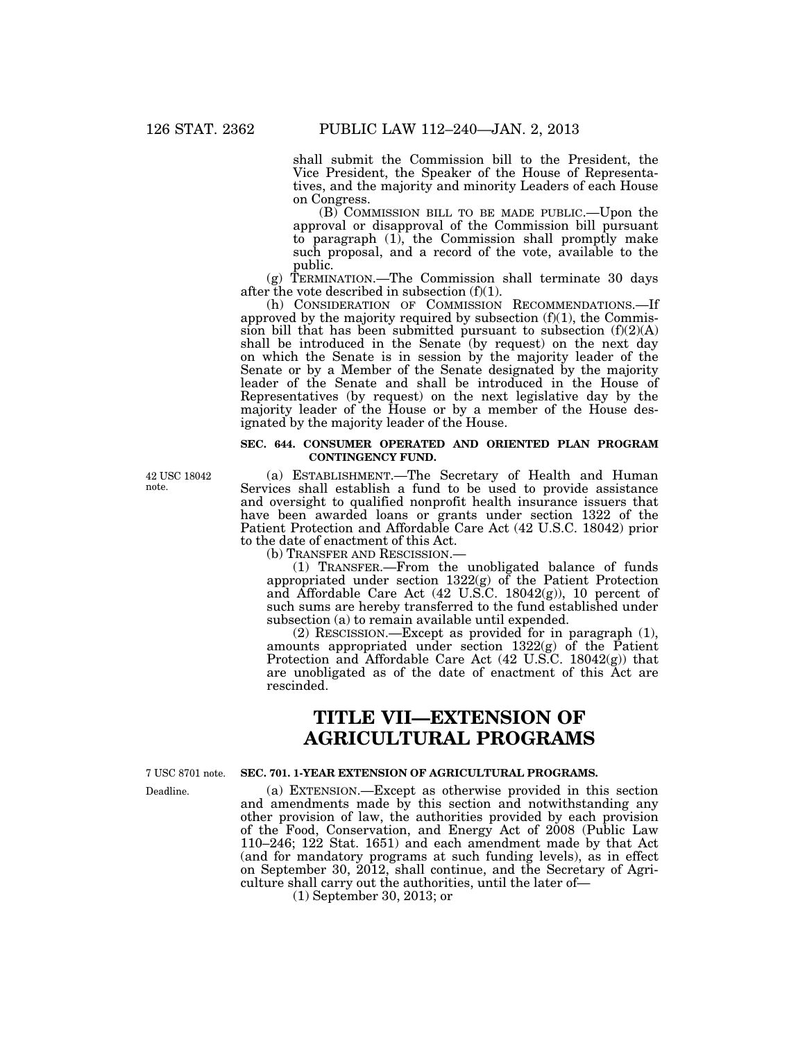shall submit the Commission bill to the President, the Vice President, the Speaker of the House of Representatives, and the majority and minority Leaders of each House on Congress.

(B) COMMISSION BILL TO BE MADE PUBLIC.—Upon the approval or disapproval of the Commission bill pursuant to paragraph (1), the Commission shall promptly make such proposal, and a record of the vote, available to the public.

(g) TERMINATION.—The Commission shall terminate 30 days after the vote described in subsection (f)(1).

(h) CONSIDERATION OF COMMISSION RECOMMENDATIONS.—If approved by the majority required by subsection  $(f)(1)$ , the Commission bill that has been submitted pursuant to subsection  $(f)(2)(A)$ shall be introduced in the Senate (by request) on the next day on which the Senate is in session by the majority leader of the Senate or by a Member of the Senate designated by the majority leader of the Senate and shall be introduced in the House of Representatives (by request) on the next legislative day by the majority leader of the House or by a member of the House designated by the majority leader of the House.

#### **SEC. 644. CONSUMER OPERATED AND ORIENTED PLAN PROGRAM CONTINGENCY FUND.**

(a) ESTABLISHMENT.—The Secretary of Health and Human Services shall establish a fund to be used to provide assistance and oversight to qualified nonprofit health insurance issuers that have been awarded loans or grants under section 1322 of the Patient Protection and Affordable Care Act (42 U.S.C. 18042) prior to the date of enactment of this Act.

(b) TRANSFER AND RESCISSION.—

(1) TRANSFER.—From the unobligated balance of funds appropriated under section  $1322(g)$  of the Patient Protection and Affordable Care Act (42 U.S.C. 18042(g)), 10 percent of such sums are hereby transferred to the fund established under subsection (a) to remain available until expended.

(2) RESCISSION.—Except as provided for in paragraph (1), amounts appropriated under section 1322(g) of the Patient Protection and Affordable Care Act (42 U.S.C. 18042(g)) that are unobligated as of the date of enactment of this Act are rescinded.

# **TITLE VII—EXTENSION OF AGRICULTURAL PROGRAMS**

7 USC 8701 note.

Deadline.

**SEC. 701. 1-YEAR EXTENSION OF AGRICULTURAL PROGRAMS.** 

(a) EXTENSION.—Except as otherwise provided in this section and amendments made by this section and notwithstanding any other provision of law, the authorities provided by each provision of the Food, Conservation, and Energy Act of 2008 (Public Law 110–246; 122 Stat. 1651) and each amendment made by that Act (and for mandatory programs at such funding levels), as in effect on September 30, 2012, shall continue, and the Secretary of Agriculture shall carry out the authorities, until the later of—

(1) September 30, 2013; or

42 USC 18042 note.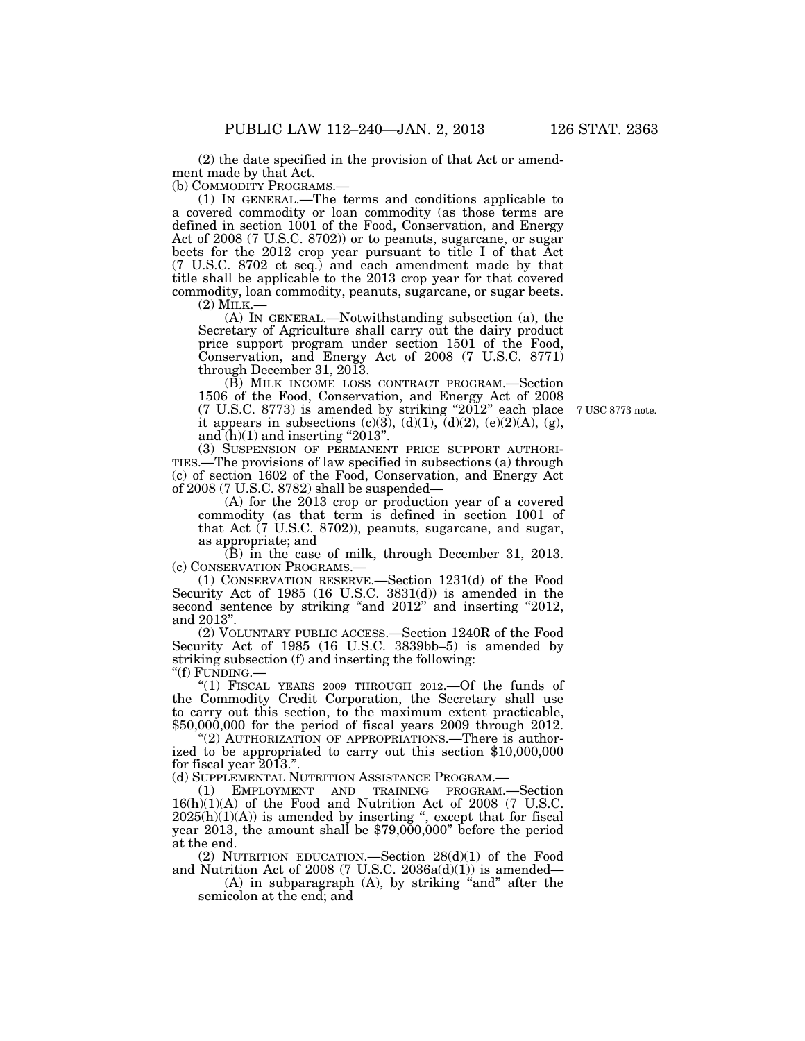(2) the date specified in the provision of that Act or amendment made by that Act.

(b) COMMODITY PROGRAMS.—

(1) IN GENERAL.—The terms and conditions applicable to a covered commodity or loan commodity (as those terms are defined in section 1001 of the Food, Conservation, and Energy Act of 2008 (7 U.S.C. 8702)) or to peanuts, sugarcane, or sugar beets for the 2012 crop year pursuant to title I of that Act (7 U.S.C. 8702 et seq.) and each amendment made by that title shall be applicable to the 2013 crop year for that covered commodity, loan commodity, peanuts, sugarcane, or sugar beets.

(2) MILK.—<br>(A) IN GENERAL.—Notwithstanding subsection (a), the Secretary of Agriculture shall carry out the dairy product price support program under section 1501 of the Food, Conservation, and Energy Act of 2008 (7 U.S.C. 8771) through December 31, 2013.

(B) MILK INCOME LOSS CONTRACT PROGRAM.—Section 1506 of the Food, Conservation, and Energy Act of 2008 (7 U.S.C. 8773) is amended by striking ''2012'' each place it appears in subsections  $(c)(3)$ ,  $(d)(1)$ ,  $(d)(2)$ ,  $(e)(2)(A)$ ,  $(g)$ , and  $(h)(1)$  and inserting "2013".

(3) SUSPENSION OF PERMANENT PRICE SUPPORT AUTHORI-TIES.—The provisions of law specified in subsections (a) through (c) of section 1602 of the Food, Conservation, and Energy Act of 2008 (7 U.S.C. 8782) shall be suspended—

(A) for the 2013 crop or production year of a covered commodity (as that term is defined in section 1001 of that Act (7 U.S.C. 8702)), peanuts, sugarcane, and sugar, as appropriate; and

(B) in the case of milk, through December 31, 2013. (c) CONSERVATION PROGRAMS.—

(1) CONSERVATION RESERVE.—Section 1231(d) of the Food Security Act of 1985 (16 U.S.C. 3831(d)) is amended in the second sentence by striking "and 2012" and inserting "2012, and 2013''.

(2) VOLUNTARY PUBLIC ACCESS.—Section 1240R of the Food Security Act of 1985 (16 U.S.C. 3839bb–5) is amended by striking subsection (f) and inserting the following:

"(f) FUNDING.-

"(1) FISCAL YEARS 2009 THROUGH 2012.—Of the funds of the Commodity Credit Corporation, the Secretary shall use to carry out this section, to the maximum extent practicable, \$50,000,000 for the period of fiscal years 2009 through 2012.

"(2) AUTHORIZATION OF APPROPRIATIONS.—There is authorized to be appropriated to carry out this section \$10,000,000 for fiscal year 2013.''.

(d) SUPPLEMENTAL NUTRITION ASSISTANCE PROGRAM.—

(1) EMPLOYMENT AND TRAINING PROGRAM.—Section 16(h)(1)(A) of the Food and Nutrition Act of 2008 (7 U.S.C.  $2025(h)(1)(A)$  is amended by inserting ", except that for fiscal  $\frac{2025(11)(1)(1)}{8}$  is allended by inserting care at the state of the period at the end.

(2) NUTRITION EDUCATION.—Section 28(d)(1) of the Food and Nutrition Act of 2008 (7 U.S.C. 2036a(d)(1)) is amended—

 $(A)$  in subparagraph  $(A)$ , by striking "and" after the semicolon at the end; and

7 USC 8773 note.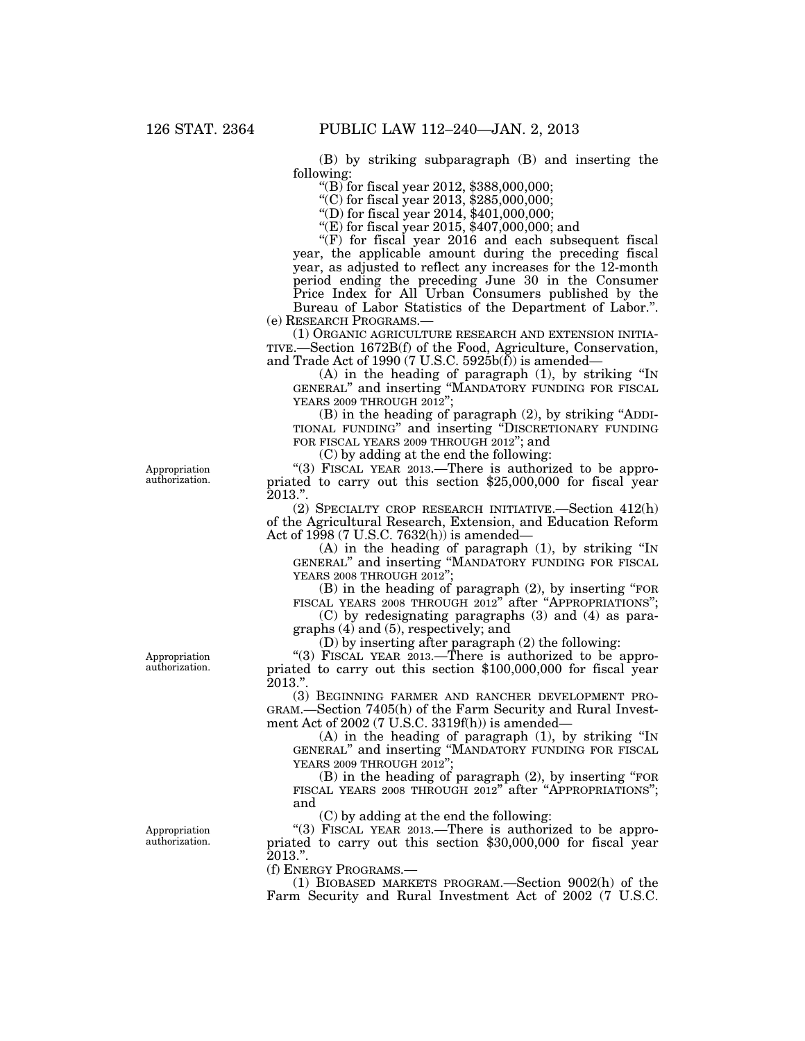(B) by striking subparagraph (B) and inserting the following:

''(B) for fiscal year 2012, \$388,000,000;

''(C) for fiscal year 2013, \$285,000,000;

''(D) for fiscal year 2014, \$401,000,000;

''(E) for fiscal year 2015, \$407,000,000; and

 $!(F)$  for fiscal year 2016 and each subsequent fiscal year, the applicable amount during the preceding fiscal year, as adjusted to reflect any increases for the 12-month period ending the preceding June 30 in the Consumer Price Index for All Urban Consumers published by the Bureau of Labor Statistics of the Department of Labor.''.

(e) RESEARCH PROGRAMS.—

(1) ORGANIC AGRICULTURE RESEARCH AND EXTENSION INITIA-TIVE.—Section 1672B(f) of the Food, Agriculture, Conservation, and Trade Act of 1990 (7 U.S.C. 5925b(f)) is amended—

(A) in the heading of paragraph (1), by striking ''IN GENERAL'' and inserting ''MANDATORY FUNDING FOR FISCAL YEARS 2009 THROUGH 2012'';

(B) in the heading of paragraph (2), by striking ''ADDI-TIONAL FUNDING'' and inserting ''DISCRETIONARY FUNDING FOR FISCAL YEARS 2009 THROUGH 2012"; and

(C) by adding at the end the following:

"(3) FISCAL YEAR 2013.—There is authorized to be appropriated to carry out this section \$25,000,000 for fiscal year  $2013."$ 

(2) SPECIALTY CROP RESEARCH INITIATIVE.—Section 412(h) of the Agricultural Research, Extension, and Education Reform Act of 1998 (7 U.S.C. 7632(h)) is amended—

(A) in the heading of paragraph (1), by striking ''IN GENERAL'' and inserting ''MANDATORY FUNDING FOR FISCAL YEARS 2008 THROUGH 2012'';

(B) in the heading of paragraph (2), by inserting ''FOR FISCAL YEARS 2008 THROUGH 2012" after "APPROPRIATIONS";

(C) by redesignating paragraphs (3) and (4) as paragraphs (4) and (5), respectively; and

(D) by inserting after paragraph (2) the following:

"(3) FISCAL YEAR 2013.—There is authorized to be appropriated to carry out this section \$100,000,000 for fiscal year 2013.''.

(3) BEGINNING FARMER AND RANCHER DEVELOPMENT PRO-GRAM.—Section 7405(h) of the Farm Security and Rural Investment Act of 2002 (7 U.S.C. 3319f(h)) is amended—

(A) in the heading of paragraph (1), by striking ''IN GENERAL'' and inserting ''MANDATORY FUNDING FOR FISCAL YEARS 2009 THROUGH 2012'

 $(B)$  in the heading of paragraph  $(2)$ , by inserting "FOR FISCAL YEARS 2008 THROUGH 2012" after "APPROPRIATIONS"; and

(C) by adding at the end the following:

"(3) FISCAL YEAR 2013.—There is authorized to be appropriated to carry out this section \$30,000,000 for fiscal year 2013.''.

(f) ENERGY PROGRAMS.—

(1) BIOBASED MARKETS PROGRAM.—Section 9002(h) of the Farm Security and Rural Investment Act of 2002 (7 U.S.C.

Appropriation authorization.

Appropriation authorization.

Appropriation authorization.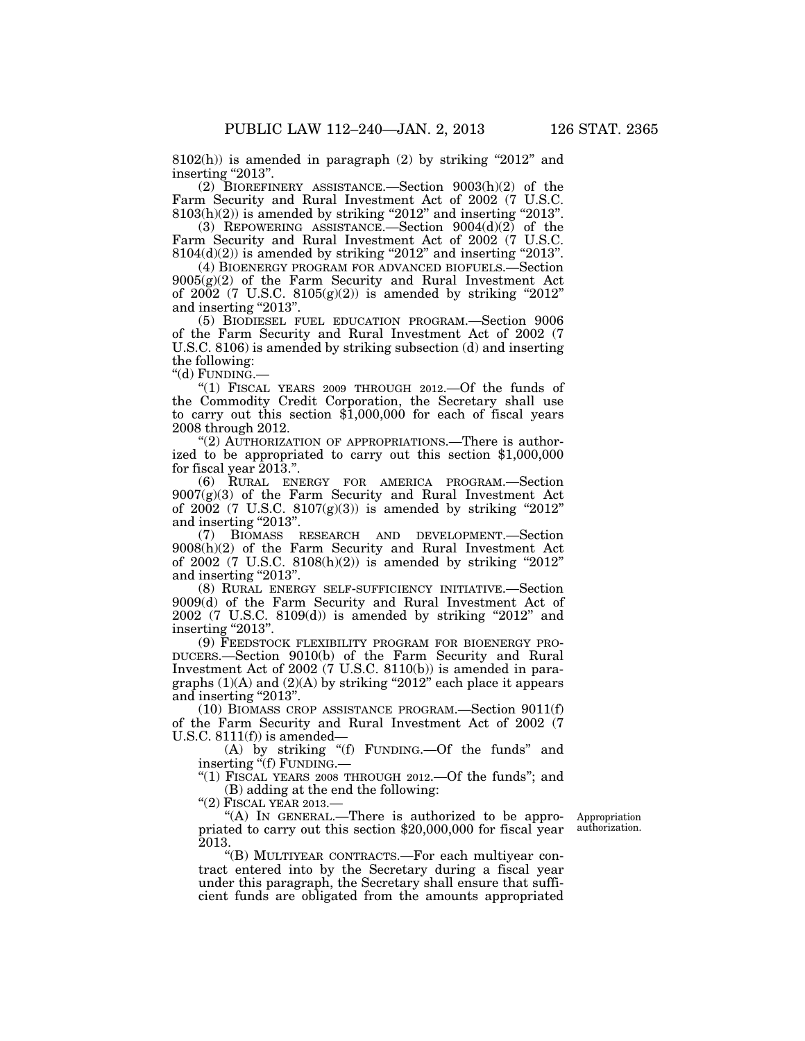$8102(h)$ ) is amended in paragraph (2) by striking "2012" and inserting "2013".

(2) BIOREFINERY ASSISTANCE.—Section 9003(h)(2) of the Farm Security and Rural Investment Act of 2002 (7 U.S.C.  $8103(h)(2)$ ) is amended by striking "2012" and inserting "2013".

(3) REPOWERING ASSISTANCE.—Section 9004(d)(2) of the Farm Security and Rural Investment Act of 2002 (7 U.S.C.  $8104(d)(2)$ ) is amended by striking "2012" and inserting "2013".

(4) BIOENERGY PROGRAM FOR ADVANCED BIOFUELS.—Section 9005(g)(2) of the Farm Security and Rural Investment Act of 2002 (7 U.S.C.  $8105(g)(2)$ ) is amended by striking "2012" and inserting "2013".

(5) BIODIESEL FUEL EDUCATION PROGRAM.—Section 9006 of the Farm Security and Rural Investment Act of 2002 (7 U.S.C. 8106) is amended by striking subsection (d) and inserting the following:

''(d) FUNDING.—

''(1) FISCAL YEARS 2009 THROUGH 2012.—Of the funds of the Commodity Credit Corporation, the Secretary shall use to carry out this section \$1,000,000 for each of fiscal years 2008 through 2012.

"(2) AUTHORIZATION OF APPROPRIATIONS.—There is authorized to be appropriated to carry out this section \$1,000,000 for fiscal year  $2013$ .".

(6) RURAL ENERGY FOR AMERICA PROGRAM.—Section  $9007(g)(3)$  of the Farm Security and Rural Investment Act of  $2002$  (7 U.S.C.  $8107(g)(3)$ ) is amended by striking "2012" and inserting "2013".

(7) BIOMASS RESEARCH AND DEVELOPMENT.—Section 9008(h)(2) of the Farm Security and Rural Investment Act of 2002 (7 U.S.C.  $8108(h)(2)$ ) is amended by striking "2012" and inserting "2013".

(8) RURAL ENERGY SELF-SUFFICIENCY INITIATIVE.—Section 9009(d) of the Farm Security and Rural Investment Act of  $2002$  (7 U.S.C. 8109(d)) is amended by striking "2012" and inserting "2013".

(9) FEEDSTOCK FLEXIBILITY PROGRAM FOR BIOENERGY PRO-DUCERS.—Section 9010(b) of the Farm Security and Rural Investment Act of 2002 (7 U.S.C. 8110(b)) is amended in paragraphs  $(1)(A)$  and  $(2)(A)$  by striking "2012" each place it appears and inserting "2013".

(10) BIOMASS CROP ASSISTANCE PROGRAM.—Section 9011(f) of the Farm Security and Rural Investment Act of 2002 (7 U.S.C.  $8111(f)$  is amended-

(A) by striking "(f) FUNDING. - Of the funds" and inserting "(f) FUNDING.

''(1) FISCAL YEARS 2008 THROUGH 2012.—Of the funds''; and (B) adding at the end the following:

"(2) FISCAL YEAR 2013.-

"(A) IN GENERAL.—There is authorized to be appropriated to carry out this section \$20,000,000 for fiscal year 2013.

''(B) MULTIYEAR CONTRACTS.—For each multiyear contract entered into by the Secretary during a fiscal year under this paragraph, the Secretary shall ensure that sufficient funds are obligated from the amounts appropriated

Appropriation authorization.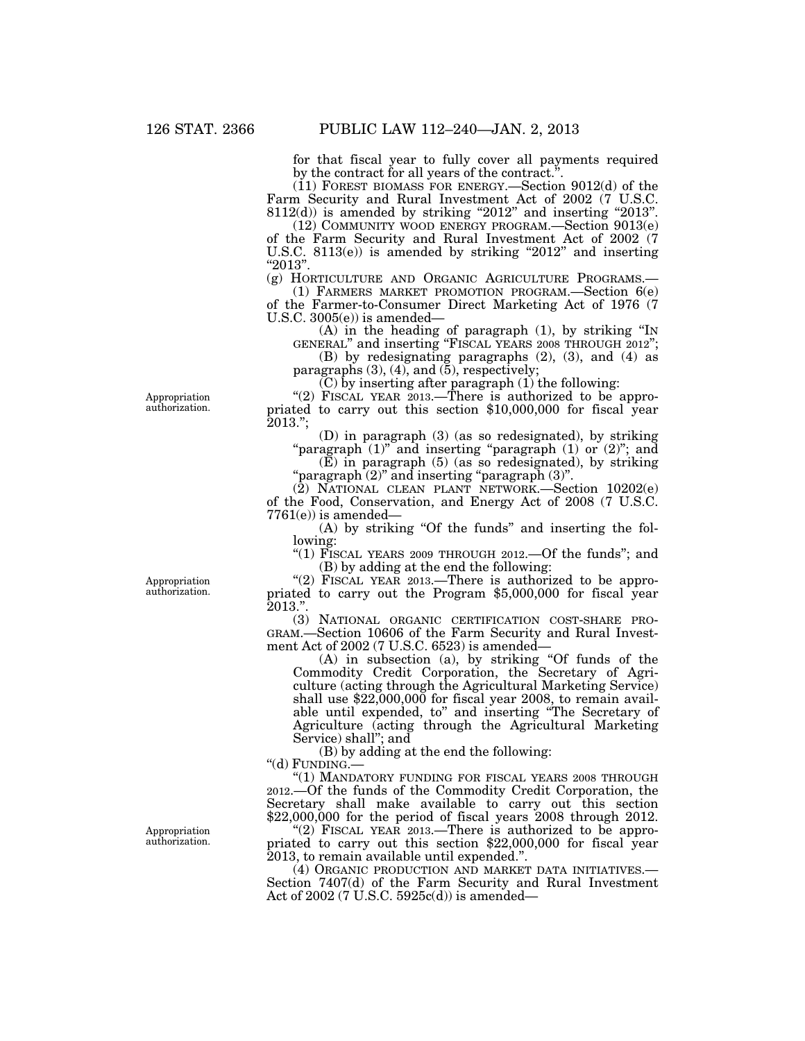for that fiscal year to fully cover all payments required by the contract for all years of the contract.''.

(11) FOREST BIOMASS FOR ENERGY.—Section 9012(d) of the Farm Security and Rural Investment Act of 2002 (7 U.S.C.  $8112(d)$ ) is amended by striking "2012" and inserting "2013".

(12) COMMUNITY WOOD ENERGY PROGRAM.—Section 9013(e) of the Farm Security and Rural Investment Act of 2002 (7 U.S.C.  $8113(e)$ ) is amended by striking "2012" and inserting ''2013''.

(g) HORTICULTURE AND ORGANIC AGRICULTURE PROGRAMS.— (1) FARMERS MARKET PROMOTION PROGRAM.—Section 6(e)

of the Farmer-to-Consumer Direct Marketing Act of 1976 (7 U.S.C. 3005(e)) is amended—

(A) in the heading of paragraph (1), by striking ''IN GENERAL'' and inserting ''FISCAL YEARS 2008 THROUGH 2012'';

(B) by redesignating paragraphs (2), (3), and (4) as paragraphs (3), (4), and (5), respectively;

 $(C)$  by inserting after paragraph  $(1)$  the following:

"(2) FISCAL YEAR 2013.—There is authorized to be appropriated to carry out this section \$10,000,000 for fiscal year 2013.'';

(D) in paragraph (3) (as so redesignated), by striking "paragraph<sup>-</sup>(1)" and inserting "paragraph (1) or (2)"; and

 $(E)$  in paragraph  $(5)$  (as so redesignated), by striking ''paragraph (2)'' and inserting ''paragraph (3)''.

(2) NATIONAL CLEAN PLANT NETWORK.—Section 10202(e) of the Food, Conservation, and Energy Act of 2008 (7 U.S.C.  $7761(e)$ ) is amended—

(A) by striking "Of the funds" and inserting the following:

"(1) FISCAL YEARS 2009 THROUGH 2012.—Of the funds"; and (B) by adding at the end the following:

"(2) FISCAL YEAR 2013.—There is authorized to be appropriated to carry out the Program \$5,000,000 for fiscal year  $2013."$ 

(3) NATIONAL ORGANIC CERTIFICATION COST-SHARE PRO-GRAM.—Section 10606 of the Farm Security and Rural Investment Act of 2002 (7 U.S.C. 6523) is amended—

(A) in subsection (a), by striking ''Of funds of the Commodity Credit Corporation, the Secretary of Agriculture (acting through the Agricultural Marketing Service) shall use \$22,000,000 for fiscal year 2008, to remain available until expended, to'' and inserting ''The Secretary of Agriculture (acting through the Agricultural Marketing Service) shall''; and

(B) by adding at the end the following:

"(d) FUNDING.-

''(1) MANDATORY FUNDING FOR FISCAL YEARS 2008 THROUGH 2012.—Of the funds of the Commodity Credit Corporation, the Secretary shall make available to carry out this section  $$22,000,000$  for the period of fiscal years  $2008$  through 2012.

"(2) FISCAL YEAR 2013.—There is authorized to be appropriated to carry out this section \$22,000,000 for fiscal year 2013, to remain available until expended.''.

(4) ORGANIC PRODUCTION AND MARKET DATA INITIATIVES.— Section 7407(d) of the Farm Security and Rural Investment Act of 2002 (7 U.S.C. 5925c(d)) is amended—

Appropriation authorization.

Appropriation authorization.

Appropriation authorization.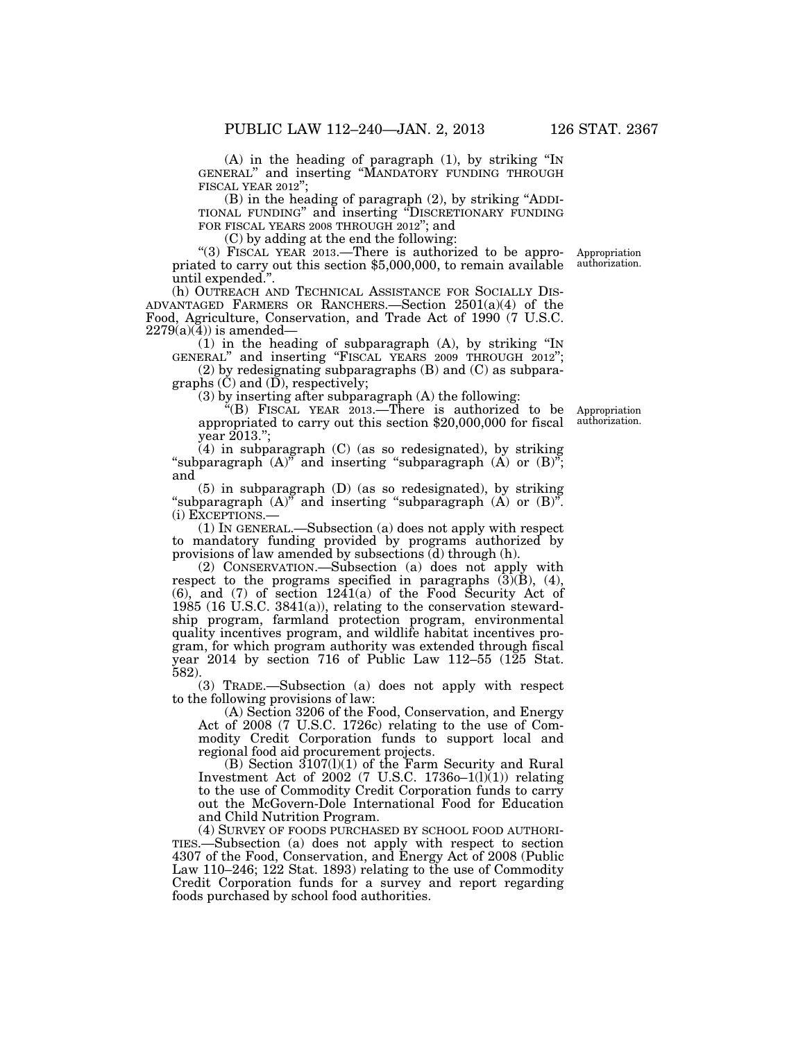(A) in the heading of paragraph (1), by striking ''IN GENERAL'' and inserting ''MANDATORY FUNDING THROUGH FISCAL YEAR 2012";<br>(B) in the heading of paragraph (2), by striking "ADDI-

TIONAL FUNDING" and inserting "DISCRETIONARY FUNDING FOR FISCAL YEARS 2008 THROUGH 2012"; and

(C) by adding at the end the following:

priated to carry out this section \$5,000,000, to remain available until expended.''. "(3) FISCAL YEAR 2013.-There is authorized to be appro- Appropriation

(h) OUTREACH AND TECHNICAL ASSISTANCE FOR SOCIALLY DIS- ADVANTAGED FARMERS OR RANCHERS.—Section 2501(a)(4) of the Food, Agriculture, Conservation, and Trade Act of 1990 (7 U.S.C.  $2279(a)(4)$  is amended-

 $(1)$  in the heading of subparagraph  $(A)$ , by striking "IN GENERAL'' and inserting ''FISCAL YEARS 2009 THROUGH 2012'';

(2) by redesignating subparagraphs (B) and (C) as subparagraphs (C) and (D), respectively;

(3) by inserting after subparagraph (A) the following:

''(B) FISCAL YEAR 2013.—There is authorized to be appropriated to carry out this section \$20,000,000 for fiscal year 2013.'';

(4) in subparagraph (C) (as so redesignated), by striking "subparagraph  $(A)$ " and inserting "subparagraph  $(A)$  or  $(B)$ "; and

(5) in subparagraph (D) (as so redesignated), by striking "subparagraph  $(A)$ " and inserting "subparagraph  $(A)$  or  $(B)$ ". (i) EXCEPTIONS.—

(1) IN GENERAL.—Subsection (a) does not apply with respect to mandatory funding provided by programs authorized by provisions of law amended by subsections (d) through (h).

(2) CONSERVATION.—Subsection (a) does not apply with respect to the programs specified in paragraphs  $(\overline{3})(\overline{B})$ , (4),  $(6)$ , and  $(7)$  of section 1241 $(a)$  of the Food Security Act of 1985 (16 U.S.C. 3841(a)), relating to the conservation stewardship program, farmland protection program, environmental quality incentives program, and wildlife habitat incentives program, for which program authority was extended through fiscal year 2014 by section 716 of Public Law 112–55 (125 Stat. 582).

(3) TRADE.—Subsection (a) does not apply with respect to the following provisions of law:

(A) Section 3206 of the Food, Conservation, and Energy Act of 2008 (7 U.S.C. 1726c) relating to the use of Commodity Credit Corporation funds to support local and regional food aid procurement projects.

(B) Section 3107(l)(1) of the Farm Security and Rural Investment Act of 2002 (7 U.S.C. 1736 $o-1(1)(1)$ ) relating to the use of Commodity Credit Corporation funds to carry out the McGovern-Dole International Food for Education and Child Nutrition Program.

(4) SURVEY OF FOODS PURCHASED BY SCHOOL FOOD AUTHORI-TIES.—Subsection (a) does not apply with respect to section 4307 of the Food, Conservation, and Energy Act of 2008 (Public Law 110–246; 122 Stat. 1893) relating to the use of Commodity Credit Corporation funds for a survey and report regarding foods purchased by school food authorities.

Appropriation authorization.

authorization.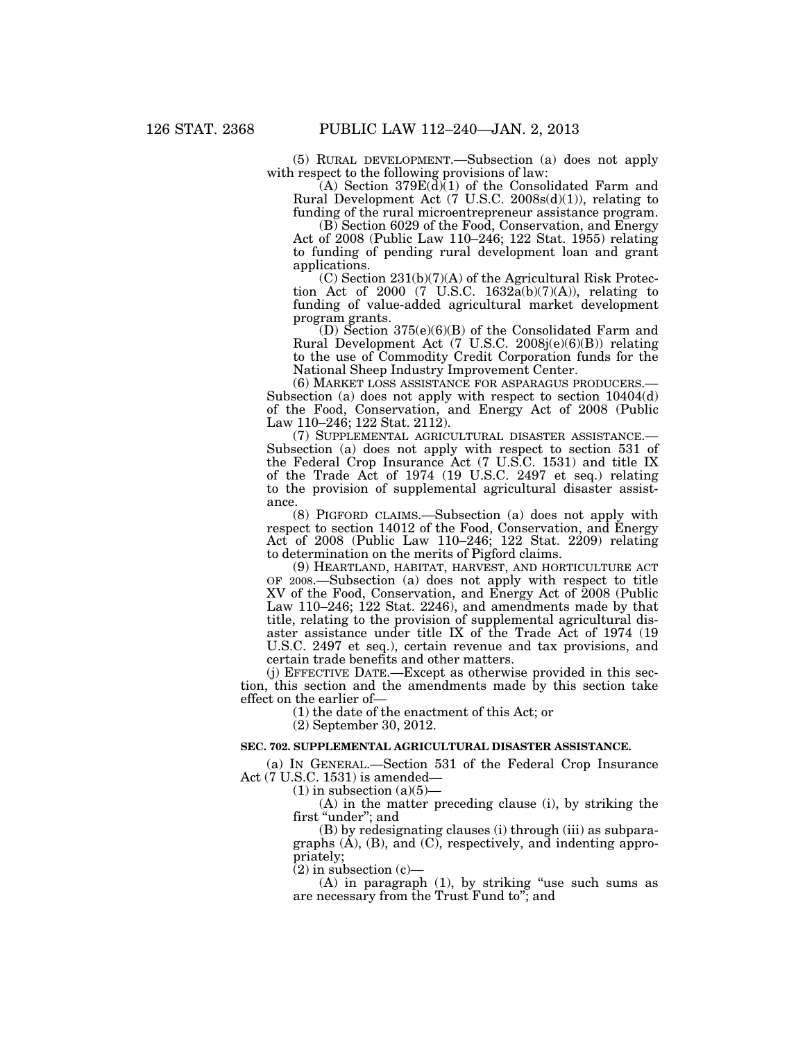(5) RURAL DEVELOPMENT.—Subsection (a) does not apply with respect to the following provisions of law:

 $(A)$  Section 379 $E(\overline{d})$  of the Consolidated Farm and Rural Development Act  $(7 \text{ U.S.C. } 2008s(d)(1)),$  relating to funding of the rural microentrepreneur assistance program.

(B) Section 6029 of the Food, Conservation, and Energy Act of 2008 (Public Law 110–246; 122 Stat. 1955) relating to funding of pending rural development loan and grant applications.

(C) Section 231(b)(7)(A) of the Agricultural Risk Protection Act of 2000 (7 U.S.C. 1632a(b)(7)(A)), relating to funding of value-added agricultural market development program grants.

 $(D)$  Section 375(e)(6)(B) of the Consolidated Farm and Rural Development Act (7 U.S.C. 2008j(e)(6)(B)) relating to the use of Commodity Credit Corporation funds for the National Sheep Industry Improvement Center.

(6) MARKET LOSS ASSISTANCE FOR ASPARAGUS PRODUCERS.— Subsection (a) does not apply with respect to section 10404(d) of the Food, Conservation, and Energy Act of 2008 (Public Law 110–246; 122 Stat. 2112).

(7) SUPPLEMENTAL AGRICULTURAL DISASTER ASSISTANCE.— Subsection (a) does not apply with respect to section 531 of the Federal Crop Insurance Act (7 U.S.C. 1531) and title IX of the Trade Act of 1974 (19 U.S.C. 2497 et seq.) relating to the provision of supplemental agricultural disaster assistance.

(8) PIGFORD CLAIMS.—Subsection (a) does not apply with respect to section 14012 of the Food, Conservation, and Energy Act of 2008 (Public Law 110–246; 122 Stat. 2209) relating to determination on the merits of Pigford claims.

(9) HEARTLAND, HABITAT, HARVEST, AND HORTICULTURE ACT OF 2008.—Subsection (a) does not apply with respect to title XV of the Food, Conservation, and Energy Act of 2008 (Public Law 110–246; 122 Stat. 2246), and amendments made by that title, relating to the provision of supplemental agricultural disaster assistance under title IX of the Trade Act of 1974 (19 U.S.C. 2497 et seq.), certain revenue and tax provisions, and certain trade benefits and other matters.

(j) EFFECTIVE DATE.—Except as otherwise provided in this section, this section and the amendments made by this section take effect on the earlier of—

(1) the date of the enactment of this Act; or

(2) September 30, 2012.

#### **SEC. 702. SUPPLEMENTAL AGRICULTURAL DISASTER ASSISTANCE.**

(a) IN GENERAL.—Section 531 of the Federal Crop Insurance Act (7 U.S.C. 1531) is amended—

 $(1)$  in subsection  $(a)(5)$ —

(A) in the matter preceding clause (i), by striking the first "under"; and

(B) by redesignating clauses (i) through (iii) as subparagraphs  $(A)$ ,  $(B)$ , and  $(C)$ , respectively, and indenting appropriately;

 $(2)$  in subsection  $(c)$ —

(A) in paragraph (1), by striking ''use such sums as are necessary from the Trust Fund to''; and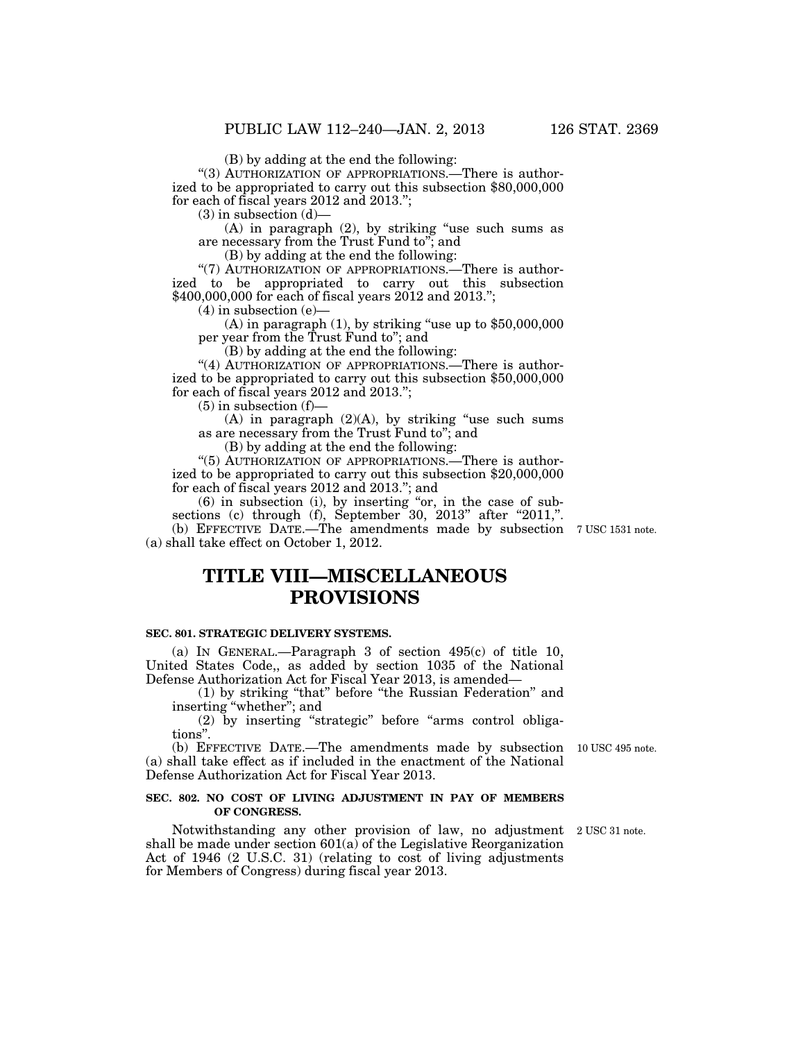(B) by adding at the end the following:

"(3) AUTHORIZATION OF APPROPRIATIONS.—There is authorized to be appropriated to carry out this subsection \$80,000,000 for each of fiscal years 2012 and 2013.'';

 $(3)$  in subsection  $(d)$ —

 $(A)$  in paragraph  $(2)$ , by striking "use such sums as are necessary from the Trust Fund to''; and

(B) by adding at the end the following:

"(7) AUTHORIZATION OF APPROPRIATIONS.—There is authorized to be appropriated to carry out this subsection \$400,000,000 for each of fiscal years 2012 and 2013.";

 $(4)$  in subsection  $(e)$ —

(A) in paragraph  $(1)$ , by striking "use up to  $$50,000,000$ per year from the Trust Fund to''; and

(B) by adding at the end the following:

"(4) AUTHORIZATION OF APPROPRIATIONS.—There is authorized to be appropriated to carry out this subsection \$50,000,000 for each of fiscal years 2012 and 2013.'';

 $(5)$  in subsection  $(f)$ —

 $(A)$  in paragraph  $(2)(A)$ , by striking "use such sums as are necessary from the Trust Fund to''; and

(B) by adding at the end the following:

''(5) AUTHORIZATION OF APPROPRIATIONS.—There is authorized to be appropriated to carry out this subsection \$20,000,000 for each of fiscal years 2012 and 2013.''; and

 $(6)$  in subsection (i), by inserting "or, in the case of subsections (c) through  $(f)$ , September 30, 2013" after "2011,". (b) EFFECTIVE DATE.—The amendments made by subsection 7 USC 1531 note. (a) shall take effect on October 1, 2012.

# **TITLE VIII—MISCELLANEOUS PROVISIONS**

#### **SEC. 801. STRATEGIC DELIVERY SYSTEMS.**

(a) IN GENERAL.—Paragraph 3 of section 495(c) of title 10, United States Code,, as added by section 1035 of the National Defense Authorization Act for Fiscal Year 2013, is amended—

(1) by striking ''that'' before ''the Russian Federation'' and inserting ''whether''; and

(2) by inserting ''strategic'' before ''arms control obligations''.

(b) EFFECTIVE DATE.—The amendments made by subsection 10 USC 495 note. (a) shall take effect as if included in the enactment of the National Defense Authorization Act for Fiscal Year 2013.

#### **SEC. 802. NO COST OF LIVING ADJUSTMENT IN PAY OF MEMBERS OF CONGRESS.**

Notwithstanding any other provision of law, no adjustment 2 USC 31 note. shall be made under section  $601(a)$  of the Legislative Reorganization Act of 1946 (2 U.S.C. 31) (relating to cost of living adjustments for Members of Congress) during fiscal year 2013.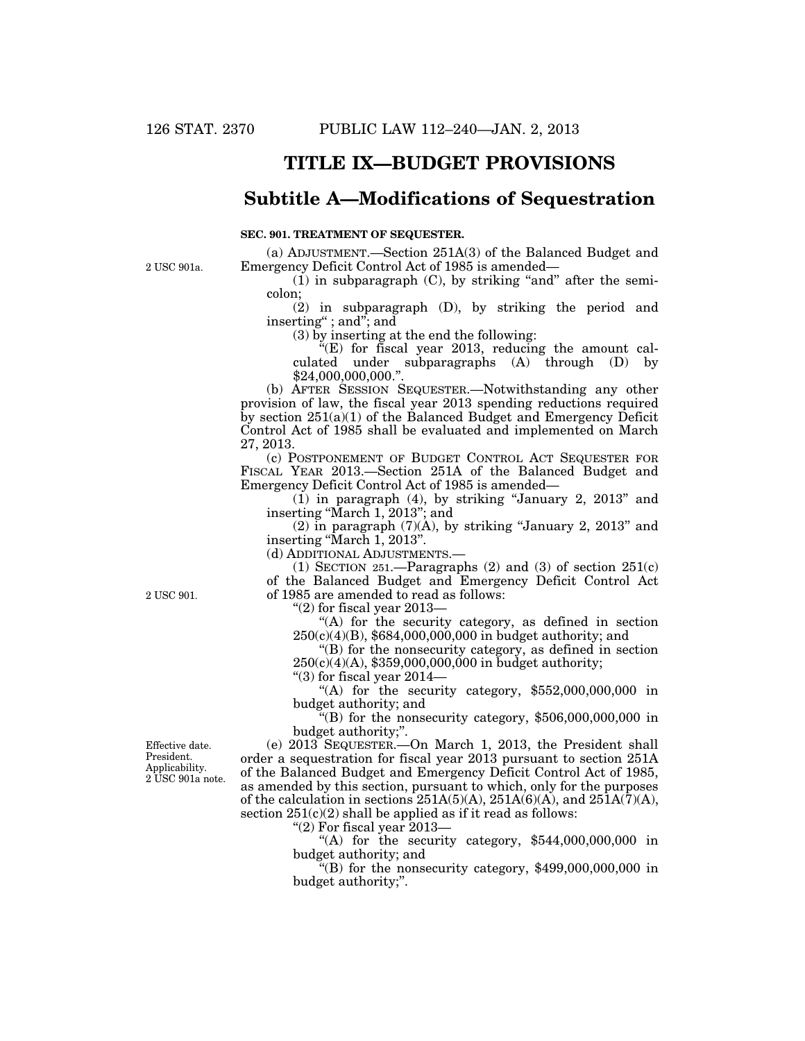# **TITLE IX—BUDGET PROVISIONS**

## **Subtitle A—Modifications of Sequestration**

#### **SEC. 901. TREATMENT OF SEQUESTER.**

2 USC 901a.

(a) ADJUSTMENT.—Section 251A(3) of the Balanced Budget and Emergency Deficit Control Act of 1985 is amended—

 $(1)$  in subparagraph  $(C)$ , by striking "and" after the semicolon;

(2) in subparagraph (D), by striking the period and inserting'' ; and''; and

(3) by inserting at the end the following:

 $E(E)$  for fiscal year 2013, reducing the amount calculated under subparagraphs (A) through (D) by \$24,000,000,000.''.

(b) AFTER SESSION SEQUESTER.—Notwithstanding any other provision of law, the fiscal year 2013 spending reductions required by section 251(a)(1) of the Balanced Budget and Emergency Deficit Control Act of 1985 shall be evaluated and implemented on March 27, 2013.

(c) POSTPONEMENT OF BUDGET CONTROL ACT SEQUESTER FOR FISCAL YEAR 2013.—Section 251A of the Balanced Budget and Emergency Deficit Control Act of 1985 is amended—

 $(1)$  in paragraph  $(4)$ , by striking "January 2, 2013" and inserting ''March 1, 2013''; and

 $(2)$  in paragraph  $(7)(A)$ , by striking "January 2, 2013" and inserting "March 1, 2013".

(d) ADDITIONAL ADJUSTMENTS.—

(1) SECTION 251.—Paragraphs  $(2)$  and  $(3)$  of section  $251(c)$ of the Balanced Budget and Emergency Deficit Control Act of 1985 are amended to read as follows:

" $(2)$  for fiscal year 2013–

"(A) for the security category, as defined in section  $250(c)(4)(B)$ , \$684,000,000,000 in budget authority; and

''(B) for the nonsecurity category, as defined in section  $250(c)(4)(A)$ , \$359,000,000,000 in budget authority;

" $(3)$  for fiscal year 2014–

"(A) for the security category,  $$552,000,000,000$  in budget authority; and

 $E(B)$  for the nonsecurity category, \$506,000,000,000 in budget authority;''.

(e) 2013 SEQUESTER.—On March 1, 2013, the President shall order a sequestration for fiscal year 2013 pursuant to section 251A of the Balanced Budget and Emergency Deficit Control Act of 1985, as amended by this section, pursuant to which, only for the purposes of the calculation in sections 251A(5)(A), 251A(6)(A), and 251A(7)(A), section  $251(c)(2)$  shall be applied as if it read as follows:

''(2) For fiscal year 2013—

"(A) for the security category,  $$544,000,000,000$  in budget authority; and

 $\mathcal{H}(B)$  for the nonsecurity category, \$499,000,000,000 in budget authority;''.

Effective date. President. Applicability. 2 USC 901a note.

2 USC 901.